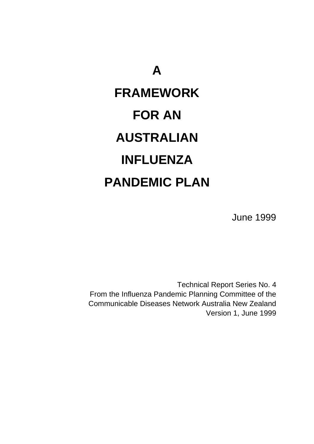# **A FRAMEWORK FOR AN AUSTRALIAN INFLUENZA PANDEMIC PLAN**

June 1999

Technical Report Series No. 4 From the Influenza Pandemic Planning Committee of the Communicable Diseases Network Australia New Zealand Version 1, June 1999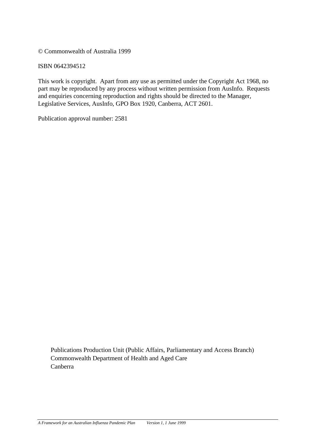© Commonwealth of Australia 1999

ISBN 0642394512

This work is copyright. Apart from any use as permitted under the Copyright Act 1968, no part may be reproduced by any process without written permission from AusInfo. Requests and enquiries concerning reproduction and rights should be directed to the Manager, Legislative Services, AusInfo, GPO Box 1920, Canberra, ACT 2601.

Publication approval number: 2581

Publications Production Unit (Public Affairs, Parliamentary and Access Branch) Commonwealth Department of Health and Aged Care Canberra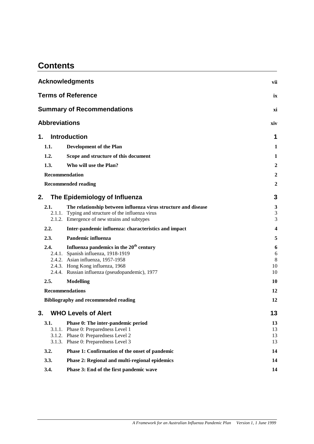# **Contents**

|                      | <b>Acknowledgments</b>                                                                                                                                                                                                 | vii                     |
|----------------------|------------------------------------------------------------------------------------------------------------------------------------------------------------------------------------------------------------------------|-------------------------|
|                      | <b>Terms of Reference</b>                                                                                                                                                                                              | ix                      |
|                      | <b>Summary of Recommendations</b>                                                                                                                                                                                      | xi                      |
| <b>Abbreviations</b> |                                                                                                                                                                                                                        | xiv                     |
| 1.                   | <b>Introduction</b>                                                                                                                                                                                                    | 1                       |
| 1.1.                 | <b>Development of the Plan</b>                                                                                                                                                                                         | $\mathbf{1}$            |
| 1.2.                 | Scope and structure of this document                                                                                                                                                                                   | $\mathbf{1}$            |
| 1.3.                 | Who will use the Plan?                                                                                                                                                                                                 | $\overline{2}$          |
| Recommendation       |                                                                                                                                                                                                                        | 2                       |
|                      | <b>Recommended reading</b>                                                                                                                                                                                             | 2                       |
| 2.                   | The Epidemiology of Influenza                                                                                                                                                                                          | 3                       |
| 2.1.                 | The relationship between influenza virus structure and disease<br>2.1.1. Typing and structure of the influenza virus<br>2.1.2. Emergence of new strains and subtypes                                                   | 3<br>3<br>3             |
| 2.2.                 | Inter-pandemic influenza: characteristics and impact                                                                                                                                                                   | 4                       |
| 2.3.                 | Pandemic influenza                                                                                                                                                                                                     | 5                       |
| 2.4.                 | Influenza pandemics in the 20 <sup>th</sup> century<br>2.4.1. Spanish influenza, 1918-1919<br>2.4.2. Asian influenza, 1957-1958<br>2.4.3. Hong Kong influenza, 1968<br>2.4.4. Russian influenza (pseudopandemic), 1977 | 6<br>6<br>8<br>10<br>10 |
| 2.5.                 | <b>Modelling</b>                                                                                                                                                                                                       | 10                      |
|                      | <b>Recommendations</b>                                                                                                                                                                                                 | 12                      |
|                      | <b>Bibliography and recommended reading</b>                                                                                                                                                                            | 12                      |
| 3.                   | <b>WHO Levels of Alert</b>                                                                                                                                                                                             | 13                      |
| 3.1.<br>3.1.1.       | Phase 0: The inter-pandemic period<br>Phase 0: Preparedness Level 1<br>3.1.2. Phase 0: Preparedness Level 2<br>3.1.3. Phase 0: Preparedness Level 3                                                                    | 13<br>13<br>13<br>13    |
| 3.2.                 | Phase 1: Confirmation of the onset of pandemic                                                                                                                                                                         | 14                      |
| 3.3.                 | Phase 2: Regional and multi-regional epidemics                                                                                                                                                                         | 14                      |
| 3.4.                 | Phase 3: End of the first pandemic wave                                                                                                                                                                                | 14                      |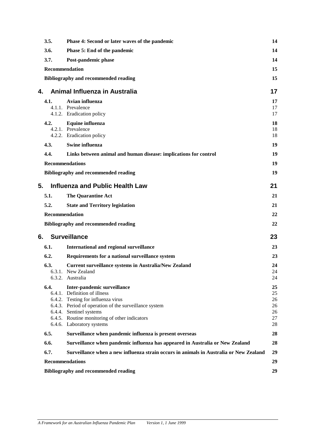|    | 3.5.                   | Phase 4: Second or later waves of the pandemic                                                                                                                                                                                                                      | 14                                     |
|----|------------------------|---------------------------------------------------------------------------------------------------------------------------------------------------------------------------------------------------------------------------------------------------------------------|----------------------------------------|
|    | 3.6.                   | Phase 5: End of the pandemic                                                                                                                                                                                                                                        | 14                                     |
|    | 3.7.                   | Post-pandemic phase                                                                                                                                                                                                                                                 | 14                                     |
|    | Recommendation         |                                                                                                                                                                                                                                                                     | 15                                     |
|    |                        | <b>Bibliography and recommended reading</b>                                                                                                                                                                                                                         | 15                                     |
| 4. |                        | Animal Influenza in Australia                                                                                                                                                                                                                                       | 17                                     |
|    | 4.1.                   | Avian influenza<br>4.1.1. Prevalence<br>4.1.2. Eradication policy                                                                                                                                                                                                   | 17<br>17<br>17                         |
|    | 4.2.                   | Equine influenza<br>4.2.1. Prevalence<br>4.2.2. Eradication policy                                                                                                                                                                                                  | 18<br>18<br>18                         |
|    | 4.3.                   | Swine influenza                                                                                                                                                                                                                                                     | 19                                     |
|    | 4.4.                   | Links between animal and human disease: implications for control                                                                                                                                                                                                    | 19                                     |
|    | <b>Recommendations</b> |                                                                                                                                                                                                                                                                     | 19                                     |
|    |                        | <b>Bibliography and recommended reading</b>                                                                                                                                                                                                                         | 19                                     |
| 5. |                        | <b>Influenza and Public Health Law</b>                                                                                                                                                                                                                              | 21                                     |
|    | 5.1.                   | <b>The Quarantine Act</b>                                                                                                                                                                                                                                           | 21                                     |
|    | 5.2.                   | <b>State and Territory legislation</b>                                                                                                                                                                                                                              | 21                                     |
|    | Recommendation         |                                                                                                                                                                                                                                                                     | 22                                     |
|    |                        | <b>Bibliography and recommended reading</b>                                                                                                                                                                                                                         | 22                                     |
| 6. |                        | <b>Surveillance</b>                                                                                                                                                                                                                                                 | 23                                     |
|    | 6.1.                   | International and regional surveillance                                                                                                                                                                                                                             | 23                                     |
|    | 6.2.                   | Requirements for a national surveillance system                                                                                                                                                                                                                     | 23                                     |
|    | 6.3.<br>6.3.1.         | <b>Current surveillance systems in Australia/New Zealand</b><br>New Zealand<br>6.3.2. Australia                                                                                                                                                                     | 24<br>24<br>24                         |
|    | 6.4.                   | Inter-pandemic surveillance<br>6.4.1. Definition of illness<br>6.4.2. Testing for influenza virus<br>6.4.3. Period of operation of the surveillance system<br>6.4.4. Sentinel systems<br>6.4.5. Routine monitoring of other indicators<br>6.4.6. Laboratory systems | 25<br>25<br>26<br>26<br>26<br>27<br>28 |
|    | 6.5.                   | Surveillance when pandemic influenza is present overseas                                                                                                                                                                                                            | 28                                     |
|    | 6.6.                   | Surveillance when pandemic influenza has appeared in Australia or New Zealand                                                                                                                                                                                       | 28                                     |
|    | 6.7.                   | Surveillance when a new influenza strain occurs in animals in Australia or New Zealand                                                                                                                                                                              | 29                                     |
|    | <b>Recommendations</b> |                                                                                                                                                                                                                                                                     | 29                                     |
|    |                        | <b>Bibliography and recommended reading</b>                                                                                                                                                                                                                         | 29                                     |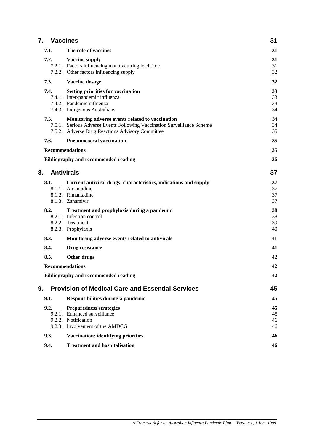| 7.<br><b>Vaccines</b> |                                                                                                                             |          |
|-----------------------|-----------------------------------------------------------------------------------------------------------------------------|----------|
| 7.1.                  | The role of vaccines                                                                                                        | 31       |
| 7.2.                  | <b>Vaccine supply</b>                                                                                                       | 31       |
|                       | 7.2.1. Factors influencing manufacturing lead time                                                                          | 31       |
|                       | 7.2.2. Other factors influencing supply                                                                                     | 32       |
| 7.3.                  | Vaccine dosage                                                                                                              | 32       |
| 7.4.                  | <b>Setting priorities for vaccination</b>                                                                                   | 33       |
|                       | 7.4.1. Inter-pandemic influenza                                                                                             | 33       |
|                       | 7.4.2. Pandemic influenza                                                                                                   | 33       |
|                       | 7.4.3. Indigenous Australians                                                                                               | 34       |
| 7.5.                  | Monitoring adverse events related to vaccination                                                                            | 34       |
|                       | 7.5.1. Serious Adverse Events Following Vaccination Surveillance Scheme<br>7.5.2. Adverse Drug Reactions Advisory Committee | 34<br>35 |
|                       |                                                                                                                             |          |
| 7.6.                  | <b>Pneumococcal vaccination</b>                                                                                             | 35       |
|                       | <b>Recommendations</b>                                                                                                      | 35       |
|                       | <b>Bibliography and recommended reading</b>                                                                                 | 36       |
| 8.                    | <b>Antivirals</b>                                                                                                           | 37       |
| 8.1.                  | Current antiviral drugs: characteristics, indications and supply                                                            | 37       |
|                       | 8.1.1. Amantadine                                                                                                           | 37       |
|                       | 8.1.2. Rimantadine                                                                                                          | 37       |
|                       | 8.1.3. Zanamivir                                                                                                            | 37       |
| 8.2.                  | Treatment and prophylaxis during a pandemic                                                                                 | 38       |
|                       | 8.2.1. Infection control                                                                                                    | 38       |
|                       | 8.2.2. Treatment                                                                                                            | 39       |
|                       | 8.2.3. Prophylaxis                                                                                                          | 40       |
| 8.3.                  | Monitoring adverse events related to antivirals                                                                             | 41       |
| 8.4.                  | Drug resistance                                                                                                             | 41       |
| 8.5.                  | Other drugs                                                                                                                 | 42       |
|                       | <b>Recommendations</b>                                                                                                      | 42       |
|                       | <b>Bibliography and recommended reading</b>                                                                                 | 42       |
| 9.                    | <b>Provision of Medical Care and Essential Services</b>                                                                     | 45       |
| 9.1.                  | Responsibilities during a pandemic                                                                                          | 45       |
| 9.2.                  | <b>Preparedness strategies</b>                                                                                              | 45       |
|                       | 9.2.1. Enhanced surveillance                                                                                                | 45       |
|                       | 9.2.2. Notification<br>9.2.3. Involvement of the AMDCG                                                                      | 46       |
|                       |                                                                                                                             | 46       |
| 9.3.                  | <b>Vaccination: identifying priorities</b>                                                                                  | 46       |
| 9.4.                  | <b>Treatment and hospitalisation</b>                                                                                        | 46       |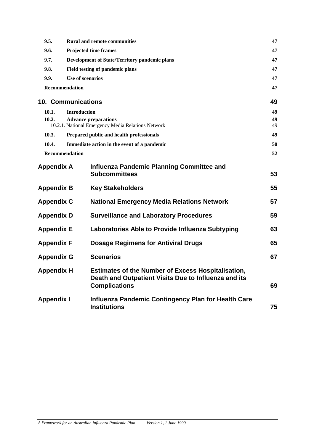| 9.5.                      |                     | <b>Rural and remote communities</b>                                                                                                       | 47 |
|---------------------------|---------------------|-------------------------------------------------------------------------------------------------------------------------------------------|----|
| 9.6.                      |                     | <b>Projected time frames</b>                                                                                                              | 47 |
| 9.7.                      |                     | <b>Development of State/Territory pandemic plans</b>                                                                                      | 47 |
| 9.8.                      |                     | Field testing of pandemic plans                                                                                                           | 47 |
| 9.9.                      | Use of scenarios    |                                                                                                                                           | 47 |
| Recommendation            |                     |                                                                                                                                           | 47 |
| <b>10. Communications</b> |                     |                                                                                                                                           | 49 |
| 10.1.                     | <b>Introduction</b> |                                                                                                                                           | 49 |
| 10.2.                     |                     | <b>Advance preparations</b>                                                                                                               | 49 |
|                           |                     | 10.2.1. National Emergency Media Relations Network                                                                                        | 49 |
| 10.3.                     |                     | Prepared public and health professionals                                                                                                  | 49 |
| 10.4.                     |                     | Immediate action in the event of a pandemic                                                                                               | 50 |
| Recommendation            |                     |                                                                                                                                           | 52 |
| <b>Appendix A</b>         |                     | <b>Influenza Pandemic Planning Committee and</b><br><b>Subcommittees</b>                                                                  | 53 |
| <b>Appendix B</b>         |                     | <b>Key Stakeholders</b>                                                                                                                   | 55 |
| <b>Appendix C</b>         |                     | <b>National Emergency Media Relations Network</b>                                                                                         | 57 |
| <b>Appendix D</b>         |                     | <b>Surveillance and Laboratory Procedures</b>                                                                                             | 59 |
| <b>Appendix E</b>         |                     | Laboratories Able to Provide Influenza Subtyping                                                                                          | 63 |
| <b>Appendix F</b>         |                     | <b>Dosage Regimens for Antiviral Drugs</b>                                                                                                | 65 |
| <b>Appendix G</b>         |                     | <b>Scenarios</b>                                                                                                                          | 67 |
| <b>Appendix H</b>         |                     | <b>Estimates of the Number of Excess Hospitalisation,</b><br>Death and Outpatient Visits Due to Influenza and its<br><b>Complications</b> | 69 |
| <b>Appendix I</b>         |                     | <b>Influenza Pandemic Contingency Plan for Health Care</b><br><b>Institutions</b>                                                         | 75 |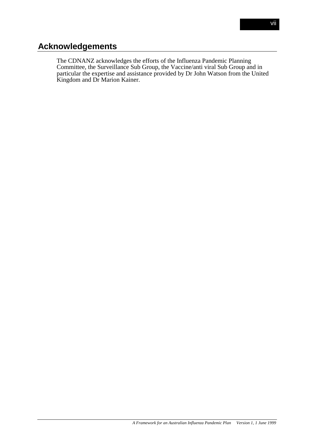# **Acknowledgements**

The CDNANZ acknowledges the efforts of the Influenza Pandemic Planning Committee, the Surveillance Sub Group, the Vaccine/anti viral Sub Group and in particular the expertise and assistance provided by Dr John Watson from the United Kingdom and Dr Marion Kainer.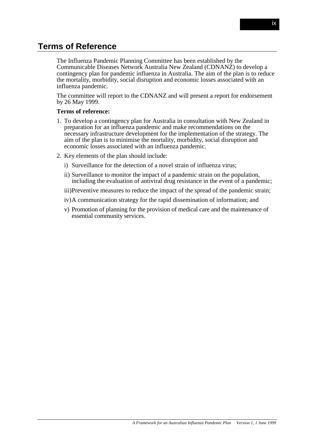# **Terms of Reference**

The Influenza Pandemic Planning Committee has been established by the Communicable Diseases Network Australia New Zealand (CDNANZ) to develop a contingency plan for pandemic influenza in Australia. The aim of the plan is to reduce the mortality, morbidity, social disruption and economic losses associated with an influenza pandemic.

The committee will report to the CDNANZ and will present a report for endorsement by 26 May 1999.

#### **Terms of reference:**

- 1. To develop a contingency plan for Australia in consultation with New Zealand in preparation for an influenza pandemic and make recommendations on the necessary infrastructure development for the implementation of the strategy. The aim of the plan is to minimise the mortality, morbidity, social disruption and economic losses associated with an influenza pandemic.
- 2. Key elements of the plan should include:
	- i) Surveillance for the detection of a novel strain of influenza virus;
	- ii) Surveillance to monitor the impact of a pandemic strain on the population, including the evaluation of antiviral drug resistance in the event of a pandemic;
	- iii)Preventive measures to reduce the impact of the spread of the pandemic strain;
	- iv)A communication strategy for the rapid dissemination of information; and
	- v) Promotion of planning for the provision of medical care and the maintenance of essential community services.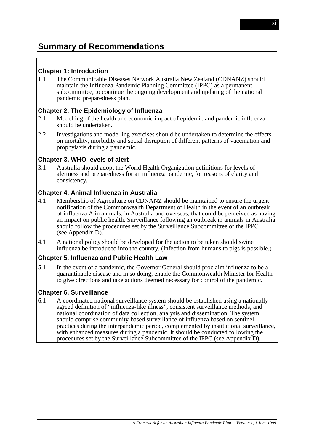# **Chapter 1: Introduction**

1.1 The Communicable Diseases Network Australia New Zealand (CDNANZ) should maintain the Influenza Pandemic Planning Committee (IPPC) as a permanent subcommittee, to continue the ongoing development and updating of the national pandemic preparedness plan.

# **Chapter 2. The Epidemiology of Influenza**

- 2.1 Modelling of the health and economic impact of epidemic and pandemic influenza should be undertaken.
- 2.2 Investigations and modelling exercises should be undertaken to determine the effects on mortality, morbidity and social disruption of different patterns of vaccination and prophylaxis during a pandemic.

#### **Chapter 3. WHO levels of alert**

3.1 Australia should adopt the World Health Organization definitions for levels of alertness and preparedness for an influenza pandemic, for reasons of clarity and consistency.

# **Chapter 4. Animal Influenza in Australia**

- 4.1 Membership of Agriculture on CDNANZ should be maintained to ensure the urgent notification of the Commonwealth Department of Health in the event of an outbreak of influenza A in animals, in Australia and overseas, that could be perceived as having an impact on public health. Surveillance following an outbreak in animals in Australia should follow the procedures set by the Surveillance Subcommittee of the IPPC (see Appendix D).
- 4.1 A national policy should be developed for the action to be taken should swine influenza be introduced into the country. (Infection from humans to pigs is possible.)

#### **Chapter 5. Influenza and Public Health Law**

5.1 In the event of a pandemic, the Governor General should proclaim influenza to be a quarantinable disease and in so doing, enable the Commonwealth Minister for Health to give directions and take actions deemed necessary for control of the pandemic.

# **Chapter 6. Surveillance**

6.1 A coordinated national surveillance system should be established using a nationally agreed definition of "influenza-like illness", consistent surveillance methods, and national coordination of data collection, analysis and dissemination. The system should comprise community-based surveillance of influenza based on sentinel practices during the interpandemic period, complemented by institutional surveillance, with enhanced measures during a pandemic. It should be conducted following the procedures set by the Surveillance Subcommittee of the IPPC (see Appendix D).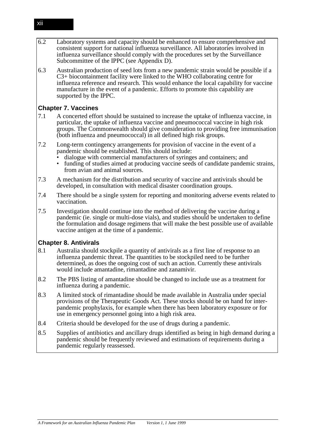- 6.2 Laboratory systems and capacity should be enhanced to ensure comprehensive and consistent support for national influenza surveillance. All laboratories involved in influenza surveillance should comply with the procedures set by the Surveillance Subcommittee of the IPPC (see Appendix D).
- 6.3 Australian production of seed lots from a new pandemic strain would be possible if a C3+ biocontainment facility were linked to the WHO collaborating centre for influenza reference and research. This would enhance the local capability for vaccine manufacture in the event of a pandemic. Efforts to promote this capability are supported by the IPPC.

# **Chapter 7. Vaccines**

- 7.1 A concerted effort should be sustained to increase the uptake of influenza vaccine, in particular, the uptake of influenza vaccine and pneumococcal vaccine in high risk groups. The Commonwealth should give consideration to providing free immunisation (both influenza and pneumococcal) in all defined high risk groups.
- 7.2 Long-term contingency arrangements for provision of vaccine in the event of a pandemic should be established. This should include:
	- dialogue with commercial manufacturers of syringes and containers; and<br>• funding of studies aimed at producing vaccine seeds of candidate pandem
	- funding of studies aimed at producing vaccine seeds of candidate pandemic strains, from avian and animal sources.
- 7.3 A mechanism for the distribution and security of vaccine and antivirals should be developed, in consultation with medical disaster coordination groups.
- 7.4 There should be a single system for reporting and monitoring adverse events related to vaccination.
- 7.5 Investigation should continue into the method of delivering the vaccine during a pandemic (ie. single or multi-dose vials), and studies should be undertaken to define the formulation and dosage regimens that will make the best possible use of available vaccine antigen at the time of a pandemic.

# **Chapter 8. Antivirals**

- 8.1 Australia should stockpile a quantity of antivirals as a first line of response to an influenza pandemic threat. The quantities to be stockpiled need to be further determined, as does the ongoing cost of such an action. Currently these antivirals would include amantadine, rimantadine and zanamivir.
- 8.2 The PBS listing of amantadine should be changed to include use as a treatment for influenza during a pandemic.
- 8.3 A limited stock of rimantadine should be made available in Australia under special provisions of the Therapeutic Goods Act. These stocks should be on hand for interpandemic prophylaxis, for example when there has been laboratory exposure or for use in emergency personnel going into a high risk area.
- 8.4 Criteria should be developed for the use of drugs during a pandemic.
- 8.5 Supplies of antibiotics and ancillary drugs identified as being in high demand during a pandemic should be frequently reviewed and estimations of requirements during a pandemic regularly reassessed.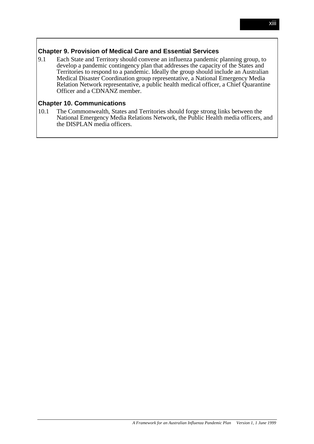# **Chapter 9. Provision of Medical Care and Essential Services**

9.1 Each State and Territory should convene an influenza pandemic planning group, to develop a pandemic contingency plan that addresses the capacity of the States and Territories to respond to a pandemic. Ideally the group should include an Australian Medical Disaster Coordination group representative, a National Emergency Media Relation Network representative, a public health medical officer, a Chief Quarantine Officer and a CDNANZ member.

# **Chapter 10. Communications**

10.1 The Commonwealth, States and Territories should forge strong links between the National Emergency Media Relations Network, the Public Health media officers, and the DISPLAN media officers.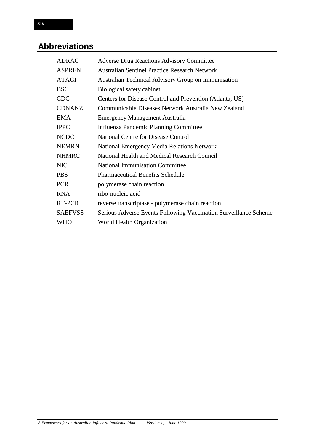# **Abbreviations**

| <b>ADRAC</b>   | <b>Adverse Drug Reactions Advisory Committee</b>                 |
|----------------|------------------------------------------------------------------|
| <b>ASPREN</b>  | <b>Australian Sentinel Practice Research Network</b>             |
| <b>ATAGI</b>   | Australian Technical Advisory Group on Immunisation              |
| <b>BSC</b>     | Biological safety cabinet                                        |
| <b>CDC</b>     | Centers for Disease Control and Prevention (Atlanta, US)         |
| <b>CDNANZ</b>  | Communicable Diseases Network Australia New Zealand              |
| <b>EMA</b>     | <b>Emergency Management Australia</b>                            |
| <b>IPPC</b>    | Influenza Pandemic Planning Committee                            |
| <b>NCDC</b>    | <b>National Centre for Disease Control</b>                       |
| <b>NEMRN</b>   | <b>National Emergency Media Relations Network</b>                |
| <b>NHMRC</b>   | National Health and Medical Research Council                     |
| <b>NIC</b>     | <b>National Immunisation Committee</b>                           |
| <b>PBS</b>     | <b>Pharmaceutical Benefits Schedule</b>                          |
| <b>PCR</b>     | polymerase chain reaction                                        |
| <b>RNA</b>     | ribo-nucleic acid                                                |
| RT-PCR         | reverse transcriptase - polymerase chain reaction                |
| <b>SAEFVSS</b> | Serious Adverse Events Following Vaccination Surveillance Scheme |
| WHO            | World Health Organization                                        |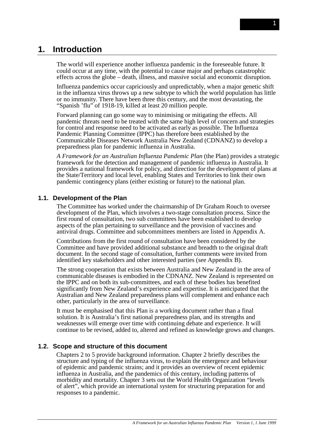# **1. Introduction**

The world will experience another influenza pandemic in the foreseeable future. It could occur at any time, with the potential to cause major and perhaps catastrophic effects across the globe – death, illness, and massive social and economic disruption.

Influenza pandemics occur capriciously and unpredictably, when a major genetic shift in the influenza virus throws up a new subtype to which the world population has little or no immunity. There have been three this century, and the most devastating, the "Spanish 'flu" of 1918-19, killed at least 20 million people.

Forward planning can go some way to minimising or mitigating the effects. All pandemic threats need to be treated with the same high level of concern and strategies for control and response need to be activated as early as possible. The Influenza Pandemic Planning Committee (IPPC) has therefore been established by the Communicable Diseases Network Australia New Zealand (CDNANZ) to develop a preparedness plan for pandemic influenza in Australia.

*A Framework for an Australian Influenza Pandemic Plan* (the Plan) provides a strategic framework for the detection and management of pandemic influenza in Australia. It provides a national framework for policy, and direction for the development of plans at the State/Territory and local level, enabling States and Territories to link their own pandemic contingency plans (either existing or future) to the national plan.

#### **1.1. Development of the Plan**

The Committee has worked under the chairmanship of Dr Graham Rouch to oversee development of the Plan, which involves a two-stage consultation process. Since the first round of consultation, two sub committees have been established to develop aspects of the plan pertaining to surveillance and the provision of vaccines and antiviral drugs. Committee and subcommittees members are listed in Appendix A.

Contributions from the first round of consultation have been considered by the Committee and have provided additional substance and breadth to the original draft document. In the second stage of consultation, further comments were invited from identified key stakeholders and other interested parties (see Appendix B).

The strong cooperation that exists between Australia and New Zealand in the area of communicable diseases is embodied in the CDNANZ. New Zealand is represented on the IPPC and on both its sub-committees, and each of these bodies has benefited significantly from New Zealand's experience and expertise. It is anticipated that the Australian and New Zealand preparedness plans will complement and enhance each other, particularly in the area of surveillance.

It must be emphasised that this Plan is a working document rather than a final solution. It is Australia's first national preparedness plan, and its strengths and weaknesses will emerge over time with continuing debate and experience. It will continue to be revised, added to, altered and refined as knowledge grows and changes.

#### **1.2. Scope and structure of this document**

Chapters 2 to 5 provide background information. Chapter 2 briefly describes the structure and typing of the influenza virus, to explain the emergence and behaviour of epidemic and pandemic strains; and it provides an overview of recent epidemic influenza in Australia, and the pandemics of this century, including patterns of morbidity and mortality. Chapter 3 sets out the World Health Organization "levels of alert", which provide an international system for structuring preparation for and responses to a pandemic.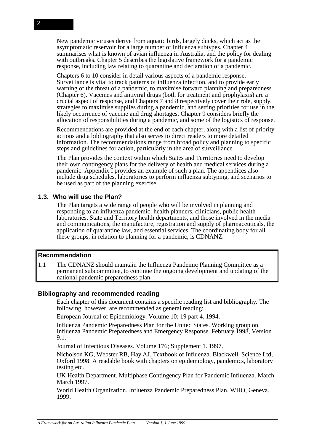New pandemic viruses derive from aquatic birds, largely ducks, which act as the asymptomatic reservoir for a large number of influenza subtypes. Chapter 4 summarises what is known of avian influenza in Australia, and the policy for dealing with outbreaks. Chapter 5 describes the legislative framework for a pandemic response, including law relating to quarantine and declaration of a pandemic.

Chapters 6 to 10 consider in detail various aspects of a pandemic response. Surveillance is vital to track patterns of influenza infection, and to provide early warning of the threat of a pandemic, to maximise forward planning and preparedness (Chapter 6). Vaccines and antiviral drugs (both for treatment and prophylaxis) are a crucial aspect of response, and Chapters 7 and 8 respectively cover their role, supply, strategies to maximise supplies during a pandemic, and setting priorities for use in the likely occurrence of vaccine and drug shortages. Chapter 9 considers briefly the allocation of responsibilities during a pandemic, and some of the logistics of response.

Recommendations are provided at the end of each chapter, along with a list of priority actions and a bibliography that also serves to direct readers to more detailed information. The recommendations range from broad policy and planning to specific steps and guidelines for action, particularly in the area of surveillance.

The Plan provides the context within which States and Territories need to develop their own contingency plans for the delivery of health and medical services during a pandemic. Appendix I provides an example of such a plan. The appendices also include drug schedules, laboratories to perform influenza subtyping, and scenarios to be used as part of the planning exercise.

# **1.3. Who will use the Plan?**

The Plan targets a wide range of people who will be involved in planning and responding to an influenza pandemic: health planners, clinicians, public health laboratories, State and Territory health departments, and those involved in the media and communications, the manufacture, registration and supply of pharmaceuticals, the application of quarantine law, and essential services. The coordinating body for all these groups, in relation to planning for a pandemic, is CDNANZ.

#### **Recommendation**

1.1 The CDNANZ should maintain the Influenza Pandemic Planning Committee as a permanent subcommittee, to continue the ongoing development and updating of the national pandemic preparedness plan.

#### **Bibliography and recommended reading**

Each chapter of this document contains a specific reading list and bibliography. The following, however, are recommended as general reading:

European Journal of Epidemiology. Volume 10; 19 part 4. 1994.

Influenza Pandemic Preparedness Plan for the United States. Working group on Influenza Pandemic Preparedness and Emergency Response. February 1998, Version 9.1.

Journal of Infectious Diseases. Volume 176; Supplement 1. 1997.

Nicholson KG, Webster RB, Hay AJ. Textbook of Influenza. Blackwell Science Ltd, Oxford 1998. A readable book with chapters on epidemiology, pandemics, laboratory testing etc.

UK Health Department. Multiphase Contingency Plan for Pandemic Influenza. March March 1997.

World Health Organization. Influenza Pandemic Preparedness Plan. WHO, Geneva. 1999.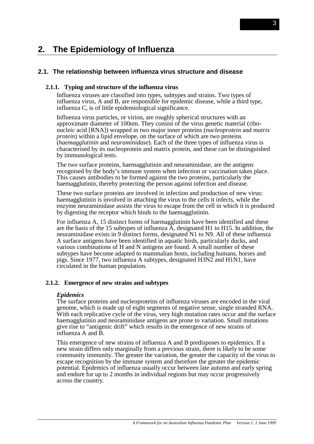# **2. The Epidemiology of Influenza**

#### **2.1. The relationship between influenza virus structure and disease**

#### **2.1.1. Typing and structure of the influenza virus**

Influenza viruses are classified into types, subtypes and strains. Two types of influenza virus, A and B, are responsible for epidemic disease, while a third type, influenza C, is of little epidemiological significance.

Influenza virus particles, or virion, are roughly spherical structures with an approximate diameter of 100nm. They consist of the virus genetic material (ribonucleic acid [RNA]) wrapped in two major inner proteins (*nucleoprotein* and *matrix protein*) within a lipid envelope, on the surface of which are two proteins (*haemagglutinin* and *neuraminidase*). Each of the three types of influenza virus is characterised by its nucleoprotein and matrix protein, and these can be distinguished by immunological tests.

The two surface proteins, haemagglutinin and neuraminidase, are the antigens recognised by the body's immune system when infection or vaccination takes place. This causes antibodies to be formed against the two proteins, particularly the haemagglutinin, thereby protecting the person against infection and disease.

These two surface proteins are involved in infection and production of new virus: haemagglutinin is involved in attaching the virus to the cells it infects, while the enzyme neuraminidase assists the virus to escape from the cell in which it is produced by digesting the receptor which binds to the haemagglutinin.

For influenza A, 15 distinct forms of haemagglutinin have been identified and these are the basis of the 15 subtypes of influenza A, designated H1 to H15. In addition, the neuraminidase exists in 9 distinct forms, designated N1 to N9. All of these influenza A surface antigens have been identified in aquatic birds, particularly ducks, and various combinations of H and N antigens are found. A small number of these subtypes have become adapted to mammalian hosts, including humans, horses and pigs. Since 1977, two influenza A subtypes, designated H3N2 and H1N1, have circulated in the human population.

#### **2.1.2. Emergence of new strains and subtypes**

#### *Epidemics*

The surface proteins and nucleoproteins of influenza viruses are encoded in the viral genome, which is made up of eight segments of negative sense, single stranded RNA. With each replicative cycle of the virus, very high mutation rates occur and the surface haemagglutinin and neuraminidase antigens are prone to variation. Small mutations give rise to "antigenic drift" which results in the emergence of new strains of influenza A and B.

This emergence of new strains of influenza A and B predisposes to epidemics. If a new strain differs only marginally from a previous strain, there is likely to be some community immunity. The greater the variation, the greater the capacity of the virus to escape recognition by the immune system and therefore the greater the epidemic potential. Epidemics of influenza usually occur between late autumn and early spring and endure for up to 2 months in individual regions but may occur progressively across the country.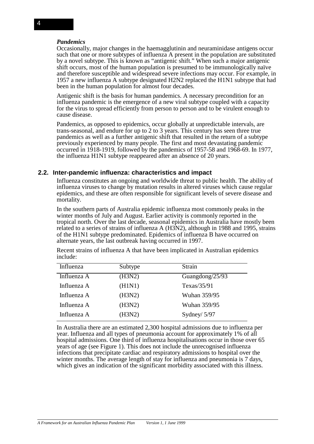#### *Pandemics*

Occasionally, major changes in the haemagglutinin and neuraminidase antigens occur such that one or more subtypes of influenza A present in the population are substituted by a novel subtype. This is known as "antigenic shift." When such a major antigenic shift occurs, most of the human population is presumed to be immunologically naïve and therefore susceptible and widespread severe infections may occur. For example, in 1957 a new influenza A subtype designated H2N2 replaced the H1N1 subtype that had been in the human population for almost four decades.

Antigenic shift is the basis for human pandemics. A necessary precondition for an influenza pandemic is the emergence of a new viral subtype coupled with a capacity for the virus to spread efficiently from person to person and to be virulent enough to cause disease.

Pandemics, as opposed to epidemics, occur globally at unpredictable intervals, are trans-seasonal, and endure for up to 2 to 3 years. This century has seen three true pandemics as well as a further antigenic shift that resulted in the return of a subtype previously experienced by many people. The first and most devastating pandemic occurred in 1918-1919, followed by the pandemics of 1957-58 and 1968-69. In 1977, the influenza H1N1 subtype reappeared after an absence of 20 years.

#### **2.2. Inter-pandemic influenza: characteristics and impact**

Influenza constitutes an ongoing and worldwide threat to public health. The ability of influenza viruses to change by mutation results in altered viruses which cause regular epidemics, and these are often responsible for significant levels of severe disease and mortality.

In the southern parts of Australia epidemic influenza most commonly peaks in the winter months of July and August. Earlier activity is commonly reported in the tropical north. Over the last decade, seasonal epidemics in Australia have mostly been related to a series of strains of influenza A (H3N2), although in 1988 and 1995, strains of the H1N1 subtype predominated. Epidemics of influenza B have occurred on alternate years, the last outbreak having occurred in 1997.

| Recent strains of influenza A that have been implicated in Australian epidemics |  |  |
|---------------------------------------------------------------------------------|--|--|
| include:                                                                        |  |  |
|                                                                                 |  |  |

| Influenza   | Subtype | Strain          |
|-------------|---------|-----------------|
| Influenza A | (H3N2)  | Guangdong/25/93 |
| Influenza A | (H1N1)  | Texas/ $35/91$  |
| Influenza A | (H3N2)  | Wuhan 359/95    |
| Influenza A | (H3N2)  | Wuhan 359/95    |
| Influenza A | (H3N2)  | Sydney/ $5/97$  |

In Australia there are an estimated 2,300 hospital admissions due to influenza per year. Influenza and all types of pneumonia account for approximately 1% of all hospital admissions. One third of influenza hospitalisations occur in those over 65 years of age (see Figure 1). This does not include the unrecognised influenza infections that precipitate cardiac and respiratory admissions to hospital over the winter months. The average length of stay for influenza and pneumonia is 7 days, which gives an indication of the significant morbidity associated with this illness.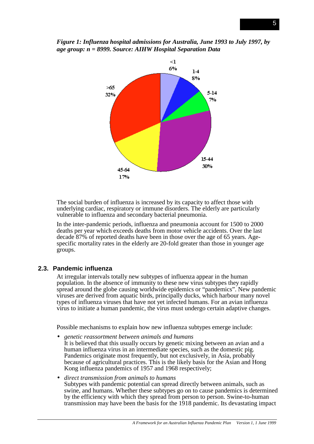



The social burden of influenza is increased by its capacity to affect those with underlying cardiac, respiratory or immune disorders. The elderly are particularly vulnerable to influenza and secondary bacterial pneumonia.

In the inter-pandemic periods, influenza and pneumonia account for 1500 to 2000 deaths per year which exceeds deaths from motor vehicle accidents. Over the last decade 87% of reported deaths have been in those over the age of 65 years. Agespecific mortality rates in the elderly are 20-fold greater than those in younger age groups.

#### **2.3. Pandemic influenza**

At irregular intervals totally new subtypes of influenza appear in the human population. In the absence of immunity to these new virus subtypes they rapidly spread around the globe causing worldwide epidemics or "pandemics". New pandemic viruses are derived from aquatic birds, principally ducks, which harbour many novel types of influenza viruses that have not yet infected humans. For an avian influenza virus to initiate a human pandemic, the virus must undergo certain adaptive changes.

Possible mechanisms to explain how new influenza subtypes emerge include:

- *genetic reassortment between animals and humans* It is believed that this usually occurs by genetic mixing between an avian and a human influenza virus in an intermediate species, such as the domestic pig. Pandemics originate most frequently, but not exclusively, in Asia, probably because of agricultural practices. This is the likely basis for the Asian and Hong Kong influenza pandemics of 1957 and 1968 respectively;
- *direct transmission from animals to humans* Subtypes with pandemic potential can spread directly between animals, such as swine, and humans. Whether these subtypes go on to cause pandemics is determined by the efficiency with which they spread from person to person. Swine-to-human transmission may have been the basis for the 1918 pandemic. Its devastating impact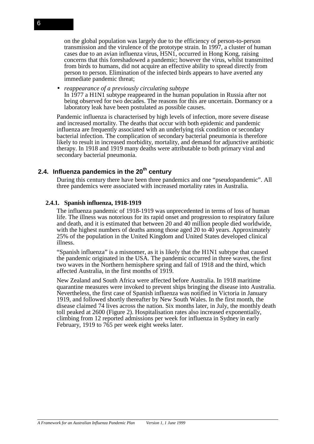on the global population was largely due to the efficiency of person-to-person transmission and the virulence of the prototype strain. In 1997, a cluster of human cases due to an avian influenza virus, H5N1, occurred in Hong Kong, raising concerns that this foreshadowed a pandemic; however the virus, whilst transmitted from birds to humans, did not acquire an effective ability to spread directly from person to person. Elimination of the infected birds appears to have averted any immediate pandemic threat;

• *reappearance of a previously circulating subtype* In 1977 a H1N1 subtype reappeared in the human population in Russia after not being observed for two decades. The reasons for this are uncertain. Dormancy or a laboratory leak have been postulated as possible causes.

Pandemic influenza is characterised by high levels of infection, more severe disease and increased mortality. The deaths that occur with both epidemic and pandemic influenza are frequently associated with an underlying risk condition or secondary bacterial infection. The complication of secondary bacterial pneumonia is therefore likely to result in increased morbidity, mortality, and demand for adjunctive antibiotic therapy. In 1918 and 1919 many deaths were attributable to both primary viral and secondary bacterial pneumonia.

# 2.4. Influenza pandemics in the 20<sup>th</sup> century

During this century there have been three pandemics and one "pseudopandemic". All three pandemics were associated with increased mortality rates in Australia.

#### **2.4.1. Spanish influenza, 1918-1919**

The influenza pandemic of 1918-1919 was unprecedented in terms of loss of human life. The illness was notorious for its rapid onset and progression to respiratory failure and death, and it is estimated that between 20 and 40 million people died worldwide, with the highest numbers of deaths among those aged 20 to 40 years. Approximately 25% of the population in the United Kingdom and United States developed clinical illness.

"Spanish influenza" is a misnomer, as it is likely that the H1N1 subtype that caused the pandemic originated in the USA. The pandemic occurred in three waves, the first two waves in the Northern hemisphere spring and fall of 1918 and the third, which affected Australia, in the first months of 1919.

New Zealand and South Africa were affected before Australia. In 1918 maritime quarantine measures were invoked to prevent ships bringing the disease into Australia. Nevertheless, the first case of Spanish influenza was notified in Victoria in January 1919, and followed shortly thereafter by New South Wales. In the first month, the disease claimed 74 lives across the nation. Six months later, in July, the monthly death toll peaked at 2600 (Figure 2). Hospitalisation rates also increased exponentially, climbing from 12 reported admissions per week for influenza in Sydney in early February, 1919 to 765 per week eight weeks later.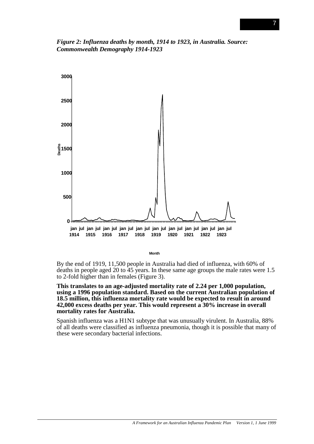*Figure 2: Influenza deaths by month, 1914 to 1923, in Australia. Source: Commonwealth Demography 1914-1923*



**Month**

By the end of 1919, 11,500 people in Australia had died of influenza, with 60% of deaths in people aged 20 to 45 years. In these same age groups the male rates were 1.5 to 2-fold higher than in females (Figure 3).

**This translates to an age-adjusted mortality rate of 2.24 per 1,000 population, using a 1996 population standard. Based on the current Australian population of 18.5 million, this influenza mortality rate would be expected to result in around 42,000 excess deaths per year. This would represent a 30% increase in overall mortality rates for Australia.**

Spanish influenza was a H1N1 subtype that was unusually virulent. In Australia, 88% of all deaths were classified as influenza pneumonia, though it is possible that many of these were secondary bacterial infections.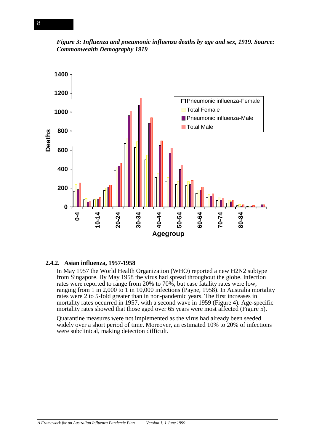



#### **2.4.2. Asian influenza, 1957-1958**

In May 1957 the World Health Organization (WHO) reported a new H2N2 subtype from Singapore. By May 1958 the virus had spread throughout the globe. Infection rates were reported to range from 20% to 70%, but case fatality rates were low, ranging from 1 in 2,000 to 1 in 10,000 infections (Payne, 1958). In Australia mortality rates were 2 to 5-fold greater than in non-pandemic years. The first increases in mortality rates occurred in 1957, with a second wave in 1959 (Figure 4). Age-specific mortality rates showed that those aged over 65 years were most affected (Figure 5).

Quarantine measures were not implemented as the virus had already been seeded widely over a short period of time. Moreover, an estimated 10% to 20% of infections were subclinical, making detection difficult.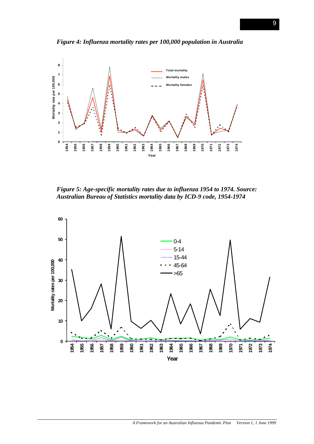

*Figure 4: Influenza mortality rates per 100,000 population in Australia*

*Figure 5: Age-specific mortality rates due to influenza 1954 to 1974. Source: Australian Bureau of Statistics mortality data by ICD-9 code, 1954-1974*

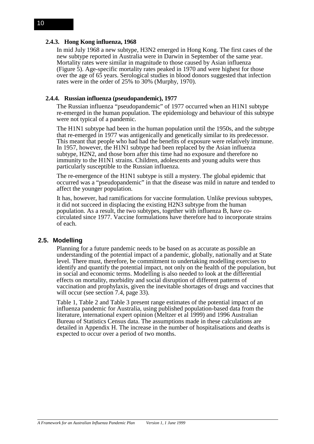#### **2.4.3. Hong Kong influenza, 1968**

In mid July 1968 a new subtype, H3N2 emerged in Hong Kong. The first cases of the new subtype reported in Australia were in Darwin in September of the same year. Mortality rates were similar in magnitude to those caused by Asian influenza (Figure 5). Age-specific mortality rates peaked in 1970 and were highest for those over the age of 65 years. Serological studies in blood donors suggested that infection rates were in the order of 25% to 30% (Murphy, 1970).

#### **2.4.4. Russian influenza (pseudopandemic), 1977**

The Russian influenza "pseudopandemic" of 1977 occurred when an H1N1 subtype re-emerged in the human population. The epidemiology and behaviour of this subtype were not typical of a pandemic.

The H1N1 subtype had been in the human population until the 1950s, and the subtype that re-emerged in 1977 was antigenically and genetically similar to its predecessor. This meant that people who had had the benefits of exposure were relatively immune. In 1957, however, the H1N1 subtype had been replaced by the Asian influenza subtype, H2N2, and those born after this time had no exposure and therefore no immunity to the H1N1 strains. Children, adolescents and young adults were thus particularly susceptible to the Russian influenza.

The re-emergence of the H1N1 subtype is still a mystery. The global epidemic that occurred was a "pseudopandemic" in that the disease was mild in nature and tended to affect the younger population.

It has, however, had ramifications for vaccine formulation. Unlike previous subtypes, it did not succeed in displacing the existing H2N3 subtype from the human population. As a result, the two subtypes, together with influenza B, have cocirculated since 1977. Vaccine formulations have therefore had to incorporate strains of each.

#### **2.5. Modelling**

Planning for a future pandemic needs to be based on as accurate as possible an understanding of the potential impact of a pandemic, globally, nationally and at State level. There must, therefore, be commitment to undertaking modelling exercises to identify and quantify the potential impact, not only on the health of the population, but in social and economic terms. Modelling is also needed to look at the differential effects on mortality, morbidity and social disruption of different patterns of vaccination and prophylaxis, given the inevitable shortages of drugs and vaccines that will occur (see section 7.4, page 33).

Table 1, Table 2 and Table 3 present range estimates of the potential impact of an influenza pandemic for Australia, using published population-based data from the literature, international expert opinion (Meltzer et al 1999) and 1996 Australian Bureau of Statistics Census data. The assumptions made in these calculations are detailed in Appendix H. The increase in the number of hospitalisations and deaths is expected to occur over a period of two months.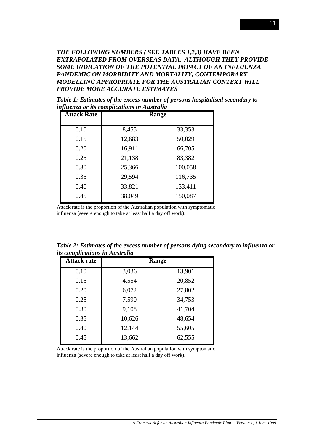*THE FOLLOWING NUMBERS ( SEE TABLES 1,2,3) HAVE BEEN EXTRAPOLATED FROM OVERSEAS DATA. ALTHOUGH THEY PROVIDE SOME INDICATION OF THE POTENTIAL IMPACT OF AN INFLUENZA PANDEMIC ON MORBIDITY AND MORTALITY, CONTEMPORARY MODELLING APPROPRIATE FOR THE AUSTRALIAN CONTEXT WILL PROVIDE MORE ACCURATE ESTIMATES*

*Table 1: Estimates of the excess number of persons hospitalised secondary to influenza or its complications in Australia*

| <b>Attack Rate</b> |        | Range   |
|--------------------|--------|---------|
| 0.10               | 8,455  | 33,353  |
| 0.15               | 12,683 | 50,029  |
| 0.20               | 16,911 | 66,705  |
| 0.25               | 21,138 | 83,382  |
| 0.30               | 25,366 | 100,058 |
| 0.35               | 29,594 | 116,735 |
| 0.40               | 33,821 | 133,411 |
| 0.45               | 38,049 | 150,087 |

Attack rate is the proportion of the Australian population with symptomatic influenza (severe enough to take at least half a day off work).

| us compucations in Australia |        |        |  |  |  |
|------------------------------|--------|--------|--|--|--|
| <b>Attack rate</b>           | Range  |        |  |  |  |
| 0.10                         | 3,036  | 13,901 |  |  |  |
| 0.15                         | 4,554  | 20,852 |  |  |  |
| 0.20                         | 6,072  | 27,802 |  |  |  |
| 0.25                         | 7,590  | 34,753 |  |  |  |
| 0.30                         | 9,108  | 41,704 |  |  |  |
| 0.35                         | 10,626 | 48,654 |  |  |  |
| 0.40                         | 12,144 | 55,605 |  |  |  |
| 0.45                         | 13,662 | 62,555 |  |  |  |
|                              |        |        |  |  |  |

*Table 2: Estimates of the excess number of persons dying secondary to influenza or its complications in Australia*

Attack rate is the proportion of the Australian population with symptomatic influenza (severe enough to take at least half a day off work).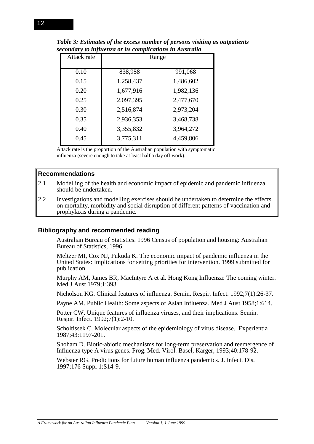| Attack rate | Range     |           |
|-------------|-----------|-----------|
| 0.10        | 838,958   | 991,068   |
| 0.15        | 1,258,437 | 1,486,602 |
| 0.20        | 1,677,916 | 1,982,136 |
| 0.25        | 2,097,395 | 2,477,670 |
| 0.30        | 2,516,874 | 2,973,204 |
| 0.35        | 2,936,353 | 3,468,738 |
| 0.40        | 3,355,832 | 3,964,272 |
| 0.45        | 3,775,311 | 4,459,806 |

*Table 3: Estimates of the excess number of persons visiting as outpatients secondary to influenza or its complications in Australia*

Attack rate is the proportion of the Australian population with symptomatic influenza (severe enough to take at least half a day off work).

#### **Recommendations**

- 2.1 Modelling of the health and economic impact of epidemic and pandemic influenza should be undertaken.
- 2.2 Investigations and modelling exercises should be undertaken to determine the effects on mortality, morbidity and social disruption of different patterns of vaccination and prophylaxis during a pandemic.

#### **Bibliography and recommended reading**

Australian Bureau of Statistics. 1996 Census of population and housing: Australian Bureau of Statistics, 1996.

Meltzer MI, Cox NJ, Fukuda K. The economic impact of pandemic influenza in the United States: Implications for setting priorities for intervention. 1999 submitted for publication.

Murphy AM, James BR, MacIntyre A et al. Hong Kong Influenza: The coming winter. Med J Aust 1979;1:393.

Nicholson KG. Clinical features of influenza. Semin. Respir. Infect. 1992;7(1):26-37.

Payne AM. Public Health: Some aspects of Asian Influenza. Med J Aust 1958;1:614.

Potter CW. Unique features of influenza viruses, and their implications. Semin. Respir. Infect. 1992;7(1):2-10.

Scholtissek C. Molecular aspects of the epidemiology of virus disease. Experientia 1987;43:1197-201.

Shoham D. Biotic-abiotic mechanisms for long-term preservation and reemergence of Influenza type A virus genes. Prog. Med. Virol. Basel, Karger, 1993;40:178-92.

Webster RG. Predictions for future human influenza pandemics. J. Infect. Dis. 1997;176 Suppl 1:S14-9.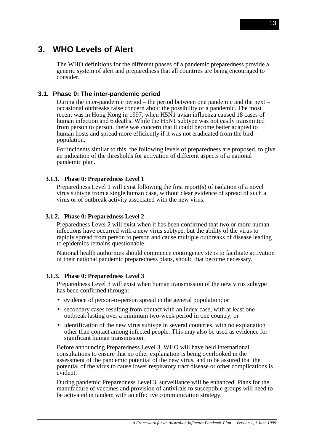# **3. WHO Levels of Alert**

The WHO definitions for the different phases of a pandemic preparedness provide a generic system of alert and preparedness that all countries are being encouraged to consider.

## **3.1. Phase 0: The inter-pandemic period**

During the inter-pandemic period – the period between one pandemic and the next – occasional outbreaks raise concern about the possibility of a pandemic. The most recent was in Hong Kong in 1997, when H5N1 avian influenza caused 18 cases of human infection and 6 deaths. While the H5N1 subtype was not easily transmitted from person to person, there was concern that it could become better adapted to human hosts and spread more efficiently if it was not eradicated from the bird population.

For incidents similar to this, the following levels of preparedness are proposed, to give an indication of the thresholds for activation of different aspects of a national pandemic plan.

#### **3.1.1. Phase 0: Preparedness Level 1**

Preparedness Level 1 will exist following the first report(s) of isolation of a novel virus subtype from a single human case, without clear evidence of spread of such a virus or of outbreak activity associated with the new virus.

#### **3.1.2. Phase 0: Preparedness Level 2**

Preparedness Level 2 will exist when it has been confirmed that two or more human infections have occurred with a new virus subtype, but the ability of the virus to rapidly spread from person to person and cause multiple outbreaks of disease leading to epidemics remains questionable.

National health authorities should commence contingency steps to facilitate activation of their national pandemic preparedness plans, should that become necessary.

#### **3.1.3. Phase 0: Preparedness Level 3**

Preparedness Level 3 will exist when human transmission of the new virus subtype has been confirmed through:

- evidence of person-to-person spread in the general population; or
- secondary cases resulting from contact with an index case, with at least one outbreak lasting over a minimum two-week period in one country; or
- identification of the new virus subtype in several countries, with no explanation other than contact among infected people. This may also be used as evidence for significant human transmission.

Before announcing Preparedness Level 3, WHO will have held international consultations to ensure that no other explanation is being overlooked in the assessment of the pandemic potential of the new virus, and to be assured that the potential of the virus to cause lower respiratory tract disease or other complications is evident.

During pandemic Preparedness Level 3, surveillance will be enhanced. Plans for the manufacture of vaccines and provision of antivirals to susceptible groups will need to be activated in tandem with an effective communication strategy.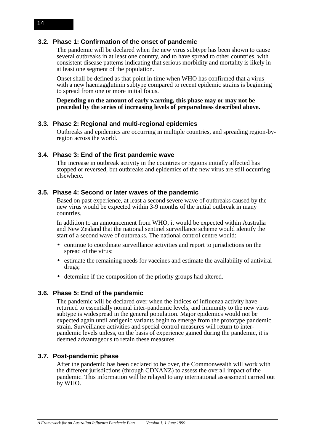# **3.2. Phase 1: Confirmation of the onset of pandemic**

The pandemic will be declared when the new virus subtype has been shown to cause several outbreaks in at least one country, and to have spread to other countries, with consistent disease patterns indicating that serious morbidity and mortality is likely in at least one segment of the population.

Onset shall be defined as that point in time when WHO has confirmed that a virus with a new haemagglutinin subtype compared to recent epidemic strains is beginning to spread from one or more initial focus.

**Depending on the amount of early warning, this phase may or may not be preceded by the series of increasing levels of preparedness described above.**

#### **3.3. Phase 2: Regional and multi-regional epidemics**

Outbreaks and epidemics are occurring in multiple countries, and spreading region-byregion across the world.

#### **3.4. Phase 3: End of the first pandemic wave**

The increase in outbreak activity in the countries or regions initially affected has stopped or reversed, but outbreaks and epidemics of the new virus are still occurring elsewhere.

#### **3.5. Phase 4: Second or later waves of the pandemic**

Based on past experience, at least a second severe wave of outbreaks caused by the new virus would be expected within 3-9 months of the initial outbreak in many countries.

In addition to an announcement from WHO, it would be expected within Australia and New Zealand that the national sentinel surveillance scheme would identify the start of a second wave of outbreaks. The national control centre would:

- continue to coordinate surveillance activities and report to jurisdictions on the spread of the virus;
- estimate the remaining needs for vaccines and estimate the availability of antiviral drugs;
- determine if the composition of the priority groups had altered.

#### **3.6. Phase 5: End of the pandemic**

The pandemic will be declared over when the indices of influenza activity have returned to essentially normal inter-pandemic levels, and immunity to the new virus subtype is widespread in the general population. Major epidemics would not be expected again until antigenic variants begin to emerge from the prototype pandemic strain. Surveillance activities and special control measures will return to interpandemic levels unless, on the basis of experience gained during the pandemic, it is deemed advantageous to retain these measures.

#### **3.7. Post-pandemic phase**

After the pandemic has been declared to be over, the Commonwealth will work with the different jurisdictions (through CDNANZ) to assess the overall impact of the pandemic. This information will be relayed to any international assessment carried out by WHO.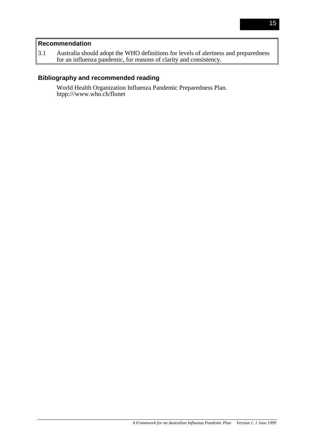# **Recommendation**

3.1 Australia should adopt the WHO definitions for levels of alertness and preparedness for an influenza pandemic, for reasons of clarity and consistency.

# **Bibliography and recommended reading**

World Health Organization Influenza Pandemic Preparedness Plan. htpp:///www.who.ch/flunet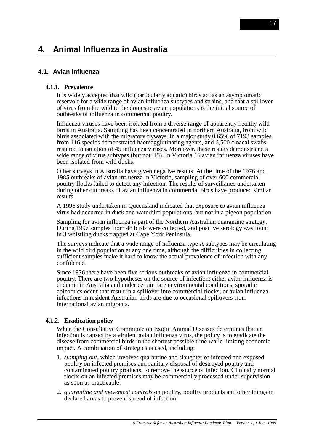# **4. Animal Influenza in Australia**

# **4.1. Avian influenza**

#### **4.1.1. Prevalence**

It is widely accepted that wild (particularly aquatic) birds act as an asymptomatic reservoir for a wide range of avian influenza subtypes and strains, and that a spillover of virus from the wild to the domestic avian populations is the initial source of outbreaks of influenza in commercial poultry.

Influenza viruses have been isolated from a diverse range of apparently healthy wild birds in Australia. Sampling has been concentrated in northern Australia, from wild birds associated with the migratory flyways. In a major study 0.65% of 7193 samples from 116 species demonstrated haemagglutinating agents, and 6,500 cloacal swabs resulted in isolation of 45 influenza viruses. Moreover, these results demonstrated a wide range of virus subtypes (but not H5). In Victoria 16 avian influenza viruses have been isolated from wild ducks.

Other surveys in Australia have given negative results. At the time of the 1976 and 1985 outbreaks of avian influenza in Victoria, sampling of over 600 commercial poultry flocks failed to detect any infection. The results of surveillance undertaken during other outbreaks of avian influenza in commercial birds have produced similar results.

A 1996 study undertaken in Queensland indicated that exposure to avian influenza virus had occurred in duck and waterbird populations, but not in a pigeon population.

Sampling for avian influenza is part of the Northern Australian quarantine strategy. During 1997 samples from 48 birds were collected, and positive serology was found in 3 whistling ducks trapped at Cape York Peninsula.

The surveys indicate that a wide range of influenza type A subtypes may be circulating in the wild bird population at any one time, although the difficulties in collecting sufficient samples make it hard to know the actual prevalence of infection with any confidence.

Since 1976 there have been five serious outbreaks of avian influenza in commercial poultry. There are two hypotheses on the source of infection: either avian influenza is endemic in Australia and under certain rare environmental conditions, sporadic epizootics occur that result in a spillover into commercial flocks; or avian influenza infections in resident Australian birds are due to occasional spillovers from international avian migrants.

#### **4.1.2. Eradication policy**

When the Consultative Committee on Exotic Animal Diseases determines that an infection is caused by a virulent avian influenza virus, the policy is to eradicate the disease from commercial birds in the shortest possible time while limiting economic impact. A combination of strategies is used, including:

- 1. *stamping out,* which involves quarantine and slaughter of infected and exposed poultry on infected premises and sanitary disposal of destroyed poultry and contaminated poultry products, to remove the source of infection. Clinically normal flocks on an infected premises may be commercially processed under supervision as soon as practicable;
- 2. *quarantine and movement controls* on poultry, poultry products and other things in declared areas to prevent spread of infection;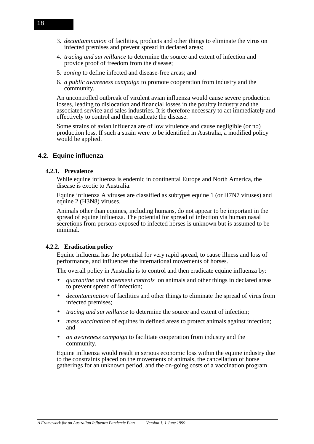- 3. *decontamination* of facilities, products and other things to eliminate the virus on infected premises and prevent spread in declared areas;
- 4. *tracing and surveillance* to determine the source and extent of infection and provide proof of freedom from the disease;
- 5. *zoning* to define infected and disease-free areas; and
- 6. *a public awareness campaign* to promote cooperation from industry and the community.

An uncontrolled outbreak of virulent avian influenza would cause severe production losses, leading to dislocation and financial losses in the poultry industry and the associated service and sales industries. It is therefore necessary to act immediately and effectively to control and then eradicate the disease.

Some strains of avian influenza are of low virulence and cause negligible (or no) production loss. If such a strain were to be identified in Australia, a modified policy would be applied.

#### **4.2. Equine influenza**

#### **4.2.1. Prevalence**

While equine influenza is endemic in continental Europe and North America, the disease is exotic to Australia.

Equine influenza A viruses are classified as subtypes equine 1 (or H7N7 viruses) and equine 2 (H3N8) viruses.

Animals other than equines, including humans, do not appear to be important in the spread of equine influenza. The potential for spread of infection via human nasal secretions from persons exposed to infected horses is unknown but is assumed to be minimal.

#### **4.2.2. Eradication policy**

Equine influenza has the potential for very rapid spread, to cause illness and loss of performance, and influences the international movements of horses.

The overall policy in Australia is to control and then eradicate equine influenza by:

- *quarantine and movement controls* on animals and other things in declared areas to prevent spread of infection;
- *decontamination* of facilities and other things to eliminate the spread of virus from infected premises;
- *tracing and surveillance* to determine the source and extent of infection;
- *mass vaccination* of equines in defined areas to protect animals against infection; and
- *an awareness campaign* to facilitate cooperation from industry and the community.

Equine influenza would result in serious economic loss within the equine industry due to the constraints placed on the movements of animals, the cancellation of horse gatherings for an unknown period, and the on-going costs of a vaccination program.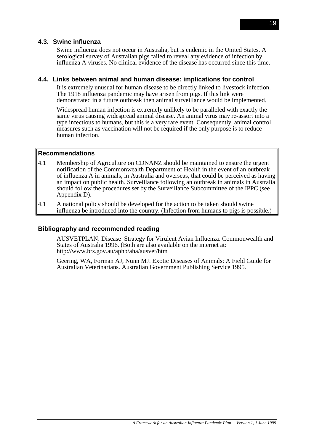## **4.3. Swine influenza**

Swine influenza does not occur in Australia, but is endemic in the United States. A serological survey of Australian pigs failed to reveal any evidence of infection by influenza A viruses. No clinical evidence of the disease has occurred since this time.

#### **4.4. Links between animal and human disease: implications for control**

It is extremely unusual for human disease to be directly linked to livestock infection. The 1918 influenza pandemic may have arisen from pigs. If this link were demonstrated in a future outbreak then animal surveillance would be implemented.

Widespread human infection is extremely unlikely to be paralleled with exactly the same virus causing widespread animal disease. An animal virus may re-assort into a type infectious to humans, but this is a very rare event. Consequently, animal control measures such as vaccination will not be required if the only purpose is to reduce human infection.

#### **Recommendations**

- 4.1 Membership of Agriculture on CDNANZ should be maintained to ensure the urgent notification of the Commonwealth Department of Health in the event of an outbreak of influenza A in animals, in Australia and overseas, that could be perceived as having an impact on public health. Surveillance following an outbreak in animals in Australia should follow the procedures set by the Surveillance Subcommittee of the IPPC (see Appendix D).
- 4.1 A national policy should be developed for the action to be taken should swine influenza be introduced into the country. (Infection from humans to pigs is possible.)

#### **Bibliography and recommended reading**

AUSVETPLAN: Disease Strategy for Virulent Avian Influenza. Commonwealth and States of Australia 1996. (Both are also available on the internet at: http://www.brs.gov.au/aphb/aha/ausvet/htm

Geering, WA, Forman AJ, Nunn MJ. Exotic Diseases of Animals: A Field Guide for Australian Veterinarians. Australian Government Publishing Service 1995.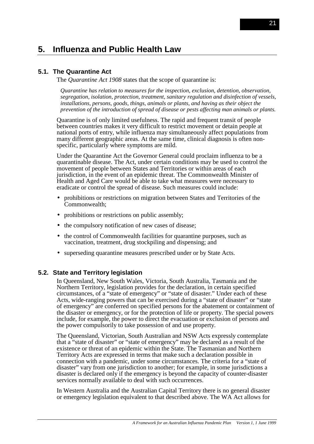# **5. Influenza and Public Health Law**

# **5.1. The Quarantine Act**

The *Quarantine Act 1908* states that the scope of quarantine is:

*Quarantine has relation to measures for the inspection, exclusion, detention, observation, segregation, isolation, protection, treatment, sanitary regulation and disinfection of vessels, installations, persons, goods, things, animals or plants, and having as their object the prevention of the introduction of spread of disease or pests affecting man animals or plants.*

Quarantine is of only limited usefulness. The rapid and frequent transit of people between countries makes it very difficult to restrict movement or detain people at national ports of entry, while influenza may simultaneously affect populations from many different geographic areas. At the same time, clinical diagnosis is often nonspecific, particularly where symptoms are mild.

Under the Quarantine Act the Governor General could proclaim influenza to be a quarantinable disease. The Act, under certain conditions may be used to control the movement of people between States and Territories or within areas of each jurisdiction, in the event of an epidemic threat. The Commonwealth Minister of Health and Aged Care would be able to take what measures were necessary to eradicate or control the spread of disease. Such measures could include:

- prohibitions or restrictions on migration between States and Territories of the Commonwealth;
- prohibitions or restrictions on public assembly;
- the compulsory notification of new cases of disease;
- the control of Commonwealth facilities for quarantine purposes, such as vaccination, treatment, drug stockpiling and dispensing; and
- superseding quarantine measures prescribed under or by State Acts.

#### **5.2. State and Territory legislation**

In Queensland, New South Wales, Victoria, South Australia, Tasmania and the Northern Territory, legislation provides for the declaration, in certain specified circumstances, of a "state of emergency" or "state of disaster." Under each of these Acts, wide-ranging powers that can be exercised during a "state of disaster" or "state of emergency" are conferred on specified persons for the abatement or containment of the disaster or emergency, or for the protection of life or property. The special powers include, for example, the power to direct the evacuation or exclusion of persons and the power compulsorily to take possession of and use property.

The Queensland, Victorian, South Australian and NSW Acts expressly contemplate that a "state of disaster" or "state of emergency" may be declared as a result of the existence or threat of an epidemic within the State. The Tasmanian and Northern Territory Acts are expressed in terms that make such a declaration possible in connection with a pandemic, under some circumstances. The criteria for a "state of disaster" vary from one jurisdiction to another; for example, in some jurisdictions a disaster is declared only if the emergency is beyond the capacity of counter-disaster services normally available to deal with such occurrences.

In Western Australia and the Australian Capital Territory there is no general disaster or emergency legislation equivalent to that described above. The WA Act allows for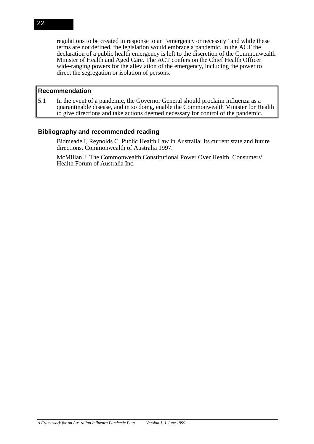regulations to be created in response to an "emergency or necessity" and while these terms are not defined, the legislation would embrace a pandemic. In the ACT the declaration of a public health emergency is left to the discretion of the Commonwealth Minister of Health and Aged Care. The ACT confers on the Chief Health Officer wide-ranging powers for the alleviation of the emergency, including the power to direct the segregation or isolation of persons.

#### **Recommendation**

5.1 In the event of a pandemic, the Governor General should proclaim influenza as a quarantinable disease, and in so doing, enable the Commonwealth Minister for Health to give directions and take actions deemed necessary for control of the pandemic.

# **Bibliography and recommended reading**

Bidmeade I, Reynolds C. Public Health Law in Australia: Its current state and future directions. Commonwealth of Australia 1997.

McMillan J. The Commonwealth Constitutional Power Over Health. Consumers' Health Forum of Australia Inc.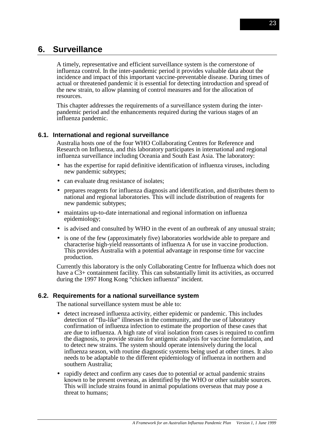# **6. Surveillance**

A timely, representative and efficient surveillance system is the cornerstone of influenza control. In the inter-pandemic period it provides valuable data about the incidence and impact of this important vaccine-preventable disease. During times of actual or threatened pandemic it is essential for detecting introduction and spread of the new strain, to allow planning of control measures and for the allocation of resources.

This chapter addresses the requirements of a surveillance system during the interpandemic period and the enhancements required during the various stages of an influenza pandemic.

# **6.1. International and regional surveillance**

Australia hosts one of the four WHO Collaborating Centres for Reference and Research on Influenza, and this laboratory participates in international and regional influenza surveillance including Oceania and South East Asia. The laboratory:

- has the expertise for rapid definitive identification of influenza viruses, including new pandemic subtypes;
- can evaluate drug resistance of isolates;
- prepares reagents for influenza diagnosis and identification, and distributes them to national and regional laboratories. This will include distribution of reagents for new pandemic subtypes;
- maintains up-to-date international and regional information on influenza epidemiology;
- is advised and consulted by WHO in the event of an outbreak of any unusual strain;
- is one of the few (approximately five) laboratories worldwide able to prepare and characterise high-yield reassortants of influenza A for use in vaccine production. This provides Australia with a potential advantage in response time for vaccine production.

Currently this laboratory is the only Collaborating Centre for Influenza which does not have a  $\rm C3+$  containment facility. This can substantially limit its activities, as occurred during the 1997 Hong Kong "chicken influenza" incident.

## **6.2. Requirements for a national surveillance system**

The national surveillance system must be able to:

- detect increased influenza activity, either epidemic or pandemic. This includes detection of "flu-like" illnesses in the community, and the use of laboratory confirmation of influenza infection to estimate the proportion of these cases that are due to influenza. A high rate of viral isolation from cases is required to confirm the diagnosis, to provide strains for antigenic analysis for vaccine formulation, and to detect new strains. The system should operate intensively during the local influenza season, with routine diagnostic systems being used at other times. It also needs to be adaptable to the different epidemiology of influenza in northern and southern Australia;
- rapidly detect and confirm any cases due to potential or actual pandemic strains known to be present overseas, as identified by the WHO or other suitable sources. This will include strains found in animal populations overseas that may pose a threat to humans;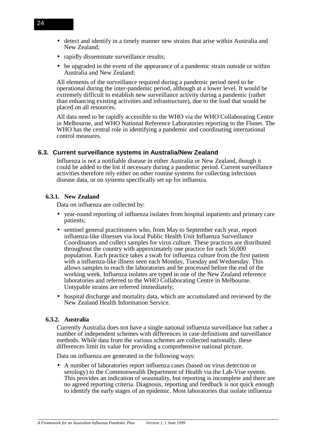- detect and identify in a timely manner new strains that arise within Australia and New Zealand;
- rapidly disseminate surveillance results;
- be upgraded in the event of the appearance of a pandemic strain outside or within Australia and New Zealand;

All elements of the surveillance required during a pandemic period need to be operational during the inter-pandemic period, although at a lower level. It would be extremely difficult to establish new surveillance activity during a pandemic (rather than enhancing existing activities and infrastructure), due to the load that would be placed on all resources.

All data need to be rapidly accessible to the WHO via the WHO Collaborating Centre in Melbourne, and WHO National Reference Laboratories reporting to the Flunet. The WHO has the central role in identifying a pandemic and coordinating international control measures.

## **6.3. Current surveillance systems in Australia/New Zealand**

Influenza is not a notifiable disease in either Australia or New Zealand, though it could be added to the list if necessary during a pandemic period. Current surveillance activities therefore rely either on other routine systems for collecting infectious disease data, or on systems specifically set up for influenza.

## **6.3.1. New Zealand**

Data on influenza are collected by:

- year-round reporting of influenza isolates from hospital inpatients and primary care patients;
- sentinel general practitioners who, from May to September each year, report influenza-like illnesses via local Public Health Unit Influenza Surveillance Coordinators and collect samples for virus culture. These practices are distributed throughout the country with approximately one practice for each 50,000 population. Each practice takes a swab for influenza culture from the first patient with a influenza-like illness seen each Monday, Tuesday and Wednesday. This allows samples to reach the laboratories and be processed before the end of the working week. Influenza isolates are typed in one of the New Zealand reference laboratories and referred to the WHO Collaborating Centre in Melbourne. Untypable strains are referred immediately;
- hospital discharge and mortality data, which are accumulated and reviewed by the New Zealand Health Information Service.

## **6.3.2. Australia**

Currently Australia does not have a single national influenza surveillance but rather a number of independent schemes with differences in case definitions and surveillance methods. While data from the various schemes are collected nationally, these differences limit its value for providing a comprehensive national picture.

Data on influenza are generated in the following ways:

• A number of laboratories report influenza cases (based on virus detection or serology) to the Commonwealth Department of Health via the Lab-Vise system. This provides an indication of seasonality, but reporting is incomplete and there are no agreed reporting criteria. Diagnosis, reporting and feedback is not quick enough to identify the early stages of an epidemic. Most laboratories that isolate influenza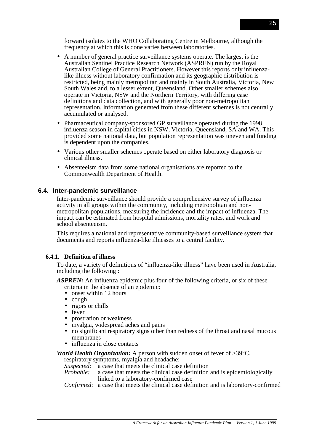forward isolates to the WHO Collaborating Centre in Melbourne, although the frequency at which this is done varies between laboratories.

- A number of general practice surveillance systems operate. The largest is the Australian Sentinel Practice Research Network (ASPREN) run by the Royal Australian College of General Practitioners. However this reports only influenzalike illness without laboratory confirmation and its geographic distribution is restricted, being mainly metropolitan and mainly in South Australia, Victoria, New South Wales and, to a lesser extent, Queensland. Other smaller schemes also operate in Victoria, NSW and the Northern Territory, with differing case definitions and data collection, and with generally poor non-metropolitan representation. Information generated from these different schemes is not centrally accumulated or analysed.
- Pharmaceutical company-sponsored GP surveillance operated during the 1998 influenza season in capital cities in NSW, Victoria, Queensland, SA and WA. This provided some national data, but population representation was uneven and funding is dependent upon the companies.
- Various other smaller schemes operate based on either laboratory diagnosis or clinical illness.
- Absenteeism data from some national organisations are reported to the Commonwealth Department of Health.

## **6.4. Inter-pandemic surveillance**

Inter-pandemic surveillance should provide a comprehensive survey of influenza activity in all groups within the community, including metropolitan and nonmetropolitan populations, measuring the incidence and the impact of influenza. The impact can be estimated from hospital admissions, mortality rates, and work and school absenteeism.

This requires a national and representative community-based surveillance system that documents and reports influenza-like illnesses to a central facility.

#### **6.4.1. Definition of illness**

To date, a variety of definitions of "influenza-like illness" have been used in Australia, including the following :

*ASPREN:* An influenza epidemic plus four of the following criteria, or six of these criteria in the absence of an epidemic:

- onset within 12 hours
- cough
- rigors or chills
- fever
- prostration or weakness
- myalgia, widespread aches and pains
- no significant respiratory signs other than redness of the throat and nasal mucous membranes
- influenza in close contacts

*World Health Organization:* A person with sudden onset of fever of >39<sup>o</sup>C,

respiratory symptoms, myalgia and headache:

*Suspected:* a case that meets the clinical case definition *Probable:* a case that meets the clinical case definition

a case that meets the clinical case definition and is epidemiologically linked to a laboratory-confirmed case

*Confirmed*: a case that meets the clinical case definition and is laboratory-confirmed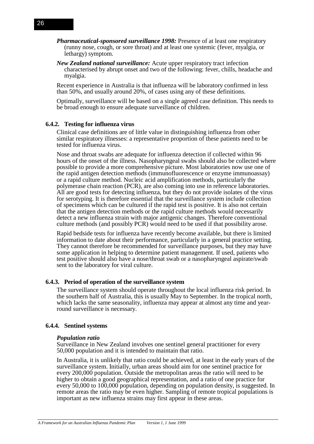- *Pharmaceutical-sponsored surveillance 1998:* Presence of at least one respiratory (runny nose, cough, or sore throat) and at least one systemic (fever, myalgia, or lethargy) symptom.
- *New Zealand national surveillance:* Acute upper respiratory tract infection characterised by abrupt onset and two of the following: fever, chills, headache and myalgia.

Recent experience in Australia is that influenza will be laboratory confirmed in less than 50%, and usually around 20%, of cases using any of these definitions.

Optimally, surveillance will be based on a single agreed case definition. This needs to be broad enough to ensure adequate surveillance of children.

#### **6.4.2. Testing for influenza virus**

Clinical case definitions are of little value in distinguishing influenza from other similar respiratory illnesses: a representative proportion of these patients need to be tested for influenza virus.

Nose and throat swabs are adequate for influenza detection if collected within 96 hours of the onset of the illness. Nasopharyngeal swabs should also be collected where possible to provide a more comprehensive picture. Most laboratories now use one of the rapid antigen detection methods (immunofluorescence or enzyme immunoassay) or a rapid culture method. Nucleic acid amplification methods, particularly the polymerase chain reaction (PCR), are also coming into use in reference laboratories. All are good tests for detecting influenza, but they do not provide isolates of the virus for serotyping. It is therefore essential that the surveillance system include collection of specimens which can be cultured if the rapid test is positive. It is also not certain that the antigen detection methods or the rapid culture methods would necessarily detect a new influenza strain with major antigenic changes. Therefore conventional culture methods (and possibly PCR) would need to be used if that possibility arose.

Rapid bedside tests for influenza have recently become available, but there is limited information to date about their performance, particularly in a general practice setting. They cannot therefore be recommended for surveillance purposes, but they may have some application in helping to determine patient management. If used, patients who test positive should also have a nose/throat swab or a nasopharyngeal aspirate/swab sent to the laboratory for viral culture.

#### **6.4.3. Period of operation of the surveillance system**

The surveillance system should operate throughout the local influenza risk period. In the southern half of Australia, this is usually May to September. In the tropical north, which lacks the same seasonality, influenza may appear at almost any time and yearround surveillance is necessary.

#### **6.4.4. Sentinel systems**

#### *Population ratio*

Surveillance in New Zealand involves one sentinel general practitioner for every 50,000 population and it is intended to maintain that ratio.

In Australia, it is unlikely that ratio could be achieved, at least in the early years of the surveillance system. Initially, urban areas should aim for one sentinel practice for every 200,000 population. Outside the metropolitan areas the ratio will need to be higher to obtain a good geographical representation, and a ratio of one practice for every 50,000 to 100,000 population, depending on population density, is suggested. In remote areas the ratio may be even higher. Sampling of remote tropical populations is important as new influenza strains may first appear in these areas.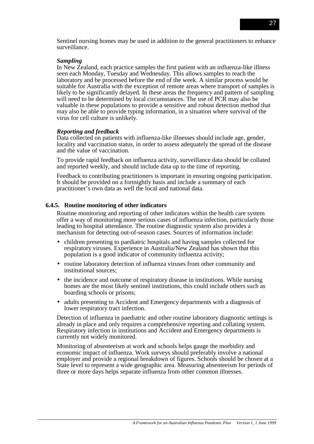Sentinel nursing homes may be used in addition to the general practitioners to enhance surveillance.

### *Sampling*

In New Zealand, each practice samples the first patient with an influenza-like illness seen each Monday, Tuesday and Wednesday. This allows samples to reach the laboratory and be processed before the end of the week. A similar process would be suitable for Australia with the exception of remote areas where transport of samples is likely to be significantly delayed. In these areas the frequency and pattern of sampling will need to be determined by local circumstances. The use of PCR may also be valuable in these populations to provide a sensitive and robust detection method that may also be able to provide typing information, in a situation where survival of the virus for cell culture is unlikely.

### *Reporting and feedback*

Data collected on patients with influenza-like illnesses should include age, gender, locality and vaccination status, in order to assess adequately the spread of the disease and the value of vaccination.

To provide rapid feedback on influenza activity, surveillance data should be collated and reported weekly, and should include data up to the time of reporting.

Feedback to contributing practitioners is important in ensuring ongoing participation. It should be provided on a fortnightly basis and include a summary of each practitioner's own data as well the local and national data.

## **6.4.5. Routine monitoring of other indicators**

Routine monitoring and reporting of other indicators within the health care system offer a way of monitoring more serious cases of influenza infection, particularly those leading to hospital attendance. The routine diagnostic system also provides a mechanism for detecting out-of-season cases. Sources of information include:

- children presenting to paediatric hospitals and having samples collected for respiratory viruses. Experience in Australia/New Zealand has shown that this population is a good indicator of community influenza activity;
- routine laboratory detection of influenza viruses from other community and institutional sources;
- the incidence and outcome of respiratory disease in institutions. While nursing homes are the most likely sentinel institutions, this could include others such as boarding schools or prisons;
- adults presenting to Accident and Emergency departments with a diagnosis of lower respiratory tract infection.

Detection of influenza in paediatric and other routine laboratory diagnostic settings is already in place and only requires a comprehensive reporting and collating system. Respiratory infection in institutions and Accident and Emergency departments is currently not widely monitored.

Monitoring of absenteeism at work and schools helps gauge the morbidity and economic impact of influenza. Work surveys should preferably involve a national employer and provide a regional breakdown of figures. Schools should be chosen at a State level to represent a wide geographic area. Measuring absenteeism for periods of three or more days helps separate influenza from other common illnesses.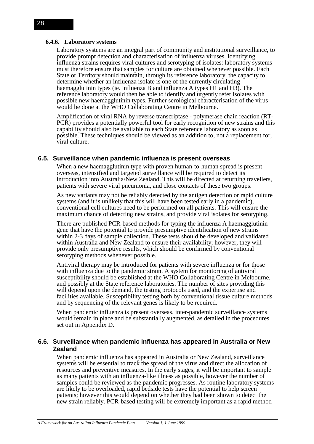#### **6.4.6. Laboratory systems**

Laboratory systems are an integral part of community and institutional surveillance, to provide prompt detection and characterisation of influenza viruses. Identifying influenza strains requires viral cultures and serotyping of isolates: laboratory systems must therefore ensure that samples for culture are obtained whenever possible. Each State or Territory should maintain, through its reference laboratory, the capacity to determine whether an influenza isolate is one of the currently circulating haemagglutinin types (ie. influenza B and influenza A types H1 and H3). The reference laboratory would then be able to identify and urgently refer isolates with possible new haemagglutinin types. Further serological characterisation of the virus would be done at the WHO Collaborating Centre in Melbourne.

Amplification of viral RNA by reverse transcriptase - polymerase chain reaction (RT-PCR) provides a potentially powerful tool for early recognition of new strains and this capability should also be available to each State reference laboratory as soon as possible. These techniques should be viewed as an addition to, not a replacement for, viral culture.

#### **6.5. Surveillance when pandemic influenza is present overseas**

When a new haemagglutinin type with proven human-to-human spread is present overseas, intensified and targeted surveillance will be required to detect its introduction into Australia/New Zealand. This will be directed at returning travellers, patients with severe viral pneumonia, and close contacts of these two groups.

As new variants may not be reliably detected by the antigen detection or rapid culture systems (and it is unlikely that this will have been tested early in a pandemic), conventional cell cultures need to be performed on all patients. This will ensure the maximum chance of detecting new strains, and provide viral isolates for serotyping.

There are published PCR-based methods for typing the influenza A haemagglutinin gene that have the potential to provide presumptive identification of new strains within 2-3 days of sample collection. These tests should be developed and validated within Australia and New Zealand to ensure their availability; however, they will provide only presumptive results, which should be confirmed by conventional serotyping methods whenever possible.

Antiviral therapy may be introduced for patients with severe influenza or for those with influenza due to the pandemic strain. A system for monitoring of antiviral susceptibility should be established at the WHO Collaborating Centre in Melbourne, and possibly at the State reference laboratories. The number of sites providing this will depend upon the demand, the testing protocols used, and the expertise and facilities available. Susceptibility testing both by conventional tissue culture methods and by sequencing of the relevant genes is likely to be required.

When pandemic influenza is present overseas, inter-pandemic surveillance systems would remain in place and be substantially augmented, as detailed in the procedures set out in Appendix D.

## **6.6. Surveillance when pandemic influenza has appeared in Australia or New Zealand**

When pandemic influenza has appeared in Australia or New Zealand, surveillance systems will be essential to track the spread of the virus and direct the allocation of resources and preventive measures. In the early stages, it will be important to sample as many patients with an influenza-like illness as possible, however the number of samples could be reviewed as the pandemic progresses. As routine laboratory systems are likely to be overloaded, rapid bedside tests have the potential to help screen patients; however this would depend on whether they had been shown to detect the new strain reliably. PCR-based testing will be extremely important as a rapid method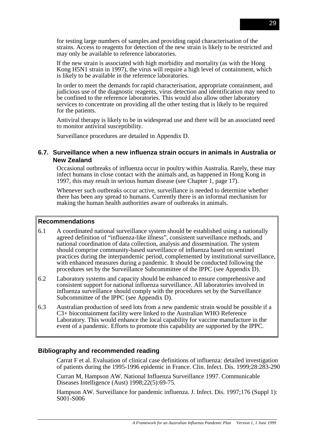for testing large numbers of samples and providing rapid characterisation of the strains. Access to reagents for detection of the new strain is likely to be restricted and may only be available to reference laboratories.

If the new strain is associated with high morbidity and mortality (as with the Hong Kong H5N1 strain in 1997), the virus will require a high level of containment, which is likely to be available in the reference laboratories.

In order to meet the demands for rapid characterisation, appropriate containment, and judicious use of the diagnostic reagents, virus detection and identification may need to be confined to the reference laboratories. This would also allow other laboratory services to concentrate on providing all the other testing that is likely to be required for the patients.

Antiviral therapy is likely to be in widespread use and there will be an associated need to monitor antiviral susceptibility.

Surveillance procedures are detailed in Appendix D.

# **6.7. Surveillance when a new influenza strain occurs in animals in Australia or New Zealand**

Occasional outbreaks of influenza occur in poultry within Australia. Rarely, these may infect humans in close contact with the animals and, as happened in Hong Kong in 1997, this may result in serious human disease (see Chapter 1, page 17).

Whenever such outbreaks occur active, surveillance is needed to determine whether there has been any spread to humans. Currently there is an informal mechanism for making the human health authorities aware of outbreaks in animals.

## **Recommendations**

- 6.1 A coordinated national surveillance system should be established using a nationally agreed definition of "influenza-like illness", consistent surveillance methods, and national coordination of data collection, analysis and dissemination. The system should comprise community-based surveillance of influenza based on sentinel practices during the interpandemic period, complemented by institutional surveillance, with enhanced measures during a pandemic. It should be conducted following the procedures set by the Surveillance Subcommittee of the IPPC (see Appendix D).
- 6.2 Laboratory systems and capacity should be enhanced to ensure comprehensive and consistent support for national influenza surveillance. All laboratories involved in influenza surveillance should comply with the procedures set by the Surveillance Subcommittee of the IPPC (see Appendix D).
- 6.3 Australian production of seed lots from a new pandemic strain would be possible if a C3+ biocontainment facility were linked to the Australian WHO Reference Laboratory. This would enhance the local capability for vaccine manufacture in the event of a pandemic. Efforts to promote this capability are supported by the IPPC.

## **Bibliography and recommended reading**

Carrat F et al. Evaluation of clinical case definitions of influenza: detailed investigation of patients during the 1995-1996 epidemic in France. Clin. Infect. Dis. 1999;28:283-290

Curran M, Hampson AW. National Influenza Surveillance 1997. Communicable Diseases Intelligence (Aust) 1998;22(5):69-75.

Hampson AW. Surveillance for pandemic influenza. J. Infect. Dis. 1997;176 (Suppl 1): S001-S006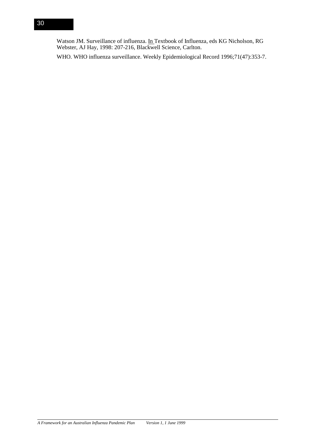Watson JM. Surveillance of influenza. In Textbook of Influenza, eds KG Nicholson, RG Webster, AJ Hay, 1998: 207-216, Blackwell Science, Carlton.

WHO. WHO influenza surveillance. Weekly Epidemiological Record 1996;71(47):353-7.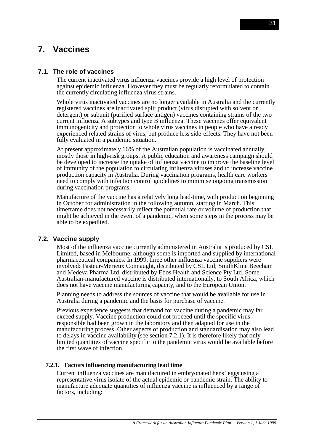# **7. Vaccines**

## **7.1. The role of vaccines**

The current inactivated virus influenza vaccines provide a high level of protection against epidemic influenza. However they must be regularly reformulated to contain the currently circulating influenza virus strains.

Whole virus inactivated vaccines are no longer available in Australia and the currently registered vaccines are inactivated split product (virus disrupted with solvent or detergent) or subunit (purified surface antigen) vaccines containing strains of the two current influenza A subtypes and type B influenza. These vaccines offer equivalent immunogenicity and protection to whole virus vaccines in people who have already experienced related strains of virus, but produce less side-effects. They have not been fully evaluated in a pandemic situation.

At present approximately 16% of the Australian population is vaccinated annually, mostly those in high-risk groups. A public education and awareness campaign should be developed to increase the uptake of influenza vaccine to improve the baseline level of immunity of the population to circulating influenza viruses and to increase vaccine production capacity in Australia. During vaccination programs, health care workers need to comply with infection control guidelines to minimise ongoing transmission during vaccination programs.

Manufacture of the vaccine has a relatively long lead-time, with production beginning in October for administration in the following autumn, starting in March. This timeframe does not necessarily reflect the potential rate or volume of production that might be achieved in the event of a pandemic, when some steps in the process may be able to be expedited.

# **7.2. Vaccine supply**

Most of the influenza vaccine currently administered in Australia is produced by CSL Limited, based in Melbourne, although some is imported and supplied by international pharmaceutical companies. In 1999, three other influenza vaccine suppliers were involved: Pasteur-Merieux Connaught, distributed by CSL Ltd; SmithKline Beecham and Medeva Pharma Ltd, distributed by Ebos Health and Science Pty Ltd. Some Australian-manufactured vaccine is distributed internationally, to South Africa, which does not have vaccine manufacturing capacity, and to the European Union.

Planning needs to address the sources of vaccine that would be available for use in Australia during a pandemic and the basis for purchase of vaccine.

Previous experience suggests that demand for vaccine during a pandemic may far exceed supply. Vaccine production could not proceed until the specific virus responsible had been grown in the laboratory and then adapted for use in the manufacturing process. Other aspects of production and standardisation may also lead to delays in vaccine availability (see section 7.2.1). It is therefore likely that only limited quantities of vaccine specific to the pandemic virus would be available before the first wave of infection.

#### **7.2.1. Factors influencing manufacturing lead time**

Current influenza vaccines are manufactured in embryonated hens' eggs using a representative virus isolate of the actual epidemic or pandemic strain. The ability to manufacture adequate quantities of influenza vaccine is influenced by a range of factors, including: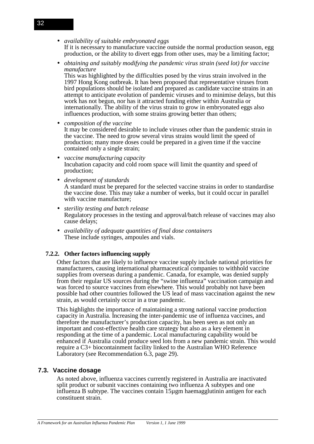• *availability of suitable embryonated eggs*

If it is necessary to manufacture vaccine outside the normal production season, egg production, or the ability to divert eggs from other uses, may be a limiting factor;

• *obtaining and suitably modifying the pandemic virus strain (seed lot) for vaccine manufacture*

This was highlighted by the difficulties posed by the virus strain involved in the 1997 Hong Kong outbreak. It has been proposed that representative viruses from bird populations should be isolated and prepared as candidate vaccine strains in an attempt to anticipate evolution of pandemic viruses and to minimise delays, but this work has not begun, nor has it attracted funding either within Australia or internationally. The ability of the virus strain to grow in embryonated eggs also influences production, with some strains growing better than others;

- *composition of the vaccine* It may be considered desirable to include viruses other than the pandemic strain in the vaccine. The need to grow several virus strains would limit the speed of production; many more doses could be prepared in a given time if the vaccine contained only a single strain;
- *vaccine manufacturing capacity* Incubation capacity and cold room space will limit the quantity and speed of production;
- *development of standards*

A standard must be prepared for the selected vaccine strains in order to standardise the vaccine dose. This may take a number of weeks, but it could occur in parallel with vaccine manufacture;

- *sterility testing and batch release* Regulatory processes in the testing and approval/batch release of vaccines may also cause delays;
- *availability of adequate quantities of final dose containers* These include syringes, ampoules and vials.

# **7.2.2. Other factors influencing supply**

Other factors that are likely to influence vaccine supply include national priorities for manufacturers, causing international pharmaceutical companies to withhold vaccine supplies from overseas during a pandemic. Canada, for example, was denied supply from their regular US sources during the "swine influenza" vaccination campaign and was forced to source vaccines from elsewhere. This would probably not have been possible had other countries followed the US lead of mass vaccination against the new strain, as would certainly occur in a true pandemic.

This highlights the importance of maintaining a strong national vaccine production capacity in Australia. Increasing the inter-pandemic use of influenza vaccines, and therefore the manufacturer's production capacity, has been seen as not only an important and cost-effective health care strategy but also as a key element in responding at the time of a pandemic. Local manufacturing capability would be enhanced if Australia could produce seed lots from a new pandemic strain. This would require a C3+ biocontainment facility linked to the Australian WHO Reference Laboratory (see Recommendation 6.3, page 29).

## **7.3. Vaccine dosage**

As noted above, influenza vaccines currently registered in Australia are inactivated split product or subunit vaccines containing two influenza A subtypes and one influenza B subtype. The vaccines contain 15µgm haemagglutinin antigen for each constituent strain.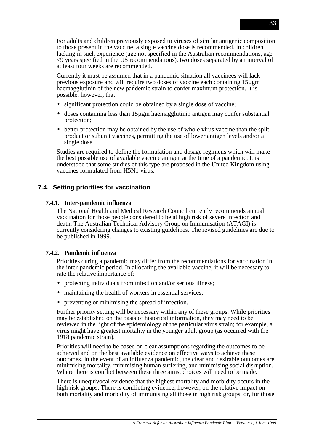For adults and children previously exposed to viruses of similar antigenic composition to those present in the vaccine, a single vaccine dose is recommended. In children lacking in such experience (age not specified in the Australian recommendations, age <9 years specified in the US recommendations), two doses separated by an interval of at least four weeks are recommended.

Currently it must be assumed that in a pandemic situation all vaccinees will lack previous exposure and will require two doses of vaccine each containing 15µgm haemagglutinin of the new pandemic strain to confer maximum protection. It is possible, however, that:

- significant protection could be obtained by a single dose of vaccine;
- doses containing less than 15 ugm haemagglutinin antigen may confer substantial protection;
- better protection may be obtained by the use of whole virus vaccine than the splitproduct or subunit vaccines, permitting the use of lower antigen levels and/or a single dose.

Studies are required to define the formulation and dosage regimens which will make the best possible use of available vaccine antigen at the time of a pandemic. It is understood that some studies of this type are proposed in the United Kingdom using vaccines formulated from H5N1 virus.

## **7.4. Setting priorities for vaccination**

### **7.4.1. Inter-pandemic influenza**

The National Health and Medical Research Council currently recommends annual vaccination for those people considered to be at high risk of severe infection and death. The Australian Technical Advisory Group on Immunisation (ATAGI) is currently considering changes to existing guidelines. The revised guidelines are due to be published in 1999.

## **7.4.2. Pandemic influenza**

Priorities during a pandemic may differ from the recommendations for vaccination in the inter-pandemic period. In allocating the available vaccine, it will be necessary to rate the relative importance of:

- protecting individuals from infection and/or serious illness;
- maintaining the health of workers in essential services;
- preventing or minimising the spread of infection.

Further priority setting will be necessary within any of these groups. While priorities may be established on the basis of historical information, they may need to be reviewed in the light of the epidemiology of the particular virus strain; for example, a virus might have greatest mortality in the younger adult group (as occurred with the 1918 pandemic strain).

Priorities will need to be based on clear assumptions regarding the outcomes to be achieved and on the best available evidence on effective ways to achieve these outcomes. In the event of an influenza pandemic, the clear and desirable outcomes are minimising mortality, minimising human suffering, and minimising social disruption. Where there is conflict between these three aims, choices will need to be made.

There is unequivocal evidence that the highest mortality and morbidity occurs in the high risk groups. There is conflicting evidence, however, on the relative impact on both mortality and morbidity of immunising all those in high risk groups, or, for those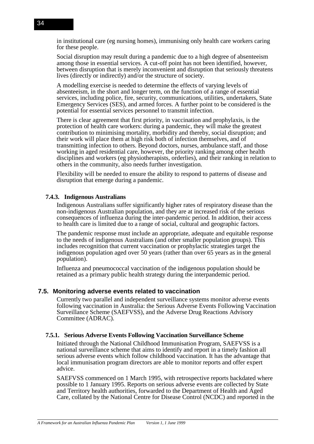in institutional care (eg nursing homes), immunising only health care workers caring for these people.

Social disruption may result during a pandemic due to a high degree of absenteeism among those in essential services. A cut-off point has not been identified, however, between disruption that is merely inconvenient and disruption that seriously threatens lives (directly or indirectly) and/or the structure of society.

A modelling exercise is needed to determine the effects of varying levels of absenteeism, in the short and longer term, on the function of a range of essential services, including police, fire, security, communications, utilities, undertakers, State Emergency Services (SES), and armed forces. A further point to be considered is the potential for essential services personnel to transmit infection.

There is clear agreement that first priority, in vaccination and prophylaxis, is the protection of health care workers: during a pandemic, they will make the greatest contribution to minimising mortality, morbidity and thereby, social disruption; and their work will place them at high risk both of infection themselves, and of transmitting infection to others. Beyond doctors, nurses, ambulance staff, and those working in aged residential care, however, the priority ranking among other health disciplines and workers (eg physiotherapists, orderlies), and their ranking in relation to others in the community, also needs further investigation.

Flexibility will be needed to ensure the ability to respond to patterns of disease and disruption that emerge during a pandemic.

### **7.4.3. Indigenous Australians**

Indigenous Australians suffer significantly higher rates of respiratory disease than the non-indigenous Australian population, and they are at increased risk of the serious consequences of influenza during the inter-pandemic period. In addition, their access to health care is limited due to a range of social, cultural and geographic factors.

The pandemic response must include an appropriate, adequate and equitable response to the needs of indigenous Australians (and other smaller population groups). This includes recognition that current vaccination or prophylactic strategies target the indigenous population aged over 50 years (rather than over 65 years as in the general population).

Influenza and pneumococcal vaccination of the indigenous population should be retained as a primary public health strategy during the interpandemic period.

#### **7.5. Monitoring adverse events related to vaccination**

Currently two parallel and independent surveillance systems monitor adverse events following vaccination in Australia: the Serious Adverse Events Following Vaccination Surveillance Scheme (SAEFVSS), and the Adverse Drug Reactions Advisory Committee (ADRAC).

#### **7.5.1. Serious Adverse Events Following Vaccination Surveillance Scheme**

Initiated through the National Childhood Immunisation Program, SAEFVSS is a national surveillance scheme that aims to identify and report in a timely fashion all serious adverse events which follow childhood vaccination. It has the advantage that local immunisation program directors are able to monitor reports and offer expert advice.

SAEFVSS commenced on 1 March 1995, with retrospective reports backdated where possible to 1 January 1995. Reports on serious adverse events are collected by State and Territory health authorities, forwarded to the Department of Health and Aged Care, collated by the National Centre for Disease Control (NCDC) and reported in the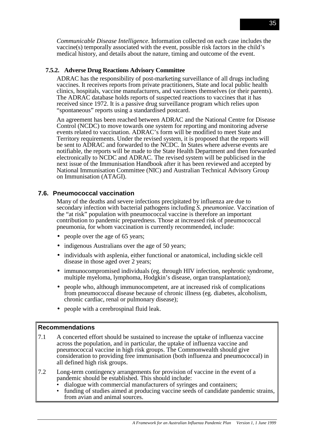*Communicable Disease Intelligence*. Information collected on each case includes the vaccine(s) temporally associated with the event, possible risk factors in the child's medical history, and details about the nature, timing and outcome of the event.

## **7.5.2. Adverse Drug Reactions Advisory Committee**

ADRAC has the responsibility of post-marketing surveillance of all drugs including vaccines. It receives reports from private practitioners, State and local public health clinics, hospitals, vaccine manufacturers, and vaccinees themselves (or their parents). The ADRAC database holds reports of suspected reactions to vaccines that it has received since 1972. It is a passive drug surveillance program which relies upon "spontaneous" reports using a standardised postcard.

An agreement has been reached between ADRAC and the National Centre for Disease Control (NCDC) to move towards one system for reporting and monitoring adverse events related to vaccination. ADRAC's form will be modified to meet State and Territory requirements. Under the revised system, it is proposed that the reports will be sent to ADRAC and forwarded to the NCDC. In States where adverse events are notifiable, the reports will be made to the State Health Department and then forwarded electronically to NCDC and ADRAC. The revised system will be publicised in the next issue of the Immunisation Handbook after it has been reviewed and accepted by National Immunisation Committee (NIC) and Australian Technical Advisory Group on Immunisation (ATAGI).

# **7.6. Pneumococcal vaccination**

Many of the deaths and severe infections precipitated by influenza are due to secondary infection with bacterial pathogens including *S. pneumoniae.* Vaccination of the "at risk" population with pneumococcal vaccine is therefore an important contribution to pandemic preparedness. Those at increased risk of pneumococcal pneumonia, for whom vaccination is currently recommended, include:

- people over the age of 65 years;
- indigenous Australians over the age of 50 years;
- individuals with asplenia, either functional or anatomical, including sickle cell disease in those aged over 2 years;
- immunocompromised individuals (eg. through HIV infection, nephrotic syndrome, multiple myeloma, lymphoma, Hodgkin's disease, organ transplantation);
- people who, although immunocompetent, are at increased risk of complications from pneumococcal disease because of chronic illness (eg. diabetes, alcoholism, chronic cardiac, renal or pulmonary disease);
- people with a cerebrospinal fluid leak.

# **Recommendations**

- 7.1 A concerted effort should be sustained to increase the uptake of influenza vaccine across the population, and in particular, the uptake of influenza vaccine and pneumococcal vaccine in high risk groups. The Commonwealth should give consideration to providing free immunisation (both influenza and pneumococcal) in all defined high risk groups.
- 7.2 Long-term contingency arrangements for provision of vaccine in the event of a pandemic should be established. This should include:
	- dialogue with commercial manufacturers of syringes and containers;<br>• funding of studies aimed at producing vaccine seeds of candidate par
	- funding of studies aimed at producing vaccine seeds of candidate pandemic strains, from avian and animal sources.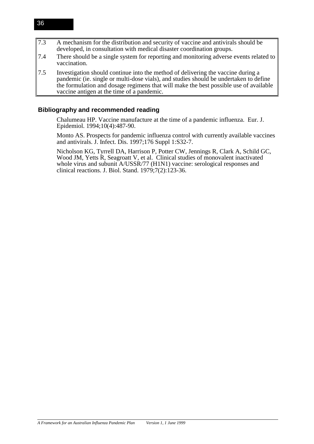- 7.3 A mechanism for the distribution and security of vaccine and antivirals should be developed, in consultation with medical disaster coordination groups.
- 7.4 There should be a single system for reporting and monitoring adverse events related to vaccination.
- 7.5 Investigation should continue into the method of delivering the vaccine during a pandemic (ie. single or multi-dose vials), and studies should be undertaken to define the formulation and dosage regimens that will make the best possible use of available vaccine antigen at the time of a pandemic.

## **Bibliography and recommended reading**

Chalumeau HP. Vaccine manufacture at the time of a pandemic influenza. Eur. J. Epidemiol. 1994;10(4):487-90.

Monto AS. Prospects for pandemic influenza control with currently available vaccines and antivirals. J. Infect. Dis. 1997;176 Suppl 1:S32-7.

Nicholson KG, Tyrrell DA, Harrison P, Potter CW, Jennings R, Clark A, Schild GC, Wood JM, Yetts R, Seagroatt V, et al. Clinical studies of monovalent inactivated whole virus and subunit A/USSR/77 (H1N1) vaccine: serological responses and clinical reactions. J. Biol. Stand. 1979;7(2):123-36.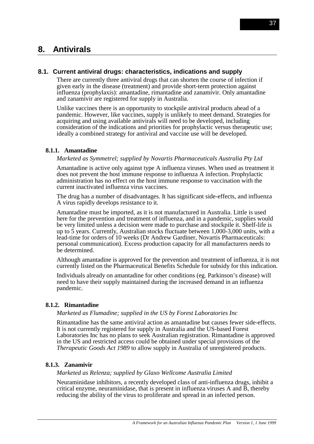# **8. Antivirals**

## **8.1. Current antiviral drugs: characteristics, indications and supply**

There are currently three antiviral drugs that can shorten the course of infection if given early in the disease (treatment) and provide short-term protection against influenza (prophylaxis): amantadine, rimantadine and zanamivir. Only amantadine and zanamivir are registered for supply in Australia.

Unlike vaccines there is an opportunity to stockpile antiviral products ahead of a pandemic. However, like vaccines, supply is unlikely to meet demand. Strategies for acquiring and using available antivirals will need to be developed, including consideration of the indications and priorities for prophylactic versus therapeutic use; ideally a combined strategy for antiviral and vaccine use will be developed.

## **8.1.1. Amantadine**

#### *Marketed as Symmetrel; supplied by Novartis Pharmaceuticals Australia Pty Ltd*

Amantadine is active only against type A influenza viruses. When used as treatment it does not prevent the host immune response to influenza A infection. Prophylactic administration has no effect on the host immune response to vaccination with the current inactivated influenza virus vaccines.

The drug has a number of disadvantages. It has significant side-effects, and influenza A virus rapidly develops resistance to it.

Amantadine must be imported, as it is not manufactured in Australia. Little is used here for the prevention and treatment of influenza, and in a pandemic, supplies would be very limited unless a decision were made to purchase and stockpile it. Shelf-life is up to 5 years. Currently, Australian stocks fluctuate between 1,000-3,000 units, with a lead-time for orders of 10 weeks (Dr Andrew Gardiner, Novartis Pharmaceuticals: personal communication). Excess production capacity for all manufacturers needs to be determined.

Although amantadine is approved for the prevention and treatment of influenza, it is not currently listed on the Pharmaceutical Benefits Schedule for subsidy for this indication.

Individuals already on amantadine for other conditions (eg. Parkinson's disease) will need to have their supply maintained during the increased demand in an influenza pandemic.

#### **8.1.2. Rimantadine**

*Marketed as Flumadine; supplied in the US by Forest Laboratories Inc*

Rimantadine has the same antiviral action as amantadine but causes fewer side-effects. It is not currently registered for supply in Australia and the US-based Forest Laboratories Inc has no plans to seek Australian registration. Rimantadine is approved in the US and restricted access could be obtained under special provisions of the *Therapeutic Goods Act 1989* to allow supply in Australia of unregistered products.

#### **8.1.3. Zanamivir**

*Marketed as Relenza; supplied by Glaxo Wellcome Australia Limited*

Neuraminidase inhibitors, a recently developed class of anti-influenza drugs, inhibit a critical enzyme, neuraminidase, that is present in influenza viruses A and B, thereby reducing the ability of the virus to proliferate and spread in an infected person.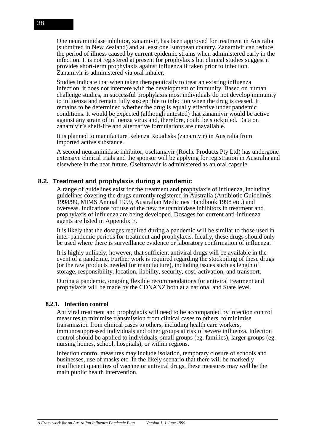One neuraminidase inhibitor, zanamivir, has been approved for treatment in Australia (submitted in New Zealand) and at least one European country. Zanamivir can reduce the period of illness caused by current epidemic strains when administered early in the infection. It is not registered at present for prophylaxis but clinical studies suggest it provides short-term prophylaxis against influenza if taken prior to infection. Zanamivir is administered via oral inhaler.

Studies indicate that when taken therapeutically to treat an existing influenza infection, it does not interfere with the development of immunity. Based on human challenge studies, in successful prophylaxis most individuals do not develop immunity to influenza and remain fully susceptible to infection when the drug is ceased. It remains to be determined whether the drug is equally effective under pandemic conditions. It would be expected (although untested) that zanamivir would be active against any strain of influenza virus and, therefore, could be stockpiled. Data on zanamivir's shelf-life and alternative formulations are unavailable.

It is planned to manufacture Relenza Rotadisks (zanamivir) in Australia from imported active substance.

A second neuraminidase inhibitor, oseltamavir (Roche Products Pty Ltd) has undergone extensive clinical trials and the sponsor will be applying for registration in Australia and elsewhere in the near future. Oseltamavir is administered as an oral capsule.

## **8.2. Treatment and prophylaxis during a pandemic**

A range of guidelines exist for the treatment and prophylaxis of influenza, including guidelines covering the drugs currently registered in Australia (Antibiotic Guidelines 1998/99, MIMS Annual 1999, Australian Medicines Handbook 1998 etc.) and overseas. Indications for use of the new neuraminidase inhibitors in treatment and prophylaxis of influenza are being developed. Dosages for current anti-influenza agents are listed in Appendix F.

It is likely that the dosages required during a pandemic will be similar to those used in inter-pandemic periods for treatment and prophylaxis. Ideally, these drugs should only be used where there is surveillance evidence or laboratory confirmation of influenza.

It is highly unlikely, however, that sufficient antiviral drugs will be available in the event of a pandemic. Further work is required regarding the stockpiling of these drugs (or the raw products needed for manufacture), including issues such as length of storage, responsibility, location, liability, security, cost, activation, and transport.

During a pandemic, ongoing flexible recommendations for antiviral treatment and prophylaxis will be made by the CDNANZ both at a national and State level.

#### **8.2.1. Infection control**

Antiviral treatment and prophylaxis will need to be accompanied by infection control measures to minimise transmission from clinical cases to others, to minimise transmission from clinical cases to others, including health care workers, immunosuppressed individuals and other groups at risk of severe influenza. Infection control should be applied to individuals, small groups (eg. families), larger groups (eg. nursing homes, school, hospitals), or within regions.

Infection control measures may include isolation, temporary closure of schools and businesses, use of masks etc. In the likely scenario that there will be markedly insufficient quantities of vaccine or antiviral drugs, these measures may well be the main public health intervention.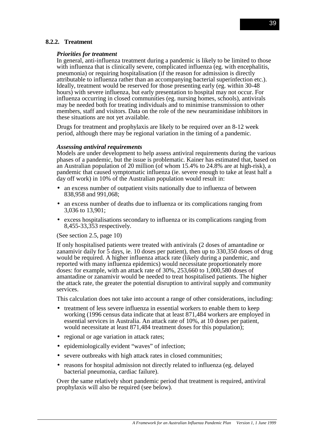# **8.2.2. Treatment**

#### *Priorities for treatment*

In general, anti-influenza treatment during a pandemic is likely to be limited to those with influenza that is clinically severe, complicated influenza (eg. with encephalitis, pneumonia) or requiring hospitalisation (if the reason for admission is directly attributable to influenza rather than an accompanying bacterial superinfection etc.). Ideally, treatment would be reserved for those presenting early (eg. within 30-48 hours) with severe influenza, but early presentation to hospital may not occur. For influenza occurring in closed communities (eg. nursing homes, schools), antivirals may be needed both for treating individuals and to minimise transmission to other members, staff and visitors. Data on the role of the new neuraminidase inhibitors in these situations are not yet available.

Drugs for treatment and prophylaxis are likely to be required over an 8-12 week period, although there may be regional variation in the timing of a pandemic.

#### *Assessing antiviral requirements*

Models are under development to help assess antiviral requirements during the various phases of a pandemic, but the issue is problematic. Kainer has estimated that, based on an Australian population of 20 million (of whom 15.4% to 24.8% are at high-risk), a pandemic that caused symptomatic influenza (ie. severe enough to take at least half a day off work) in 10% of the Australian population would result in:

- an excess number of outpatient visits nationally due to influenza of between 838,958 and 991,068;
- an excess number of deaths due to influenza or its complications ranging from 3,036 to 13,901;
- excess hospitalisations secondary to influenza or its complications ranging from 8,455-33,353 respectively.

#### (See section 2.5, page 10)

If only hospitalised patients were treated with antivirals (2 doses of amantadine or zanamivir daily for 5 days, ie. 10 doses per patient), then up to 330,350 doses of drug would be required. A higher influenza attack rate (likely during a pandemic, and reported with many influenza epidemics) would necessitate proportionately more doses: for example, with an attack rate of 30%, 253,660 to 1,000,580 doses of amantadine or zanamivir would be needed to treat hospitalised patients. The higher the attack rate, the greater the potential disruption to antiviral supply and community services.

This calculation does not take into account a range of other considerations, including:

- treatment of less severe influenza in essential workers to enable them to keep working (1996 census data indicate that at least 871,484 workers are employed in essential services in Australia. An attack rate of 10%, at 10 doses per patient, would necessitate at least 871,484 treatment doses for this population);
- regional or age variation in attack rates;
- epidemiologically evident "waves" of infection;
- severe outbreaks with high attack rates in closed communities;
- reasons for hospital admission not directly related to influenza (eg. delayed bacterial pneumonia, cardiac failure).

Over the same relatively short pandemic period that treatment is required, antiviral prophylaxis will also be required (see below).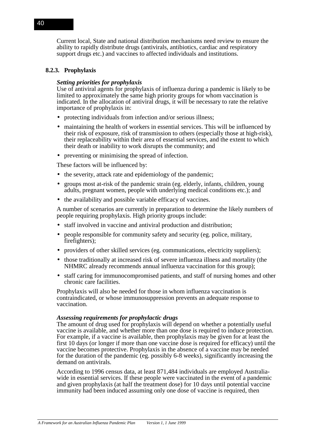Current local, State and national distribution mechanisms need review to ensure the ability to rapidly distribute drugs (antivirals, antibiotics, cardiac and respiratory support drugs etc.) and vaccines to affected individuals and institutions.

## **8.2.3. Prophylaxis**

### *Setting priorities for prophylaxis*

Use of antiviral agents for prophylaxis of influenza during a pandemic is likely to be limited to approximately the same high priority groups for whom vaccination is indicated. In the allocation of antiviral drugs, it will be necessary to rate the relative importance of prophylaxis in:

- protecting individuals from infection and/or serious illness;
- maintaining the health of workers in essential services. This will be influenced by their risk of exposure, risk of transmission to others (especially those at high-risk), their replaceability within their area of essential services, and the extent to which their death or inability to work disrupts the community; and
- preventing or minimising the spread of infection.

These factors will be influenced by:

- the severity, attack rate and epidemiology of the pandemic:
- groups most at-risk of the pandemic strain (eg. elderly, infants, children, young adults, pregnant women, people with underlying medical conditions etc.); and
- the availability and possible variable efficacy of vaccines.

A number of scenarios are currently in preparation to determine the likely numbers of people requiring prophylaxis. High priority groups include:

- staff involved in vaccine and antiviral production and distribution:
- people responsible for community safety and security (eg. police, military, firefighters):
- providers of other skilled services (eg. communications, electricity suppliers);
- those traditionally at increased risk of severe influenza illness and mortality (the NHMRC already recommends annual influenza vaccination for this group);
- staff caring for immunocompromised patients, and staff of nursing homes and other chronic care facilities.

Prophylaxis will also be needed for those in whom influenza vaccination is contraindicated, or whose immunosuppression prevents an adequate response to vaccination.

#### *Assessing requirements for prophylactic drugs*

The amount of drug used for prophylaxis will depend on whether a potentially useful vaccine is available, and whether more than one dose is required to induce protection. For example, if a vaccine is available, then prophylaxis may be given for at least the first 10 days (or longer if more than one vaccine dose is required for efficacy) until the vaccine becomes protective. Prophylaxis in the absence of a vaccine may be needed for the duration of the pandemic (eg. possibly 6-8 weeks), significantly increasing the demand on antivirals.

According to 1996 census data, at least 871,484 individuals are employed Australiawide in essential services. If these people were vaccinated in the event of a pandemic and given prophylaxis (at half the treatment dose) for 10 days until potential vaccine immunity had been induced assuming only one dose of vaccine is required, then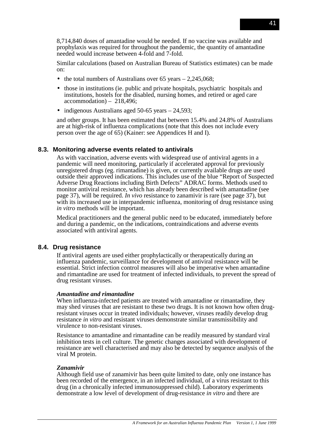8,714,840 doses of amantadine would be needed. If no vaccine was available and prophylaxis was required for throughout the pandemic, the quantity of amantadine needed would increase between 4-fold and 7-fold.

Similar calculations (based on Australian Bureau of Statistics estimates) can be made on:

- the total numbers of Australians over  $65$  years  $-2.245,068$ ;
- those in institutions (ie. public and private hospitals, psychiatric hospitals and institutions, hostels for the disabled, nursing homes, and retired or aged care accommodation) – 218,496;
- indigenous Australians aged 50-65 years 24,593;

and other groups. It has been estimated that between 15.4% and 24.8% of Australians are at high-risk of influenza complications (note that this does not include every person over the age of 65) (Kainer: see Appendices H and I).

## **8.3. Monitoring adverse events related to antivirals**

As with vaccination, adverse events with widespread use of antiviral agents in a pandemic will need monitoring, particularly if accelerated approval for previously unregistered drugs (eg. rimantadine) is given, or currently available drugs are used outside their approved indications. This includes use of the blue "Report of Suspected Adverse Drug Reactions including Birth Defects" ADRAC forms. Methods used to monitor antiviral resistance, which has already been described with amantadine (see page 37), will be required. *In vivo* resistance to zanamivir is rare (see page 37), but with its increased use in interpandemic influenza, monitoring of drug resistance using *in vitro* methods will be important.

Medical practitioners and the general public need to be educated, immediately before and during a pandemic, on the indications, contraindications and adverse events associated with antiviral agents.

# **8.4. Drug resistance**

If antiviral agents are used either prophylactically or therapeutically during an influenza pandemic, surveillance for development of antiviral resistance will be essential. Strict infection control measures will also be imperative when amantadine and rimantadine are used for treatment of infected individuals, to prevent the spread of drug resistant viruses.

## *Amantadine and rimantadine*

When influenza-infected patients are treated with amantadine or rimantadine, they may shed viruses that are resistant to these two drugs. It is not known how often drugresistant viruses occur in treated individuals; however, viruses readily develop drug resistance *in vitro* and resistant viruses demonstrate similar transmissibility and virulence to non-resistant viruses.

Resistance to amantadine and rimantadine can be readily measured by standard viral inhibition tests in cell culture. The genetic changes associated with development of resistance are well characterised and may also be detected by sequence analysis of the viral M protein.

## *Zanamivir*

Although field use of zanamivir has been quite limited to date, only one instance has been recorded of the emergence, in an infected individual, of a virus resistant to this drug (in a chronically infected immunosuppressed child). Laboratory experiments demonstrate a low level of development of drug-resistance *in vitro* and there are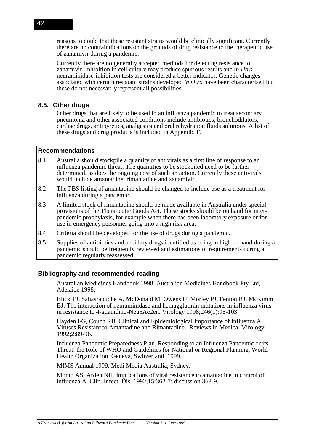reasons to doubt that these resistant strains would be clinically significant. Currently there are no contraindications on the grounds of drug resistance to the therapeutic use of zanamivir during a pandemic.

Currently there are no generally accepted methods for detecting resistance to zanamivir. Inhibition in cell culture may produce spurious results and *in vitro* neuraminidase-inhibition tests are considered a better indicator. Genetic changes associated with certain resistant strains developed *in vitro* have been characterised but these do not necessarily represent all possibilities.

# **8.5. Other drugs**

Other drugs that are likely to be used in an influenza pandemic to treat secondary pneumonia and other associated conditions include antibiotics, bronchodilators, cardiac drugs, antipyretics, analgesics and oral rehydration fluids solutions. A list of these drugs and drug products is included in Appendix F.

## **Recommendations**

- 8.1 Australia should stockpile a quantity of antivirals as a first line of response to an influenza pandemic threat. The quantities to be stockpiled need to be further determined, as does the ongoing cost of such an action. Currently these antivirals would include amantadine, rimantadine and zanamivir.
- 8.2 The PBS listing of amantadine should be changed to include use as a treatment for influenza during a pandemic.
- 8.3 A limited stock of rimantadine should be made available in Australia under special provisions of the Therapeutic Goods Act. These stocks should be on hand for interpandemic prophylaxis, for example when there has been laboratory exposure or for use in emergency personnel going into a high risk area.
- 8.4 Criteria should be developed for the use of drugs during a pandemic.
- 8.5 Supplies of antibiotics and ancillary drugs identified as being in high demand during a pandemic should be frequently reviewed and estimations of requirements during a pandemic regularly reassessed.

# **Bibliography and recommended reading**

Australian Medicines Handbook 1998. Australian Medicines Handbook Pty Ltd, Adelaide 1998.

Blick TJ, Sahasrabudhe A, McDonald M, Owens IJ, Morley PJ, Fenton RJ, McKimm BJ. The interaction of neuraminidase and hemagglutinin mutations in influenza virus in resistance to 4-guanidino-Neu5Ac2en. Virology 1998;246(1):95-103.

Hayden FG, Couch RB. Clinical and Epidemiological Importance of Influenza A Viruses Resistant to Amantadine and Rimantadine. Reviews in Medical Virology 1992;2:89-96.

Influenza Pandemic Preparedness Plan. Responding to an Influenza Pandemic or its Threat: the Role of WHO and Guidelines for National or Regional Planning. World Health Organization, Geneva, Switzerland, 1999.

MIMS Annual 1999. Medi Media Australia, Sydney.

Monto AS, Arden NH. Implications of viral resistance to amantadine in control of influenza A. Clin. Infect. Dis. 1992;15:362-7; discussion 368-9.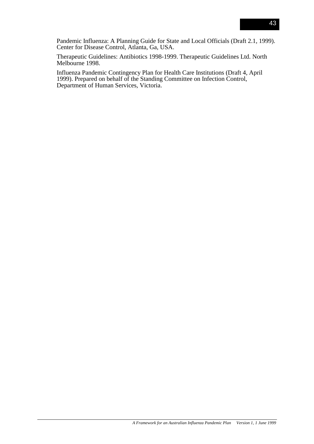Pandemic Influenza: A Planning Guide for State and Local Officials (Draft 2.1, 1999). Center for Disease Control, Atlanta, Ga, USA.

Therapeutic Guidelines: Antibiotics 1998-1999. Therapeutic Guidelines Ltd. North Melbourne 1998.

Influenza Pandemic Contingency Plan for Health Care Institutions (Draft 4, April 1999). Prepared on behalf of the Standing Committee on Infection Control, Department of Human Services, Victoria.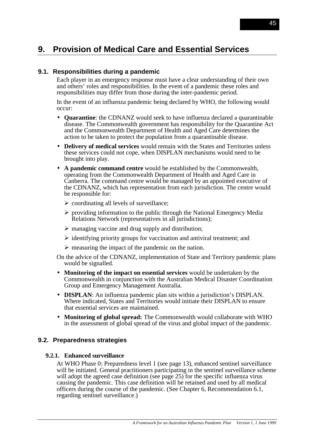# **9. Provision of Medical Care and Essential Services**

# **9.1. Responsibilities during a pandemic**

Each player in an emergency response must have a clear understanding of their own and others' roles and responsibilities. In the event of a pandemic these roles and responsibilities may differ from those during the inter-pandemic period.

In the event of an influenza pandemic being declared by WHO, the following would occur:

- **Quarantine**: the CDNANZ would seek to have influenza declared a quarantinable disease. The Commonwealth government has responsibility for the Quarantine Act and the Commonwealth Department of Health and Aged Care determines the action to be taken to protect the population from a quarantinable disease.
- **Delivery of medical services** would remain with the States and Territories unless these services could not cope, when DISPLAN mechanisms would need to be brought into play.
- **A pandemic command centre** would be established by the Commonwealth, operating from the Commonwealth Department of Health and Aged Care in Canberra. The command centre would be managed by an appointed executive of the CDNANZ, which has representation from each jurisdiction. The centre would be responsible for:
	- $\triangleright$  coordinating all levels of surveillance;
	- $\triangleright$  providing information to the public through the National Emergency Media Relations Network (representatives in all jurisdictions);
	- $\triangleright$  managing vaccine and drug supply and distribution;
	- $\triangleright$  identifying priority groups for vaccination and antiviral treatment; and
	- $\triangleright$  measuring the impact of the pandemic on the nation.

On the advice of the CDNANZ, implementation of State and Territory pandemic plans would be signalled.

- **Monitoring of the impact on essential services** would be undertaken by the Commonwealth in conjunction with the Australian Medical Disaster Coordination Group and Emergency Management Australia.
- **DISPLAN**: An influenza pandemic plan sits within a jurisdiction's DISPLAN. Where indicated, States and Territories would initiate their DISPLAN to ensure that essential services are maintained.
- **Monitoring of global spread:** The Commonwealth would collaborate with WHO in the assessment of global spread of the virus and global impact of the pandemic.

## **9.2. Preparedness strategies**

## **9.2.1. Enhanced surveillance**

At WHO Phase 0: Preparedness level 1 (see page 13), enhanced sentinel surveillance will be initiated. General practitioners participating in the sentinel surveillance scheme will adopt the agreed case definition (see page 25) for the specific influenza virus causing the pandemic. This case definition will be retained and used by all medical officers during the course of the pandemic. (See Chapter 6, Recommendation 6.1, regarding sentinel surveillance.)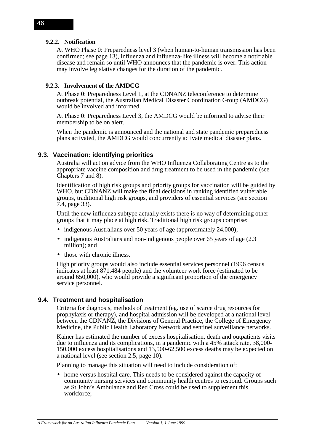### **9.2.2. Notification**

At WHO Phase 0: Preparedness level 3 (when human-to-human transmission has been confirmed; see page 13), influenza and influenza-like illness will become a notifiable disease and remain so until WHO announces that the pandemic is over. This action may involve legislative changes for the duration of the pandemic.

## **9.2.3. Involvement of the AMDCG**

At Phase 0: Preparedness Level 1, at the CDNANZ teleconference to determine outbreak potential, the Australian Medical Disaster Coordination Group (AMDCG) would be involved and informed.

At Phase 0: Preparedness Level 3, the AMDCG would be informed to advise their membership to be on alert.

When the pandemic is announced and the national and state pandemic preparedness plans activated, the AMDCG would concurrently activate medical disaster plans.

### **9.3. Vaccination: identifying priorities**

Australia will act on advice from the WHO Influenza Collaborating Centre as to the appropriate vaccine composition and drug treatment to be used in the pandemic (see Chapters 7 and 8).

Identification of high risk groups and priority groups for vaccination will be guided by WHO, but CDNANZ will make the final decisions in ranking identified vulnerable groups, traditional high risk groups, and providers of essential services (see section 7.4, page 33).

Until the new influenza subtype actually exists there is no way of determining other groups that it may place at high risk. Traditional high risk groups comprise:

- indigenous Australians over 50 years of age (approximately 24,000);
- indigenous Australians and non-indigenous people over 65 years of age (2.3) million); and
- those with chronic illness.

High priority groups would also include essential services personnel (1996 census indicates at least 871,484 people) and the volunteer work force (estimated to be around 650,000), who would provide a significant proportion of the emergency service personnel.

#### **9.4. Treatment and hospitalisation**

Criteria for diagnosis, methods of treatment (eg. use of scarce drug resources for prophylaxis or therapy), and hospital admission will be developed at a national level between the CDNANZ, the Divisions of General Practice, the College of Emergency Medicine, the Public Health Laboratory Network and sentinel surveillance networks.

Kainer has estimated the number of excess hospitalisation, death and outpatients visits due to influenza and its complications, in a pandemic with a 45% attack rate, 38,000- 150,000 excess hospitalisations and 13,500-62,500 excess deaths may be expected on a national level (see section 2.5, page 10).

Planning to manage this situation will need to include consideration of:

• home versus hospital care. This needs to be considered against the capacity of community nursing services and community health centres to respond. Groups such as St John's Ambulance and Red Cross could be used to supplement this workforce;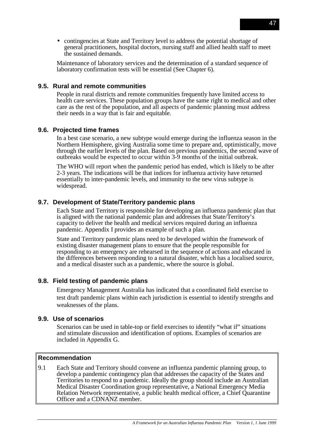• contingencies at State and Territory level to address the potential shortage of general practitioners, hospital doctors, nursing staff and allied health staff to meet the sustained demands.

Maintenance of laboratory services and the determination of a standard sequence of laboratory confirmation tests will be essential (See Chapter 6).

# **9.5. Rural and remote communities**

People in rural districts and remote communities frequently have limited access to health care services. These population groups have the same right to medical and other care as the rest of the population, and all aspects of pandemic planning must address their needs in a way that is fair and equitable.

## **9.6. Projected time frames**

In a best case scenario, a new subtype would emerge during the influenza season in the Northern Hemisphere, giving Australia some time to prepare and, optimistically, move through the earlier levels of the plan. Based on previous pandemics, the second wave of outbreaks would be expected to occur within 3-9 months of the initial outbreak.

The WHO will report when the pandemic period has ended, which is likely to be after 2-3 years. The indications will be that indices for influenza activity have returned essentially to inter-pandemic levels, and immunity to the new virus subtype is widespread.

# **9.7. Development of State/Territory pandemic plans**

Each State and Territory is responsible for developing an influenza pandemic plan that is aligned with the national pandemic plan and addresses that State/Territory's capacity to deliver the health and medical services required during an influenza pandemic. Appendix I provides an example of such a plan.

State and Territory pandemic plans need to be developed within the framework of existing disaster management plans to ensure that the people responsible for responding to an emergency are rehearsed in the sequence of actions and educated in the differences between responding to a natural disaster, which has a localised source, and a medical disaster such as a pandemic, where the source is global.

# **9.8. Field testing of pandemic plans**

Emergency Management Australia has indicated that a coordinated field exercise to test draft pandemic plans within each jurisdiction is essential to identify strengths and weaknesses of the plans.

## **9.9. Use of scenarios**

Scenarios can be used in table-top or field exercises to identify "what if" situations and stimulate discussion and identification of options. Examples of scenarios are included in Appendix G.

## **Recommendation**

9.1 Each State and Territory should convene an influenza pandemic planning group, to develop a pandemic contingency plan that addresses the capacity of the States and Territories to respond to a pandemic. Ideally the group should include an Australian Medical Disaster Coordination group representative, a National Emergency Media Relation Network representative, a public health medical officer, a Chief Quarantine Officer and a CDNANZ member.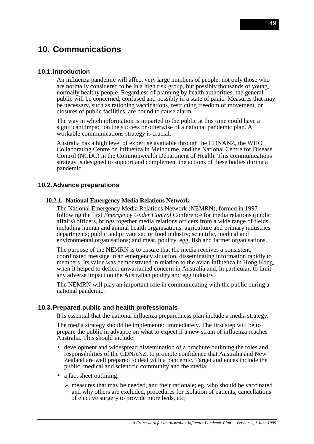# **10. Communications**

## **10.1. Introduction**

An influenza pandemic will affect very large numbers of people, not only those who are normally considered to be in a high risk group, but possibly thousands of young, normally healthy people. Regardless of planning by health authorities, the general public will be concerned, confused and possibly in a state of panic. Measures that may be necessary, such as rationing vaccinations, restricting freedom of movement, or closures of public facilities, are bound to cause alarm.

The way in which information is imparted to the public at this time could have a significant impact on the success or otherwise of a national pandemic plan. A workable communications strategy is crucial.

Australia has a high level of expertise available through the CDNANZ, the WHO Collaborating Centre on Influenza in Melbourne, and the National Centre for Disease Control (NCDC) in the Commonwealth Department of Health. This communications strategy is designed to support and complement the actions of these bodies during a pandemic.

### **10.2. Advance preparations**

#### **10.2.1. National Emergency Media Relations Network**

The National Emergency Media Relations Network (NEMRN), formed in 1997 following the first *Emergency Under Control* Conference for media relations (public affairs) officers, brings together media relations officers from a wide range of fields including human and animal health organisations; agriculture and primary industries departments; public and private sector food industry; scientific, medical and environmental organisations; and meat, poultry, egg, fish and farmer organisations.

The purpose of the NEMRN is to ensure that the media receives a consistent, coordinated message in an emergency situation, disseminating information rapidly to members. Its value was demonstrated in relation to the avian influenza in Hong Kong, when it helped to deflect unwarranted concern in Australia and, in particular, to limit any adverse impact on the Australian poultry and egg industry.

The NEMRN will play an important role in communicating with the public during a national pandemic.

#### **10.3. Prepared public and health professionals**

It is essential that the national influenza preparedness plan include a media strategy.

The media strategy should be implemented immediately. The first step will be to prepare the public in advance on what to expect if a new strain of influenza reaches Australia. This should include:

- development and widespread dissemination of a brochure outlining the roles and responsibilities of the CDNANZ, to promote confidence that Australia and New Zealand are well prepared to deal with a pandemic. Target audiences include the public, medical and scientific community and the media;
- a fact sheet outlining:
	- $\triangleright$  measures that may be needed, and their rationale; eg. who should be vaccinated and why others are excluded, procedures for isolation of patients, cancellations of elective surgery to provide more beds, etc;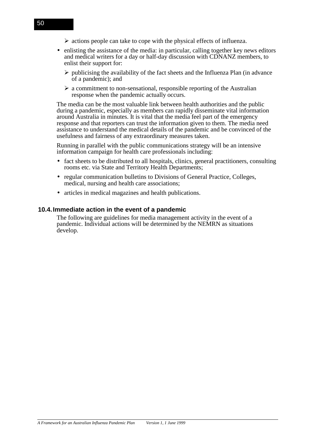- $\triangleright$  actions people can take to cope with the physical effects of influenza.
- enlisting the assistance of the media: in particular, calling together key news editors and medical writers for a day or half-day discussion with CDNANZ members, to enlist their support for:
	- $\triangleright$  publicising the availability of the fact sheets and the Influenza Plan (in advance of a pandemic); and
	- $\triangleright$  a commitment to non-sensational, responsible reporting of the Australian response when the pandemic actually occurs.

The media can be the most valuable link between health authorities and the public during a pandemic, especially as members can rapidly disseminate vital information around Australia in minutes. It is vital that the media feel part of the emergency response and that reporters can trust the information given to them. The media need assistance to understand the medical details of the pandemic and be convinced of the usefulness and fairness of any extraordinary measures taken.

Running in parallel with the public communications strategy will be an intensive information campaign for health care professionals including:

- fact sheets to be distributed to all hospitals, clinics, general practitioners, consulting rooms etc. via State and Territory Health Departments;
- regular communication bulletins to Divisions of General Practice, Colleges, medical, nursing and health care associations;
- articles in medical magazines and health publications.

## **10.4. Immediate action in the event of a pandemic**

The following are guidelines for media management activity in the event of a pandemic. Individual actions will be determined by the NEMRN as situations develop.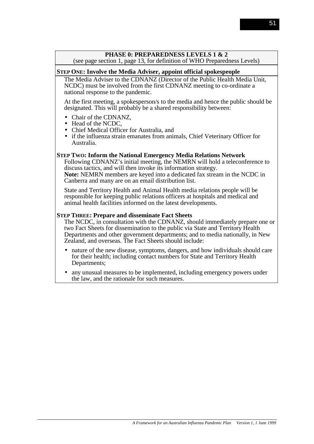# **PHASE 0: PREPAREDNESS LEVELS 1 & 2**

(see page section 1, page 13, for definition of WHO Preparedness Levels)

### **STEP ONE: Involve the Media Adviser, appoint official spokespeople**

The Media Adviser to the CDNANZ (Director of the Public Health Media Unit, NCDC) must be involved from the first CDNANZ meeting to co-ordinate a national response to the pandemic.

At the first meeting, a spokesperson/s to the media and hence the public should be designated. This will probably be a shared responsibility between:

- Chair of the CDNANZ,
- Head of the NCDC,
- Chief Medical Officer for Australia, and
- if the influenza strain emanates from animals, Chief Veterinary Officer for Australia.

### **STEP TWO: Inform the National Emergency Media Relations Network**

Following CDNANZ's initial meeting, the NEMRN will hold a teleconference to discuss tactics, and will then invoke its information strategy. **Note:** NEMRN members are keyed into a dedicated fax stream in the NCDC in Canberra and many are on an email distribution list.

State and Territory Health and Animal Health media relations people will be responsible for keeping public relations officers at hospitals and medical and animal health facilities informed on the latest developments.

#### **STEP THREE: Prepare and disseminate Fact Sheets**

The NCDC, in consultation with the CDNANZ, should immediately prepare one or two Fact Sheets for dissemination to the public via State and Territory Health Departments and other government departments; and to media nationally, in New Zealand, and overseas. The Fact Sheets should include:

- nature of the new disease, symptoms, dangers, and how individuals should care for their health; including contact numbers for State and Territory Health Departments;
- any unusual measures to be implemented, including emergency powers under the law, and the rationale for such measures.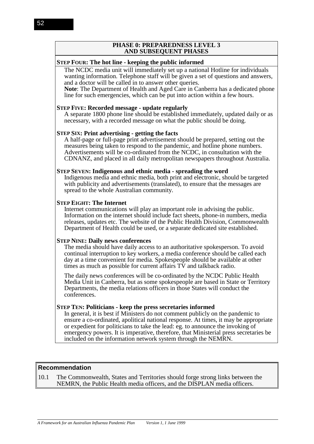#### **PHASE 0: PREPAREDNESS LEVEL 3 AND SUBSEQUENT PHASES**

### **STEP FOUR: The hot line - keeping the public informed**

The NCDC media unit will immediately set up a national Hotline for individuals wanting information. Telephone staff will be given a set of questions and answers, and a doctor will be called in to answer other queries.

**Note**: The Department of Health and Aged Care in Canberra has a dedicated phone line for such emergencies, which can be put into action within a few hours.

#### **STEP FIVE: Recorded message - update regularly**

A separate 1800 phone line should be established immediately, updated daily or as necessary, with a recorded message on what the public should be doing.

#### **STEP SIX: Print advertising - getting the facts**

A half-page or full-page print advertisement should be prepared, setting out the measures being taken to respond to the pandemic, and hotline phone numbers. Advertisements will be co-ordinated from the NCDC, in consultation with the CDNANZ, and placed in all daily metropolitan newspapers throughout Australia.

#### **STEP SEVEN: Indigenous and ethnic media - spreading the word**

Indigenous media and ethnic media, both print and electronic, should be targeted with publicity and advertisements (translated), to ensure that the messages are spread to the whole Australian community.

#### **STEP EIGHT: The Internet**

Internet communications will play an important role in advising the public. Information on the internet should include fact sheets, phone-in numbers, media releases, updates etc. The website of the Public Health Division, Commonwealth Department of Health could be used, or a separate dedicated site established.

#### **STEP NINE: Daily news conferences**

The media should have daily access to an authoritative spokesperson. To avoid continual interruption to key workers, a media conference should be called each day at a time convenient for media. Spokespeople should be available at other times as much as possible for current affairs TV and talkback radio.

The daily news conferences will be co-ordinated by the NCDC Public Health Media Unit in Canberra, but as some spokespeople are based in State or Territory Departments, the media relations officers in those States will conduct the conferences.

#### **STEP TEN: Politicians - keep the press secretaries informed**

In general, it is best if Ministers do not comment publicly on the pandemic to ensure a co-ordinated, apolitical national response. At times, it may be appropriate or expedient for politicians to take the lead: eg. to announce the invoking of emergency powers. It is imperative, therefore, that Ministerial press secretaries be included on the information network system through the NEMRN.

### **Recommendation**

10.1 The Commonwealth, States and Territories should forge strong links between the NEMRN, the Public Health media officers, and the DISPLAN media officers.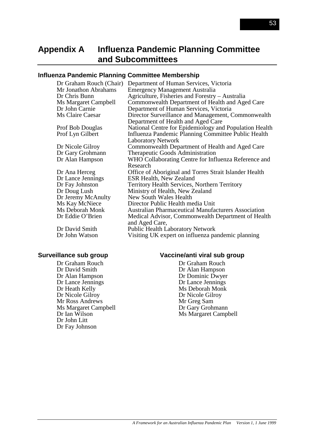# **Appendix A Influenza Pandemic Planning Committee and Subcommittees**

## **Influenza Pandemic Planning Committee Membership**

| Dr Graham Rouch (Chair) | Department of Human Services, Victoria                     |
|-------------------------|------------------------------------------------------------|
| Mr Jonathon Abrahams    | <b>Emergency Management Australia</b>                      |
| Dr Chris Bunn           | Agriculture, Fisheries and Forestry – Australia            |
| Ms Margaret Campbell    | Commonwealth Department of Health and Aged Care            |
| Dr John Carnie          | Department of Human Services, Victoria                     |
| Ms Claire Caesar        | Director Surveillance and Management, Commonwealth         |
|                         | Department of Health and Aged Care                         |
| <b>Prof Bob Douglas</b> | National Centre for Epidemiology and Population Health     |
| Prof Lyn Gilbert        | Influenza Pandemic Planning Committee Public Health        |
|                         | <b>Laboratory Network</b>                                  |
| Dr Nicole Gilroy        | Commonwealth Department of Health and Aged Care            |
| Dr Gary Grohmann        | Therapeutic Goods Administration                           |
| Dr Alan Hampson         | WHO Collaborating Centre for Influenza Reference and       |
|                         | Research                                                   |
| Dr Ana Herceg           | Office of Aboriginal and Torres Strait Islander Health     |
| Dr Lance Jennings       | ESR Health, New Zealand                                    |
| Dr Fay Johnston         | Territory Health Services, Northern Territory              |
| Dr Doug Lush            | Ministry of Health, New Zealand                            |
| Dr Jeremy McAnulty      | New South Wales Health                                     |
| Ms Kay McNiece          | Director Public Health media Unit                          |
| Ms Deborah Monk         | <b>Australian Pharmaceutical Manufacturers Association</b> |
| Dr Eddie O'Brien        | Medical Advisor, Commonwealth Department of Health         |
|                         | and Aged Care,                                             |
| Dr David Smith          | Public Health Laboratory Network                           |
| Dr John Watson          | Visiting UK expert on influenza pandemic planning          |
|                         |                                                            |

# **Surveillance sub group**

Dr Graham Rouch Dr David Smith Dr Alan Hampson Dr Lance Jennings Dr Heath Kelly Dr Nicole Gilroy Mr Ross Andrews Ms Margaret Campbell Dr Ian Wilson Dr John Litt Dr Fay Johnson

#### **Vaccine/anti viral sub group**

Dr Graham Rouch Dr Alan Hampson Dr Dominic Dwyer Dr Lance Jennings Ms Deborah Monk Dr Nicole Gilroy Mr Greg Sam Dr Gary Grohmann Ms Margaret Campbell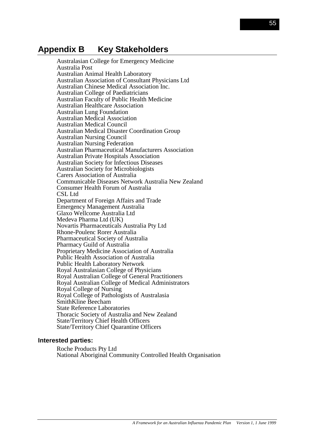# **Appendix B Key Stakeholders**

Australasian College for Emergency Medicine Australia Post Australian Animal Health Laboratory Australian Association of Consultant Physicians Ltd Australian Chinese Medical Association Inc. Australian College of Paediatricians Australian Faculty of Public Health Medicine Australian Healthcare Association Australian Lung Foundation Australian Medical Association Australian Medical Council Australian Medical Disaster Coordination Group Australian Nursing Council Australian Nursing Federation Australian Pharmaceutical Manufacturers Association Australian Private Hospitals Association Australian Society for Infectious Diseases Australian Society for Microbiologists Carers Association of Australia Communicable Diseases Network Australia New Zealand Consumer Health Forum of Australia CSL Ltd. Department of Foreign Affairs and Trade Emergency Management Australia Glaxo Wellcome Australia Ltd Medeva Pharma Ltd (UK) Novartis Pharmaceuticals Australia Pty Ltd Rhone-Poulenc Rorer Australia Pharmaceutical Society of Australia Pharmacy Guild of Australia Proprietary Medicine Association of Australia Public Health Association of Australia Public Health Laboratory Network Royal Australasian College of Physicians Royal Australian College of General Practitioners Royal Australian College of Medical Administrators Royal College of Nursing Royal College of Pathologists of Australasia SmithKline Beecham State Reference Laboratories Thoracic Society of Australia and New Zealand State/Territory Chief Health Officers State/Territory Chief Quarantine Officers

#### **Interested parties:**

Roche Products Pty Ltd National Aboriginal Community Controlled Health Organisation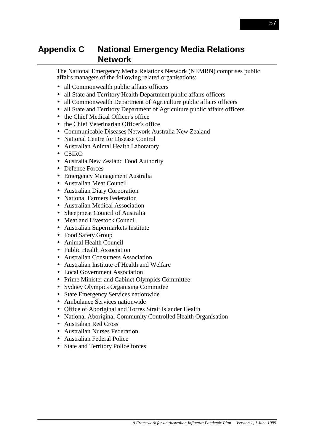# **Appendix C National Emergency Media Relations Network**

The National Emergency Media Relations Network (NEMRN) comprises public affairs managers of the following related organisations:

- all Commonwealth public affairs officers
- all State and Territory Health Department public affairs officers
- all Commonwealth Department of Agriculture public affairs officers
- all State and Territory Department of Agriculture public affairs officers
- the Chief Medical Officer's office
- the Chief Veterinarian Officer's office
- Communicable Diseases Network Australia New Zealand
- National Centre for Disease Control
- Australian Animal Health Laboratory
- CSIRO
- Australia New Zealand Food Authority
- Defence Forces
- Emergency Management Australia
- Australian Meat Council
- Australian Diary Corporation
- National Farmers Federation
- Australian Medical Association
- Sheepmeat Council of Australia
- Meat and Livestock Council
- Australian Supermarkets Institute
- Food Safety Group
- Animal Health Council
- Public Health Association
- Australian Consumers Association
- Australian Institute of Health and Welfare
- Local Government Association
- Prime Minister and Cabinet Olympics Committee
- Sydney Olympics Organising Committee
- State Emergency Services nationwide
- Ambulance Services nationwide
- Office of Aboriginal and Torres Strait Islander Health
- National Aboriginal Community Controlled Health Organisation
- Australian Red Cross
- Australian Nurses Federation
- Australian Federal Police
- State and Territory Police forces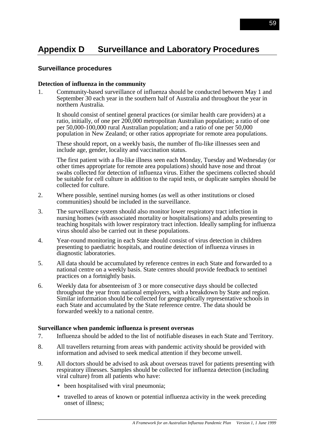# **Appendix D Surveillance and Laboratory Procedures**

### **Surveillance procedures**

### **Detection of influenza in the community**

1. Community-based surveillance of influenza should be conducted between May 1 and September 30 each year in the southern half of Australia and throughout the year in northern Australia.

It should consist of sentinel general practices (or similar health care providers) at a ratio, initially, of one per 200,000 metropolitan Australian population; a ratio of one per 50,000-100,000 rural Australian population; and a ratio of one per 50,000 population in New Zealand; or other ratios appropriate for remote area populations.

These should report, on a weekly basis, the number of flu-like illnesses seen and include age, gender, locality and vaccination status.

The first patient with a flu-like illness seen each Monday, Tuesday and Wednesday (or other times appropriate for remote area populations) should have nose and throat swabs collected for detection of influenza virus. Either the specimens collected should be suitable for cell culture in addition to the rapid tests, or duplicate samples should be collected for culture.

- 2. Where possible, sentinel nursing homes (as well as other institutions or closed communities) should be included in the surveillance.
- 3. The surveillance system should also monitor lower respiratory tract infection in nursing homes (with associated mortality or hospitalisations) and adults presenting to teaching hospitals with lower respiratory tract infection. Ideally sampling for influenza virus should also be carried out in these populations.
- 4. Year-round monitoring in each State should consist of virus detection in children presenting to paediatric hospitals, and routine detection of influenza viruses in diagnostic laboratories.
- 5. All data should be accumulated by reference centres in each State and forwarded to a national centre on a weekly basis. State centres should provide feedback to sentinel practices on a fortnightly basis.
- 6. Weekly data for absenteeism of 3 or more consecutive days should be collected throughout the year from national employers, with a breakdown by State and region. Similar information should be collected for geographically representative schools in each State and accumulated by the State reference centre. The data should be forwarded weekly to a national centre.

### **Surveillance when pandemic influenza is present overseas**

- 7. Influenza should be added to the list of notifiable diseases in each State and Territory.
- 8. All travellers returning from areas with pandemic activity should be provided with information and advised to seek medical attention if they become unwell.
- 9. All doctors should be advised to ask about overseas travel for patients presenting with respiratory illnesses. Samples should be collected for influenza detection (including viral culture) from all patients who have:
	- been hospitalised with viral pneumonia;
	- travelled to areas of known or potential influenza activity in the week preceding onset of illness;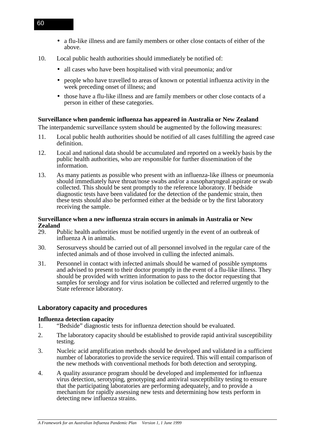- a flu-like illness and are family members or other close contacts of either of the above.
- 10. Local public health authorities should immediately be notified of:
	- all cases who have been hospitalised with viral pneumonia; and/or
	- people who have travelled to areas of known or potential influenza activity in the week preceding onset of illness; and
	- those have a flu-like illness and are family members or other close contacts of a person in either of these categories.

## **Surveillance when pandemic influenza has appeared in Australia or New Zealand**

The interpandemic surveillance system should be augmented by the following measures:

- 11. Local public health authorities should be notified of all cases fulfilling the agreed case definition.
- 12. Local and national data should be accumulated and reported on a weekly basis by the public health authorities, who are responsible for further dissemination of the information.
- 13. As many patients as possible who present with an influenza-like illness or pneumonia should immediately have throat/nose swabs and/or a nasopharyngeal aspirate or swab collected. This should be sent promptly to the reference laboratory. If bedside diagnostic tests have been validated for the detection of the pandemic strain, then these tests should also be performed either at the bedside or by the first laboratory receiving the sample.

## **Surveillance when a new influenza strain occurs in animals in Australia or New Zealand**<br>29. P

- Public health authorities must be notified urgently in the event of an outbreak of influenza A in animals.
- 30. Serosurveys should be carried out of all personnel involved in the regular care of the infected animals and of those involved in culling the infected animals.
- 31. Personnel in contact with infected animals should be warned of possible symptoms and advised to present to their doctor promptly in the event of a flu-like illness. They should be provided with written information to pass to the doctor requesting that samples for serology and for virus isolation be collected and referred urgently to the State reference laboratory.

## **Laboratory capacity and procedures**

### **Influenza detection capacity**

- 1. "Bedside" diagnostic tests for influenza detection should be evaluated.
- 2. The laboratory capacity should be established to provide rapid antiviral susceptibility testing.
- 3. Nucleic acid amplification methods should be developed and validated in a sufficient number of laboratories to provide the service required. This will entail comparison of the new methods with conventional methods for both detection and serotyping.
- 4. A quality assurance program should be developed and implemented for influenza virus detection, serotyping, genotyping and antiviral susceptibility testing to ensure that the participating laboratories are performing adequately, and to provide a mechanism for rapidly assessing new tests and determining how tests perform in detecting new influenza strains.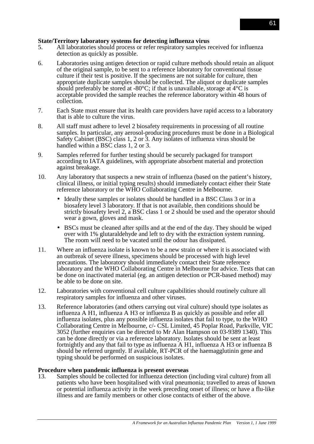### **State/Territory laboratory systems for detecting influenza virus**

- 5. All laboratories should process or refer respiratory samples received for influenza detection as quickly as possible.
- 6. Laboratories using antigen detection or rapid culture methods should retain an aliquot of the original sample, to be sent to a reference laboratory for conventional tissue culture if their test is positive. If the specimens are not suitable for culture, then appropriate duplicate samples should be collected. The aliquot or duplicate samples should preferably be stored at -80 $^{\circ}$ C; if that is unavailable, storage at 4 $^{\circ}$ C is acceptable provided the sample reaches the reference laboratory within 48 hours of collection.
- 7. Each State must ensure that its health care providers have rapid access to a laboratory that is able to culture the virus.
- 8. All staff must adhere to level 2 biosafety requirements in processing of all routine samples. In particular, any aerosol-producing procedures must be done in a Biological Safety Cabinet (BSC) class 1, 2 or 3. Any isolates of influenza virus should be handled within a BSC class 1, 2 or 3.
- 9. Samples referred for further testing should be securely packaged for transport according to IATA guidelines, with appropriate absorbent material and protection against breakage.
- 10. Any laboratory that suspects a new strain of influenza (based on the patient's history, clinical illness, or initial typing results) should immediately contact either their State reference laboratory or the WHO Collaborating Centre in Melbourne.
	- Ideally these samples or isolates should be handled in a BSC Class 3 or in a biosafety level 3 laboratory. If that is not available, then conditions should be strictly biosafety level 2, a BSC class 1 or 2 should be used and the operator should wear a gown, gloves and mask.
	- BSCs must be cleaned after spills and at the end of the day. They should be wiped over with 1% glutaraldehyde and left to dry with the extraction system running. The room will need to be vacated until the odour has dissipated.
- 11. Where an influenza isolate is known to be a new strain or where it is associated with an outbreak of severe illness, specimens should be processed with high level precautions. The laboratory should immediately contact their State reference laboratory and the WHO Collaborating Centre in Melbourne for advice. Tests that can be done on inactivated material (eg. an antigen detection or PCR-based method) may be able to be done on site.
- 12. Laboratories with conventional cell culture capabilities should routinely culture all respiratory samples for influenza and other viruses.
- 13. Reference laboratories (and others carrying out viral culture) should type isolates as influenza A H1, influenza A H3 or influenza B as quickly as possible and refer all influenza isolates, plus any possible influenza isolates that fail to type, to the WHO Collaborating Centre in Melbourne, c/- CSL Limited, 45 Poplar Road, Parkville, VIC 3052 (further enquiries can be directed to Mr Alan Hampson on 03-9389 1340). This can be done directly or via a reference laboratory. Isolates should be sent at least fortnightly and any that fail to type as influenza A H1, influenza A H3 or influenza B should be referred urgently. If available, RT-PCR of the haemagglutinin gene and typing should be performed on suspicious isolates.

### **Procedure when pandemic influenza is present overseas**

13. Samples should be collected for influenza detection (including viral culture) from all patients who have been hospitalised with viral pneumonia; travelled to areas of known or potential influenza activity in the week preceding onset of illness; or have a flu-like illness and are family members or other close contacts of either of the above.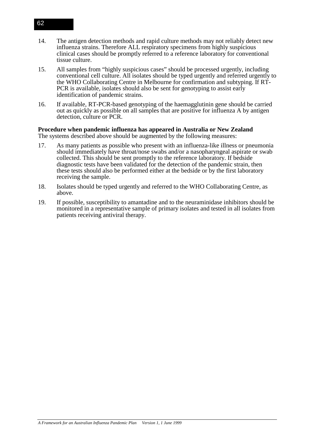- 14. The antigen detection methods and rapid culture methods may not reliably detect new influenza strains. Therefore ALL respiratory specimens from highly suspicious clinical cases should be promptly referred to a reference laboratory for conventional tissue culture.
- 15. All samples from "highly suspicious cases" should be processed urgently, including conventional cell culture. All isolates should be typed urgently and referred urgently to the WHO Collaborating Centre in Melbourne for confirmation and subtyping. If RT-PCR is available, isolates should also be sent for genotyping to assist early identification of pandemic strains.
- 16. If available, RT-PCR-based genotyping of the haemagglutinin gene should be carried out as quickly as possible on all samples that are positive for influenza A by antigen detection, culture or PCR.

#### **Procedure when pandemic influenza has appeared in Australia or New Zealand** The systems described above should be augmented by the following measures:

- 17. As many patients as possible who present with an influenza-like illness or pneumonia should immediately have throat/nose swabs and/or a nasopharyngeal aspirate or swab collected. This should be sent promptly to the reference laboratory. If bedside diagnostic tests have been validated for the detection of the pandemic strain, then these tests should also be performed either at the bedside or by the first laboratory receiving the sample.
- 18. Isolates should be typed urgently and referred to the WHO Collaborating Centre, as above.
- 19. If possible, susceptibility to amantadine and to the neuraminidase inhibitors should be monitored in a representative sample of primary isolates and tested in all isolates from patients receiving antiviral therapy.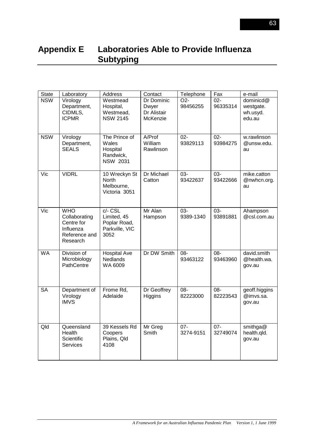# **Appendix E Laboratories Able to Provide Influenza Subtyping**

| <b>State</b> | Laboratory                                                                          | Address                                                            | Contact                                        | Telephone                  | Fax                | e-mail                                       |
|--------------|-------------------------------------------------------------------------------------|--------------------------------------------------------------------|------------------------------------------------|----------------------------|--------------------|----------------------------------------------|
| <b>NSW</b>   | Virology<br>Department,<br>CIDMLS,<br><b>ICPMR</b>                                  | Westmead<br>Hospital,<br>Westmead,<br><b>NSW 2145</b>              | Dr Dominic<br>Dwyer<br>Dr Alistair<br>McKenzie | O <sub>2</sub><br>98456255 | $02 -$<br>96335314 | dominicd@<br>westgate.<br>wh.usyd.<br>edu.au |
| <b>NSW</b>   | Virology<br>Department,<br><b>SEALS</b>                                             | The Prince of<br>Wales<br>Hospital<br>Randwick,<br><b>NSW 2031</b> | A/Prof<br>William<br>Rawlinson                 | $02 -$<br>93829113         | $02 -$<br>93984275 | w.rawlinson<br>@unsw.edu.<br>au              |
| Vic          | <b>VIDRL</b>                                                                        | 10 Wreckyn St<br><b>North</b><br>Melbourne,<br>Victoria 3051       | Dr Michael<br>Catton                           | 03-<br>93422637            | 03-<br>93422666    | mike.catton<br>@nwhcn.org.<br>au             |
| Vic          | <b>WHO</b><br>Collaborating<br>Centre for<br>Influenza<br>Reference and<br>Research | $C$ - CSL<br>Limited, 45<br>Poplar Road,<br>Parkville, VIC<br>3052 | Mr Alan<br>Hampson                             | 03-<br>9389-1340           | 03-<br>93891881    | Ahampson<br>@csl.com.au                      |
| <b>WA</b>    | Division of<br>Microbiology<br>PathCentre                                           | <b>Hospital Ave</b><br><b>Nedlands</b><br>WA 6009                  | Dr DW Smith                                    | 08-<br>93463122            | 08-<br>93463960    | david.smith<br>@health.wa.<br>gov.au         |
| <b>SA</b>    | Department of<br>Virology<br><b>IMVS</b>                                            | Frome Rd,<br>Adelaide                                              | Dr Geoffrey<br>Higgins                         | 08-<br>82223000            | 08-<br>82223543    | geoff.higgins<br>@imvs.sa.<br>gov.au         |
| Qld          | Queensland<br>Health<br>Scientific<br><b>Services</b>                               | 39 Kessels Rd<br>Coopers<br>Plains, Qld<br>4108                    | Mr Greg<br>Smith                               | $07 -$<br>3274-9151        | $07 -$<br>32749074 | smithga@<br>health.qld.<br>gov.au            |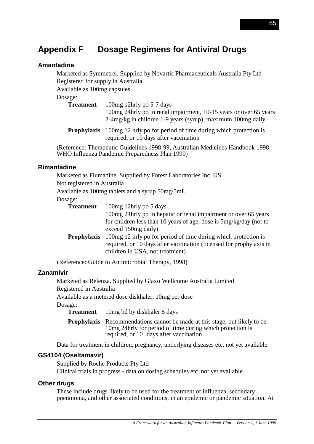# **Appendix F Dosage Regimens for Antiviral Drugs**

### **Amantadine**

Marketed as Symmetrel. Supplied by Novartis Pharmaceuticals Australia Pty Ltd Registered for supply in Australia

Available as 100mg capsules

Dosage:

**Treatment** 100mg 12hrly po 5-7 days

100mg 24hrly po in renal impairment, 10-15 years or over 65 years 2-4mg/kg in children 1-9 years (syrup), maximum 100mg daily

**Prophylaxis** 100mg 12 hrly po for period of time during which protection is required, or 10 days after vaccination

(Reference: Therapeutic Guidelines 1998-99, Australian Medicines Handbook 1998, WHO Influenza Pandemic Preparedness Plan 1999)

#### **Rimantadine**

Marketed as Flumadine. Supplied by Forest Laboratories Inc, US.

Not registered in Australia

Available as 100mg tablets and a syrup 50mg/5mL

#### Dosage:

| <b>Treatment</b>   | 100 mg 12 hrly po 5 days                                            |
|--------------------|---------------------------------------------------------------------|
|                    | 100mg 24hrly po in hepatic or renal impairment or over 65 years     |
|                    | for children less than 10 years of age, dose is 5mg/kg/day (not to  |
|                    | exceed 150mg daily)                                                 |
| <b>Prophylaxis</b> | 100 mg 12 hrly po for period of time during which protection is     |
|                    | required, or 10 days after vaccination (licensed for prophylaxis in |
|                    | children in USA, not treatment)                                     |
|                    |                                                                     |

(Reference: Guide to Antimicrobial Therapy, 1998)

## **Zanamivir**

Marketed as Relenza. Supplied by Glaxo Wellcome Australia Limited

Registered in Australia

Available as a metered dose diskhaler, 10mg per dose

Dosage:

**Treatment** 10mg bd by diskhaler 5 days

**Prophylaxis** Recommendations cannot be made at this stage, but likely to be 10mg 24hrly for period of time during which protection is required, or  $10^+$  days after vaccination

Data for treatment in children, pregnancy, underlying diseases etc. not yet available.

## **GS4104 (Oseltamavir)**

Supplied by Roche Products Pty Ltd

Clinical trials in progress - data on dosing schedules etc. not yet available.

## **Other drugs**

These include drugs likely to be used for the treatment of influenza, secondary pneumonia, and other associated conditions, in an epidemic or pandemic situation. At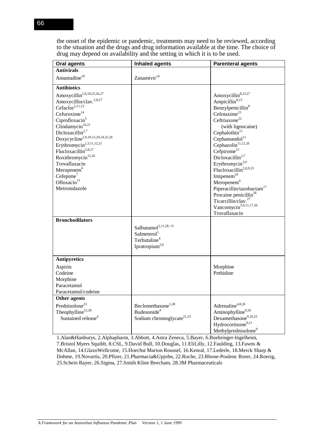the onset of the epidemic or pandemic, treatments may need to be reviewed, according to the situation and the drugs and drug information available at the time. The choice of drug may depend on availability and the setting in which it is to be used.

| <b>Oral agents</b>                                                                                                                                                                                                                                                                                                                                                                                                                                                                                          | <b>Inhaled agents</b>                                                                                                  | <b>Parenteral agents</b>                                                                                                                                                                                                                                                                                                                                                                                                                                                                                                                                                                                    |
|-------------------------------------------------------------------------------------------------------------------------------------------------------------------------------------------------------------------------------------------------------------------------------------------------------------------------------------------------------------------------------------------------------------------------------------------------------------------------------------------------------------|------------------------------------------------------------------------------------------------------------------------|-------------------------------------------------------------------------------------------------------------------------------------------------------------------------------------------------------------------------------------------------------------------------------------------------------------------------------------------------------------------------------------------------------------------------------------------------------------------------------------------------------------------------------------------------------------------------------------------------------------|
| <b>Antivirals</b>                                                                                                                                                                                                                                                                                                                                                                                                                                                                                           |                                                                                                                        |                                                                                                                                                                                                                                                                                                                                                                                                                                                                                                                                                                                                             |
| Amantadine <sup>19</sup>                                                                                                                                                                                                                                                                                                                                                                                                                                                                                    | Zanamivir <sup>14</sup>                                                                                                |                                                                                                                                                                                                                                                                                                                                                                                                                                                                                                                                                                                                             |
| <b>Antibiotics</b>                                                                                                                                                                                                                                                                                                                                                                                                                                                                                          |                                                                                                                        |                                                                                                                                                                                                                                                                                                                                                                                                                                                                                                                                                                                                             |
| Amoxycillin <sup>2,8,10,25,26,27</sup><br>Amoxycillin/clav. <sup>2,8,27</sup><br>Cefaclor <sup>2,11,12</sup><br>Cefuroxime $14$<br>Ciprofloxacin <sup>5</sup><br>Clindamycin <sup>16,21</sup><br>Dicloxacillin <sup>2,7</sup><br>Doxycycline <sup>2,9,10,12,20,24,25,26</sup><br>Erythromycin <sup>2,3,11,12,21</sup><br>Flucloxacillin <sup>2,8,27</sup><br>Roxithromycin <sup>15,26</sup><br>Trovaflaxacin<br>Meropenem <sup>4</sup><br>Cefepime <sup>7</sup><br>Ofloxacin <sup>15</sup><br>Metronidazole |                                                                                                                        | Amoxycillin <sup>8,23,27</sup><br>Ampicillin <sup>8,23</sup><br>Benzylpenicillin <sup>8</sup><br>Cefotaxime <sup>15</sup><br>Ceftriaxone <sup>22</sup><br>(with lignocaine)<br>Cephalothin $11$<br>Cephamandol <sup>11</sup><br>Cephazolin $^{11,12,26}$<br>Cefpirome <sup>15</sup><br>Dicloxacillin <sup>2,7</sup><br>Erythromycin <sup>3,9</sup><br>Flucloxacillin <sup>2,8,9,23</sup><br>Imiperem $18$<br>Meropenem <sup>4</sup><br>Piperacillin/tazobactam <sup>17</sup><br>Procaine penicillin <sup>26</sup><br>Ticarcillin/clav. <sup>27</sup><br>Vancomycin <sup>3,9,11,17,26</sup><br>Trovaflaxacin |
| <b>Bronchodilators</b>                                                                                                                                                                                                                                                                                                                                                                                                                                                                                      | Salbutamol <sup>2,11,28, 15</sup><br>Salmeterol <sup>1</sup><br>Terbutaline <sup>4</sup><br>Ipratropium <sup>2,6</sup> |                                                                                                                                                                                                                                                                                                                                                                                                                                                                                                                                                                                                             |
| <b>Antipyretics</b>                                                                                                                                                                                                                                                                                                                                                                                                                                                                                         |                                                                                                                        |                                                                                                                                                                                                                                                                                                                                                                                                                                                                                                                                                                                                             |
| Aspirin<br>Codeine<br>Morphine<br>Paracetamol<br>Paracetamol/codeine                                                                                                                                                                                                                                                                                                                                                                                                                                        |                                                                                                                        | Morphine<br>Pethidine                                                                                                                                                                                                                                                                                                                                                                                                                                                                                                                                                                                       |
| Other agents                                                                                                                                                                                                                                                                                                                                                                                                                                                                                                |                                                                                                                        |                                                                                                                                                                                                                                                                                                                                                                                                                                                                                                                                                                                                             |
| Prednisolone <sup>23</sup><br>Theophylline <sup>12,28</sup><br>Sustained release <sup>4</sup>                                                                                                                                                                                                                                                                                                                                                                                                               | Beclomethasone <sup>1,28</sup><br>Budesonide <sup>4</sup><br>Sodium chromoglycate <sup>21,23</sup>                     | Adrenaline <sup>4,8,26</sup><br>Aminophylline9,26<br>Dexamethasone9,18,23<br>Hydrocortisone <sup>9,21</sup><br>Methylprednisolone <sup>9</sup>                                                                                                                                                                                                                                                                                                                                                                                                                                                              |

1.Alan&Hanburys, 2.Alphapharm, 3.Abbott, 4.Astra Zeneca, 5.Bayer, 6.Boehringer-Ingelheim, 7.Bristol Myers Squibb, 8.CSL, 9.David Bull, 10.Douglas, 11.EliLilly, 12.Faulding, 13.Fawns & McAllan, 14.GlaxoWellcome, 15.Hoechst Marion Roussel, 16.Kenral, 17.Lederle, 18.Merck Sharp & Dohme, 19.Novartis, 20.Pfizer, 21.Pharmacia&Upjohn, 22.Roche, 23.Rhone-Poulenc Rorer, 24.Roerig, 25.Schein Bayer, 26.Sigma, 27.Smith Kline Beecham, 28.3M Pharmaceuticals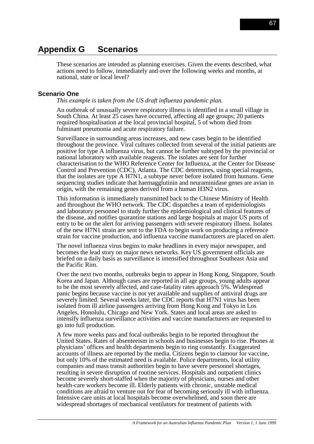# **Appendix G Scenarios**

These scenarios are intended as planning exercises. Given the events described, what actions need to follow, immediately and over the following weeks and months, at national, state or local level?

### **Scenario One**

#### *This example is taken from the US draft influenza pandemic plan.*

An outbreak of unusually severe respiratory illness is identified in a small village in South China. At least 25 cases have occurred, affecting all age groups; 20 patients required hospitalisation at the local provincial hospital, 5 of whom died from fulminant pneumonia and acute respiratory failure.

Surveillance in surrounding areas increases, and new cases begin to be identified throughout the province. Viral cultures collected from several of the initial patients are positive for type A influenza virus, but cannot be further subtyped by the provincial or national laboratory with available reagents. The isolates are sent for further characterisation to the WHO Reference Center for Influenza, at the Center for Disease Control and Prevention (CDC), Atlanta. The CDC determines, using special reagents, that the isolates are type A H7N1, a subtype never before isolated from humans. Gene sequencing studies indicate that haemagglutinin and neuraminidase genes are avian in origin, with the remaining genes derived from a human H3N2 virus.

This information is immediately transmitted back to the Chinese Ministry of Health and throughout the WHO network. The CDC dispatches a team of epidemiologists and laboratory personnel to study further the epidemiological and clinical features of the disease, and notifies quarantine stations and large hospitals at major US ports of entry to be on the alert for arriving passengers with severe respiratory illness. Isolates of the new H7N1 strain are sent to the FDA to begin work on producing a reference strain for vaccine production, and influenza vaccine manufacturers are placed on alert.

The novel influenza virus begins to make headlines in every major newspaper, and becomes the lead story on major news networks. Key US government officials are briefed on a daily basis as surveillance is intensified throughout Southeast Asia and the Pacific Rim.

Over the next two months, outbreaks begin to appear in Hong Kong, Singapore, South Korea and Japan. Although cases are reported in all age groups, young adults appear to be the most severely affected, and case-fatality rates approach 5%. Widespread panic begins because vaccine is not yet available and supplies of antiviral drugs are severely limited. Several weeks later, the CDC reports that H7N1 virus has been isolated from ill airline passengers arriving from Hong Kong and Tokyo in Los Angeles, Honolulu, Chicago and New York. States and local areas are asked to intensify influenza surveillance activities and vaccine manufacturers are requested to go into full production.

A few more weeks pass and focal outbreaks begin to be reported throughout the United States. Rates of absenteeism in schools and businesses begin to rise. Phones at physicians' offices and health departments begin to ring constantly. Exaggerated accounts of illness are reported by the media. Citizens begin to clamour for vaccine, but only 10% of the estimated need is available. Police departments, local utility companies and mass transit authorities begin to have severe personnel shortages, resulting in severe disruption of routine services. Hospitals and outpatient clinics become severely short-staffed when the majority of physicians, nurses and other health-care workers become ill. Elderly patients with chronic, unstable medical conditions are afraid to venture out for fear of becoming seriously ill with influenza. Intensive care units at local hospitals become overwhelmed, and soon there are widespread shortages of mechanical ventilators for treatment of patients with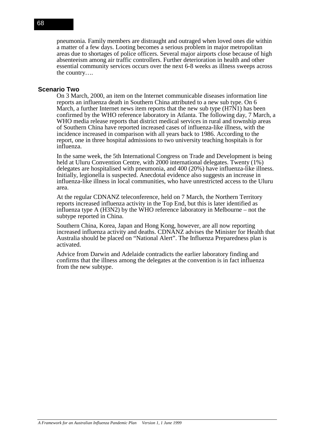pneumonia. Family members are distraught and outraged when loved ones die within a matter of a few days. Looting becomes a serious problem in major metropolitan areas due to shortages of police officers. Several major airports close because of high absenteeism among air traffic controllers. Further deterioration in health and other essential community services occurs over the next 6-8 weeks as illness sweeps across the country….

### **Scenario Two**

On 3 March, 2000, an item on the Internet communicable diseases information line reports an influenza death in Southern China attributed to a new sub type. On 6 March, a further Internet news item reports that the new sub type  $(H7N1)$  has been confirmed by the WHO reference laboratory in Atlanta. The following day, 7 March, a WHO media release reports that district medical services in rural and township areas of Southern China have reported increased cases of influenza-like illness, with the incidence increased in comparison with all years back to 1986. According to the report, one in three hospital admissions to two university teaching hospitals is for influenza.

In the same week, the 5th International Congress on Trade and Development is being held at Uluru Convention Centre, with 2000 international delegates. Twenty  $(1\%)$ delegates are hospitalised with pneumonia, and 400 (20%) have influenza-like illness. Initially, legionella is suspected. Anecdotal evidence also suggests an increase in influenza-like illness in local communities, who have unrestricted access to the Uluru area.

At the regular CDNANZ teleconference, held on 7 March, the Northern Territory reports increased influenza activity in the Top End, but this is later identified as influenza type A (H3N2) by the WHO reference laboratory in Melbourne – not the subtype reported in China.

Southern China, Korea, Japan and Hong Kong, however, are all now reporting increased influenza activity and deaths. CDNANZ advises the Minister for Health that Australia should be placed on "National Alert". The Influenza Preparedness plan is activated.

Advice from Darwin and Adelaide contradicts the earlier laboratory finding and confirms that the illness among the delegates at the convention is in fact influenza from the new subtype.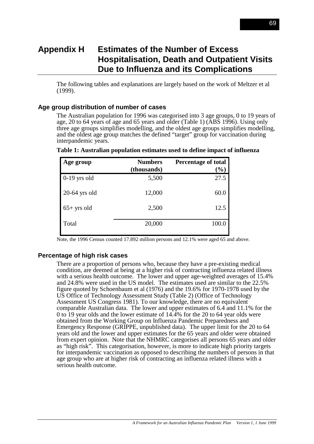# **Appendix H Estimates of the Number of Excess Hospitalisation, Death and Outpatient Visits Due to Influenza and its Complications**

The following tables and explanations are largely based on the work of Meltzer et al (1999).

### **Age group distribution of number of cases**

The Australian population for 1996 was categorised into 3 age groups, 0 to 19 years of age, 20 to 64 years of age and 65 years and older (Table 1) (ABS 1996). Using only three age groups simplifies modelling, and the oldest age groups simplifies modelling, and the oldest age group matches the defined "target" group for vaccination during interpandemic years.

| Age group       | <b>Numbers</b> | <b>Percentage of total</b> |
|-----------------|----------------|----------------------------|
|                 | (thousands)    | $(\%)$                     |
| $0-19$ yrs old  | 5,500          | 27.5                       |
| $20-64$ yrs old | 12,000         | 60.0                       |
| $65+$ yrs old   | 2,500          | 12.5                       |
| Total           | 20,000         | 100.0                      |

**Table 1: Australian population estimates used to define impact of influenza**

Note, the 1996 Census counted 17.892 million persons and 12.1% were aged 65 and above.

## **Percentage of high risk cases**

There are a proportion of persons who, because they have a pre-existing medical condition, are deemed at being at a higher risk of contracting influenza related illness with a serious health outcome. The lower and upper age-weighted averages of 15.4% and 24.8% were used in the US model. The estimates used are similar to the 22.5% figure quoted by Schoenbaum et al (1976) and the 19.6% for 1970-1978 used by the US Office of Technology Assessment Study (Table 2) (Office of Technology Assessment US Congress 1981). To our knowledge, there are no equivalent comparable Australian data. The lower and upper estimates of 6.4 and 11.1% for the 0 to 19 year olds and the lower estimate of 14.4% for the 20 to 64 year olds were obtained from the Working Group on Influenza Pandemic Preparedness and Emergency Response (GRIPPE, unpublished data). The upper limit for the 20 to 64 years old and the lower and upper estimates for the 65 years and older were obtained from expert opinion. Note that the NHMRC categorises all persons 65 years and older as "high risk". This categorisation, however, is more to indicate high priority targets for interpandemic vaccination as opposed to describing the numbers of persons in that age group who are at higher risk of contracting an influenza related illness with a serious health outcome.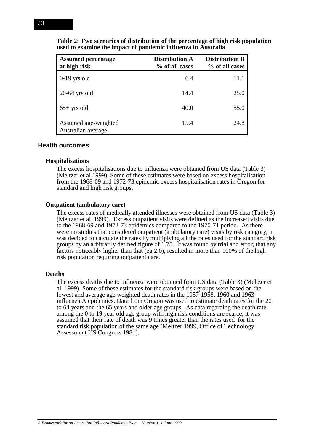| <b>Assumed percentage</b><br>at high risk  | <b>Distribution A</b><br>% of all cases | <b>Distribution B</b><br>% of all cases |
|--------------------------------------------|-----------------------------------------|-----------------------------------------|
| $0-19$ yrs old                             | 6.4                                     | 11.1                                    |
| $20-64$ yrs old                            | 14.4                                    | 25.0                                    |
| $65+$ yrs old                              | 40.0                                    | 55.0                                    |
| Assumed age-weighted<br>Australian average | 15.4                                    | 24.8                                    |

**Table 2: Two scenarios of distribution of the percentage of high risk population used to examine the impact of pandemic influenza in Australia**

#### **Health outcomes**

#### **Hospitalisations**

The excess hospitalisations due to influenza were obtained from US data (Table 3) (Meltzer et al 1999). Some of these estimates were based on excess hospitalisation from the 1968-69 and 1972-73 epidemic excess hospitalisation rates in Oregon for standard and high risk groups.

#### **Outpatient (ambulatory care)**

The excess rates of medically attended illnesses were obtained from US data (Table 3) (Meltzer et al 1999). Excess outpatient visits were defined as the increased visits due to the 1968-69 and 1972-73 epidemics compared to the 1970-71 period. As there were no studies that considered outpatient (ambulatory care) visits by risk category, it was decided to calculate the rates by multiplying all the rates used for the standard risk groups by an arbitrarily defined figure of 1.75. It was found by trial and error, that any factors noticeably higher than that (eg 2.0), resulted in more than 100% of the high risk population requiring outpatient care.

#### **Deaths**

The excess deaths due to influenza were obtained from US data (Table 3) **(**Meltzer et al 1999). Some of these estimates for the standard risk groups were based on the lowest and average age weighted death rates in the 1957-1958, 1960 and 1963 influenza A epidemics. Data from Oregon was used to estimate death rates for the 20 to 64 years and the 65 years and older age groups. As data regarding the death rate among the 0 to 19 year old age group with high risk conditions are scarce, it was assumed that their rate of death was 9 times greater than the rates used for the standard risk population of the same age (Meltzer 1999, Office of Technology Assessment US Congress 1981).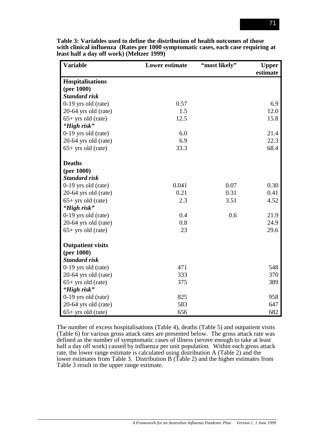| <b>Variable</b>          | <b>Lower estimate</b> | "most likely" | <b>Upper</b><br>estimate |
|--------------------------|-----------------------|---------------|--------------------------|
| <b>Hospitalisations</b>  |                       |               |                          |
| (per 1000)               |                       |               |                          |
| <b>Standard risk</b>     |                       |               |                          |
| $0-19$ yrs old (rate)    | 0.57                  |               | 6.9                      |
| $20-64$ yrs old (rate)   | 1.5                   |               | 12.0                     |
| $65+$ yrs old (rate)     | 12.5                  |               | 15.8                     |
| "High risk"              |                       |               |                          |
| $0-19$ yrs old (rate)    | 6.0                   |               | 21.4                     |
| 20-64 yrs old (rate)     | 6.9                   |               | 22.3                     |
| $65+$ yrs old (rate)     | 33.3                  |               | 68.4                     |
| <b>Deaths</b>            |                       |               |                          |
| (per 1000)               |                       |               |                          |
| <b>Standard risk</b>     |                       |               |                          |
| $0-19$ yrs old (rate)    | 0.041                 | 0.07          | 0.30                     |
| 20-64 yrs old (rate)     | 0.21                  | 0.31          | 0.41                     |
| $65+$ yrs old (rate)     | 2.3                   | 3.51          | 4.52                     |
| "High risk"              |                       |               |                          |
| 0-19 yrs old (rate)      | 0.4                   | 0.6           | 21.9                     |
| 20-64 yrs old (rate)     | 0.8                   |               | 24.9                     |
| $65+$ yrs old (rate)     | 23                    |               | 29.6                     |
| <b>Outpatient visits</b> |                       |               |                          |
| (per 1000)               |                       |               |                          |
| <b>Standard risk</b>     |                       |               |                          |
| $0-19$ yrs old (rate)    | 471                   |               | 548                      |
| $20-64$ yrs old (rate)   | 333                   |               | 370                      |
| $65+$ yrs old (rate)     | 375                   |               | 389                      |
| "High risk"              |                       |               |                          |
| $0-19$ yrs old (rate)    | 825                   |               | 958                      |
| 20-64 yrs old (rate)     | 583                   |               | 647                      |
| $65+$ yrs old (rate)     | 656                   |               | 682                      |

**Table 3: Variables used to define the distribution of health outcomes of those with clinical influenza (Rates per 1000 symptomatic cases, each case requiring at least half a day off work) (Meltzer 1999)**

The number of excess hospitalisations (Table 4), deaths (Table 5) and outpatient visits (Table 6) for various gross attack rates are presented below. The gross attack rate was defined as the number of symptomatic cases of illness (severe enough to take at least half a day off work) caused by influenza per unit population. Within each gross attack rate, the lower range estimate is calculated using distribution A (Table 2) and the lower estimates from Table 3. Distribution B (Table 2) and the higher estimates from Table 3 result in the upper range estimate.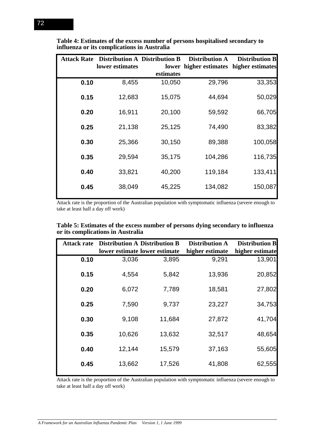|      | <b>Attack Rate</b> Distribution A Distribution B |           | <b>Distribution A</b>                   | <b>Distribution B</b> |
|------|--------------------------------------------------|-----------|-----------------------------------------|-----------------------|
|      | lower estimates                                  |           | lower higher estimates higher estimates |                       |
|      |                                                  | estimates |                                         |                       |
| 0.10 | 8,455                                            | 10,050    | 29,796                                  | 33,353                |
| 0.15 | 12,683                                           | 15,075    | 44,694                                  | 50,029                |
| 0.20 | 16,911                                           | 20,100    | 59,592                                  | 66,705                |
| 0.25 | 21,138                                           | 25,125    | 74,490                                  | 83,382                |
| 0.30 | 25,366                                           | 30,150    | 89,388                                  | 100,058               |
| 0.35 | 29,594                                           | 35,175    | 104,286                                 | 116,735               |
| 0.40 | 33,821                                           | 40,200    | 119,184                                 | 133,411               |
| 0.45 | 38,049                                           | 45,225    | 134,082                                 | 150,087               |
|      |                                                  |           |                                         |                       |

**Table 4: Estimates of the excess number of persons hospitalised secondary to influenza or its complications in Australia**

Attack rate is the proportion of the Australian population with symptomatic influenza (severe enough to take at least half a day off work)

|                                   | Table 5: Estimates of the excess number of persons dying secondary to influenza |
|-----------------------------------|---------------------------------------------------------------------------------|
| or its complications in Australia |                                                                                 |

| <b>Attack rate</b> |        | <b>Distribution A Distribution B</b><br>lower estimate lower estimate | <b>Distribution A</b><br>higher estimate | <b>Distribution B</b><br>higher estimate |
|--------------------|--------|-----------------------------------------------------------------------|------------------------------------------|------------------------------------------|
| 0.10               | 3,036  | 3,895                                                                 | 9,291                                    | 13,901                                   |
| 0.15               | 4,554  | 5,842                                                                 | 13,936                                   | 20,852                                   |
| 0.20               | 6,072  | 7,789                                                                 | 18,581                                   | 27,802                                   |
| 0.25               | 7,590  | 9,737                                                                 | 23,227                                   | 34,753                                   |
| 0.30               | 9,108  | 11,684                                                                | 27,872                                   | 41,704                                   |
| 0.35               | 10,626 | 13,632                                                                | 32,517                                   | 48,654                                   |
| 0.40               | 12,144 | 15,579                                                                | 37,163                                   | 55,605                                   |
| 0.45               | 13,662 | 17,526                                                                | 41,808                                   | 62,555                                   |

Attack rate is the proportion of the Australian population with symptomatic influenza (severe enough to take at least half a day off work)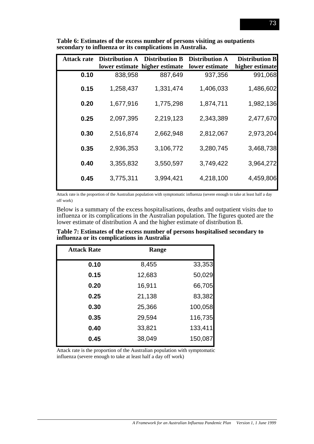| <b>Attack rate</b> | <b>Distribution A</b> | <b>Distribution B</b><br>lower estimate higher estimate | <b>Distribution A</b><br>lower estimate | <b>Distribution B</b><br>higher estimate |
|--------------------|-----------------------|---------------------------------------------------------|-----------------------------------------|------------------------------------------|
| 0.10               | 838,958               | 887,649                                                 | 937,356                                 | 991,068                                  |
| 0.15               | 1,258,437             | 1,331,474                                               | 1,406,033                               | 1,486,602                                |
| 0.20               | 1,677,916             | 1,775,298                                               | 1,874,711                               | 1,982,136                                |
| 0.25               | 2,097,395             | 2,219,123                                               | 2,343,389                               | 2,477,670                                |
| 0.30               | 2,516,874             | 2,662,948                                               | 2,812,067                               | 2,973,204                                |
| 0.35               | 2,936,353             | 3,106,772                                               | 3,280,745                               | 3,468,738                                |
| 0.40               | 3,355,832             | 3,550,597                                               | 3,749,422                               | 3,964,272                                |
| 0.45               | 3,775,311             | 3,994,421                                               | 4,218,100                               | 4,459,806                                |

**Table 6: Estimates of the excess number of persons visiting as outpatients secondary to influenza or its complications in Australia.**

Attack rate is the proportion of the Australian population with symptomatic influenza (severe enough to take at least half a day off work)

Below is a summary of the excess hospitalisations, deaths and outpatient visits due to influenza or its complications in the Australian population. The figures quoted are the lower estimate of distribution A and the higher estimate of distribution B.

**Table 7: Estimates of the excess number of persons hospitalised secondary to influenza or its complications in Australia**

| <b>Attack Rate</b> | Range  |         |
|--------------------|--------|---------|
| 0.10               | 8,455  | 33,353  |
| 0.15               | 12,683 | 50,029  |
| 0.20               | 16,911 | 66,705  |
| 0.25               | 21,138 | 83,382  |
| 0.30               | 25,366 | 100,058 |
| 0.35               | 29,594 | 116,735 |
| 0.40               | 33,821 | 133,411 |
| 0.45               | 38,049 | 150,087 |

Attack rate is the proportion of the Australian population with symptomatic influenza (severe enough to take at least half a day off work)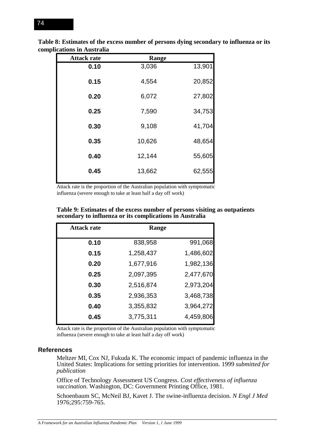| <b>Attack rate</b> | Range  |        |
|--------------------|--------|--------|
| 0.10               | 3,036  | 13,901 |
| 0.15               | 4,554  | 20,852 |
| 0.20               | 6,072  | 27,802 |
| 0.25               | 7,590  | 34,753 |
| 0.30               | 9,108  | 41,704 |
| 0.35               | 10,626 | 48,654 |
| 0.40               | 12,144 | 55,605 |
| 0.45               | 13,662 | 62,555 |

**Table 8: Estimates of the excess number of persons dying secondary to influenza or its complications in Australia**

Attack rate is the proportion of the Australian population with symptomatic influenza (severe enough to take at least half a day off work)

| Table 9: Estimates of the excess number of persons visiting as outpatients |
|----------------------------------------------------------------------------|
| secondary to influenza or its complications in Australia                   |

| <b>Attack rate</b> | Range     |           |
|--------------------|-----------|-----------|
| 0.10               | 838,958   | 991,068   |
| 0.15               | 1,258,437 | 1,486,602 |
| 0.20               | 1,677,916 | 1,982,136 |
| 0.25               | 2,097,395 | 2,477,670 |
| 0.30               | 2,516,874 | 2,973,204 |
| 0.35               | 2,936,353 | 3,468,738 |
| 0.40               | 3,355,832 | 3,964,272 |
| 0.45               | 3,775,311 | 4,459,806 |

Attack rate is the proportion of the Australian population with symptomatic influenza (severe enough to take at least half a day off work)

#### **References**

Meltzer MI, Cox NJ, Fukuda K. The economic impact of pandemic influenza in the United States: Implications for setting priorities for intervention. 1999 *submitted for publication*

Office of Technology Assessment US Congress. *Cost effectiveness of influenza vaccination*. Washington, DC: Government Printing Office, 1981.

Schoenbaum SC, McNeil BJ, Kavet J. The swine-influenza decision. *N Engl J Med* 1976;295:759-765.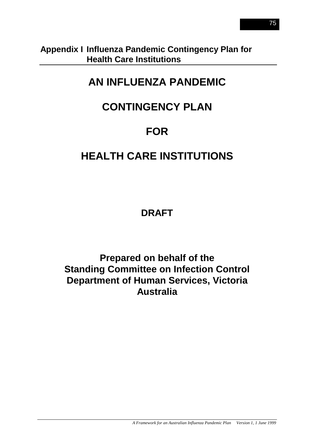# **Appendix I Influenza Pandemic Contingency Plan for Health Care Institutions**

# **AN INFLUENZA PANDEMIC**

# **CONTINGENCY PLAN**

# **FOR**

# **HEALTH CARE INSTITUTIONS**

# **DRAFT**

**Prepared on behalf of the Standing Committee on Infection Control Department of Human Services, Victoria Australia**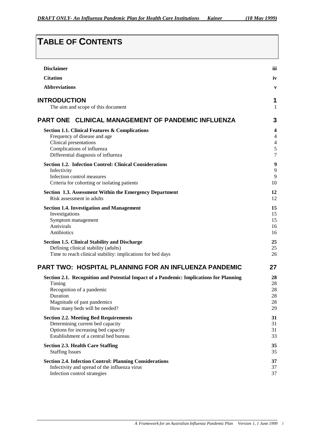# **TABLE OF CONTENTS**

| <b>Disclaimer</b>                                                                      | iii            |
|----------------------------------------------------------------------------------------|----------------|
| <b>Citation</b>                                                                        | iv             |
| <b>Abbreviations</b>                                                                   | $\mathbf{V}$   |
| <b>INTRODUCTION</b>                                                                    | 1              |
| The aim and scope of this document                                                     | 1              |
| PART ONE CLINICAL MANAGEMENT OF PANDEMIC INFLUENZA                                     | 3              |
| <b>Section 1.1. Clinical Features &amp; Complications</b>                              | 4              |
| Frequency of disease and age                                                           | 4              |
| Clinical presentations                                                                 | $\overline{4}$ |
| Complications of influenza                                                             | 5              |
| Differential diagnosis of influenza                                                    | $\overline{7}$ |
| <b>Section 1.2. Infection Control: Clinical Considerations</b>                         | 9              |
| Infectivity                                                                            | 9              |
| Infection control measures                                                             | 9              |
| Criteria for cohorting or isolating patients                                           | 10             |
| Section 1.3. Assessment Within the Emergency Department                                | 12             |
| Risk assessment in adults                                                              | 12             |
| <b>Section 1.4. Investigation and Management</b>                                       | 15             |
| Investigations                                                                         | 15             |
| Symptom management                                                                     | 15             |
| Antivirals                                                                             | 16             |
| Antibiotics                                                                            | 16             |
| <b>Section 1.5. Clinical Stability and Discharge</b>                                   | 25             |
| Defining clinical stability (adults)                                                   | 25             |
| Time to reach clinical stability: implications for bed days                            | 26             |
| PART TWO: HOSPITAL PLANNING FOR AN INFLUENZA PANDEMIC                                  | 27             |
| Section 2.1. Recognition and Potential Impact of a Pandemic: Implications for Planning | 28             |
| Timing                                                                                 | 28             |
| Recognition of a pandemic                                                              | 28             |
| Duration                                                                               | 28             |
| Magnitude of past pandemics                                                            | 28             |
| How many beds will be needed?                                                          | 29             |
| <b>Section 2.2. Meeting Bed Requirements</b>                                           | 31             |
| Determining current bed capacity                                                       | 31             |
| Options for increasing bed capacity                                                    | 31             |
| Establishment of a central bed bureau                                                  | 33             |
| <b>Section 2.3. Health Care Staffing</b>                                               | 35             |
| <b>Staffing Issues</b>                                                                 | 35             |
| <b>Section 2.4. Infection Control: Planning Considerations</b>                         | 37             |
| Infectivity and spread of the influenza virus                                          | 37             |
| Infection control strategies                                                           | 37             |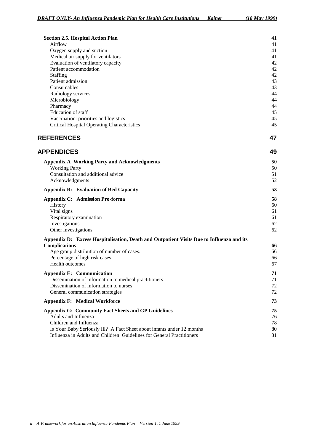| <b>Section 2.5. Hospital Action Plan</b>                                                 | 41       |
|------------------------------------------------------------------------------------------|----------|
| Airflow                                                                                  | 41       |
| Oxygen supply and suction                                                                | 41       |
| Medical air supply for ventilators                                                       | 41       |
| Evaluation of ventilatory capacity                                                       | 42       |
| Patient accommodation                                                                    | 42       |
| Staffing<br>Patient admission                                                            | 42       |
| Consumables                                                                              | 43<br>43 |
| Radiology services                                                                       | 44       |
| Microbiology                                                                             | 44       |
| Pharmacy                                                                                 | 44       |
| Education of staff                                                                       | 45       |
| Vaccination: priorities and logistics                                                    | 45       |
| <b>Critical Hospital Operating Characteristics</b>                                       | 45       |
| <b>REFERENCES</b>                                                                        | 47       |
| <b>APPENDICES</b>                                                                        | 49       |
| <b>Appendix A Working Party and Acknowledgments</b>                                      | 50       |
| <b>Working Party</b>                                                                     | 50       |
| Consultation and additional advice                                                       | 51       |
| Acknowledgments                                                                          | 52       |
| <b>Appendix B: Evaluation of Bed Capacity</b>                                            | 53       |
| <b>Appendix C: Admission Pro-forma</b>                                                   | 58       |
| History                                                                                  | 60       |
| Vital signs                                                                              | 61       |
| Respiratory examination                                                                  | 61       |
| Investigations                                                                           | 62       |
| Other investigations                                                                     | 62       |
| Appendix D: Excess Hospitalisation, Death and Outpatient Visits Due to Influenza and its |          |
| <b>Complications</b>                                                                     | 66       |
| Age group distribution of number of cases.                                               | 66       |
| Percentage of high risk cases                                                            | 66       |
| <b>Health outcomes</b>                                                                   | 67       |
| <b>Appendix E: Communication</b>                                                         | 71       |
| Dissemination of information to medical practitioners                                    | 71       |
| Dissemination of information to nurses                                                   | 72       |
| General communication strategies                                                         | 72       |

|  | <b>Appendix F: Medical Workforce</b> |  |
|--|--------------------------------------|--|
|--|--------------------------------------|--|

| Appendix G: Community Fact Sheets and GP Guidelines                    | 75 |
|------------------------------------------------------------------------|----|
| Adults and Influenza                                                   | 76 |
| Children and Influenza                                                 | 78 |
| Is Your Baby Seriously III? A Fact Sheet about infants under 12 months | 80 |
| Influenza in Adults and Children Guidelines for General Practitioners  | 81 |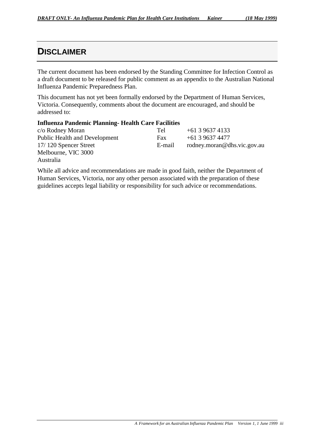# **DISCLAIMER**

The current document has been endorsed by the Standing Committee for Infection Control as a draft document to be released for public comment as an appendix to the Australian National Influenza Pandemic Preparedness Plan.

This document has not yet been formally endorsed by the Department of Human Services, Victoria. Consequently, comments about the document are encouraged, and should be addressed to:

### **Influenza Pandemic Planning- Health Care Facilities**

| c/o Rodney Moran                     | Tel    | $+61396374133$              |
|--------------------------------------|--------|-----------------------------|
| <b>Public Health and Development</b> | Fax    | +61 3 9637 4477             |
| 17/120 Spencer Street                | E-mail | rodney.moran@dhs.vic.gov.au |
| Melbourne, VIC 3000                  |        |                             |

Australia

While all advice and recommendations are made in good faith, neither the Department of Human Services, Victoria, nor any other person associated with the preparation of these guidelines accepts legal liability or responsibility for such advice or recommendations.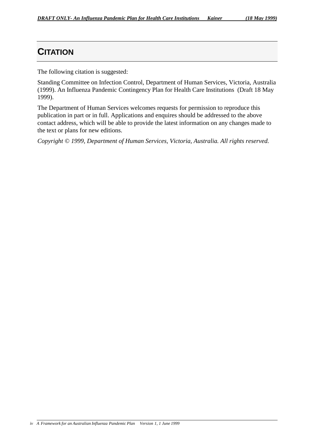# **CITATION**

The following citation is suggested:

Standing Committee on Infection Control, Department of Human Services, Victoria, Australia (1999). An Influenza Pandemic Contingency Plan for Health Care Institutions (Draft 18 May 1999).

The Department of Human Services welcomes requests for permission to reproduce this publication in part or in full. Applications and enquires should be addressed to the above contact address, which will be able to provide the latest information on any changes made to the text or plans for new editions.

*Copyright © 1999, Department of Human Services, Victoria, Australia. All rights reserved.*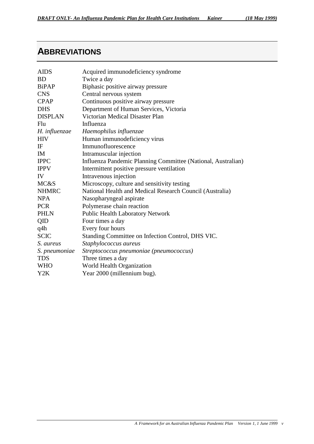# **ABBREVIATIONS**

| <b>AIDS</b>     | Acquired immunodeficiency syndrome                           |
|-----------------|--------------------------------------------------------------|
| <b>BD</b>       | Twice a day                                                  |
| BiPAP           | Biphasic positive airway pressure                            |
| <b>CNS</b>      | Central nervous system                                       |
| <b>CPAP</b>     | Continuous positive airway pressure                          |
| <b>DHS</b>      | Department of Human Services, Victoria                       |
| <b>DISPLAN</b>  | Victorian Medical Disaster Plan                              |
| Flu             | Influenza                                                    |
| H. influenzae   | Haemophilus influenzae                                       |
| <b>HIV</b>      | Human immunodeficiency virus                                 |
| IF              | Immunofluorescence                                           |
| <b>IM</b>       | Intramuscular injection                                      |
| <b>IPPC</b>     | Influenza Pandemic Planning Committee (National, Australian) |
| <b>IPPV</b>     | Intermittent positive pressure ventilation                   |
| IV              | Intravenous injection                                        |
| <b>MC&amp;S</b> | Microscopy, culture and sensitivity testing                  |
| <b>NHMRC</b>    | National Health and Medical Research Council (Australia)     |
| <b>NPA</b>      | Nasopharyngeal aspirate                                      |
| <b>PCR</b>      | Polymerase chain reaction                                    |
| <b>PHLN</b>     | Public Health Laboratory Network                             |
| QID             | Four times a day                                             |
| q4h             | Every four hours                                             |
| <b>SCIC</b>     | Standing Committee on Infection Control, DHS VIC.            |
| S. aureus       | Staphylococcus aureus                                        |
| S. pneumoniae   | Streptococcus pneumoniae (pneumococcus)                      |
| <b>TDS</b>      | Three times a day                                            |
| <b>WHO</b>      | World Health Organization                                    |
| Y2K             | Year 2000 (millennium bug).                                  |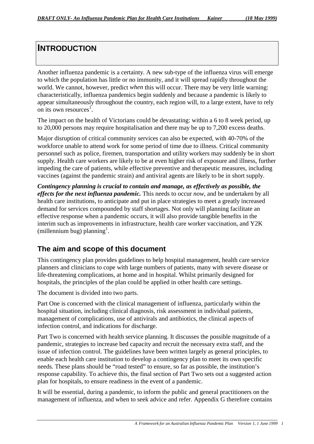# **INTRODUCTION**

Another influenza pandemic is a certainty. A new sub-type of the influenza virus will emerge to which the population has little or no immunity, and it will spread rapidly throughout the world. We cannot, however, predict *when* this will occur. There may be very little warning: characteristically, influenza pandemics begin suddenly and because a pandemic is likely to appear simultaneously throughout the country, each region will, to a large extent, have to rely on its own resources<sup>1</sup>.

The impact on the health of Victorians could be devastating: within a 6 to 8 week period, up to 20,000 persons may require hospitalisation and there may be up to 7,200 excess deaths.

Major disruption of critical community services can also be expected, with 40-70% of the workforce unable to attend work for some period of time due to illness. Critical community personnel such as police, firemen, transportation and utility workers may suddenly be in short supply. Health care workers are likely to be at even higher risk of exposure and illness, further impeding the care of patients, while effective preventive and therapeutic measures, including vaccines (against the pandemic strain) and antiviral agents are likely to be in short supply.

*Contingency planning is crucial to contain and manage, as effectively as possible, the effects for the next influenza pandemic.* This needs to occur *now*, and be undertaken by all health care institutions, to anticipate and put in place strategies to meet a greatly increased demand for services compounded by staff shortages. Not only will planning facilitate an effective response when a pandemic occurs, it will also provide tangible benefits in the interim such as improvements in infrastructure, health care worker vaccination, and Y2K (millennium bug) planning<sup>1</sup>.

## **The aim and scope of this document**

This contingency plan provides guidelines to help hospital management, health care service planners and clinicians to cope with large numbers of patients, many with severe disease or life-threatening complications, at home and in hospital. Whilst primarily designed for hospitals, the principles of the plan could be applied in other health care settings.

The document is divided into two parts.

Part One is concerned with the clinical management of influenza, particularly within the hospital situation, including clinical diagnosis, risk assessment in individual patients, management of complications, use of antivirals and antibiotics, the clinical aspects of infection control, and indications for discharge.

Part Two is concerned with health service planning. It discusses the possible magnitude of a pandemic, strategies to increase bed capacity and recruit the necessary extra staff, and the issue of infection control. The guidelines have been written largely as general principles, to enable each health care institution to develop a contingency plan to meet its own specific needs. These plans should be "road tested" to ensure, so far as possible, the institution's response capability. To achieve this, the final section of Part Two sets out a suggested action plan for hospitals, to ensure readiness in the event of a pandemic.

It will be essential, during a pandemic, to inform the public and general practitioners on the management of influenza, and when to seek advice and refer. Appendix G therefore contains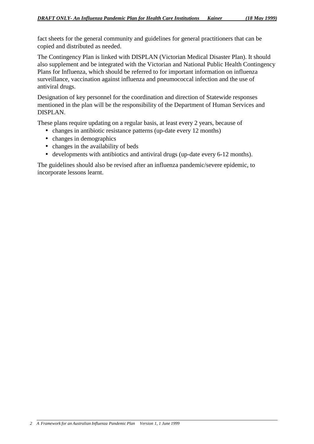fact sheets for the general community and guidelines for general practitioners that can be copied and distributed as needed.

The Contingency Plan is linked with DISPLAN (Victorian Medical Disaster Plan). It should also supplement and be integrated with the Victorian and National Public Health Contingency Plans for Influenza, which should be referred to for important information on influenza surveillance, vaccination against influenza and pneumococcal infection and the use of antiviral drugs.

Designation of key personnel for the coordination and direction of Statewide responses mentioned in the plan will be the responsibility of the Department of Human Services and DISPLAN.

These plans require updating on a regular basis, at least every 2 years, because of

- changes in antibiotic resistance patterns (up-date every 12 months)
- changes in demographics
- changes in the availability of beds
- developments with antibiotics and antiviral drugs (up-date every 6-12 months).

The guidelines should also be revised after an influenza pandemic/severe epidemic, to incorporate lessons learnt.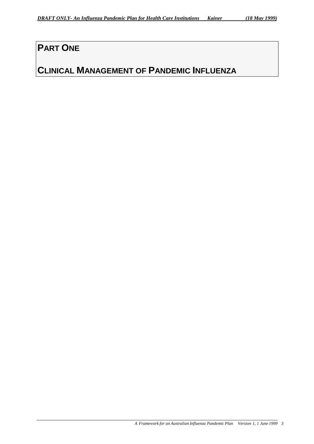# **PART ONE**

# **CLINICAL MANAGEMENT OF PANDEMIC INFLUENZA**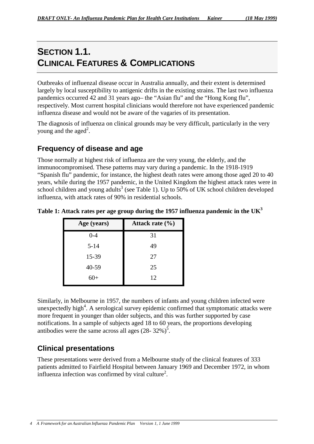# **SECTION 1.1. CLINICAL FEATURES & COMPLICATIONS**

Outbreaks of influenzal disease occur in Australia annually, and their extent is determined largely by local susceptibility to antigenic drifts in the existing strains. The last two influenza pandemics occurred 42 and 31 years ago– the "Asian flu" and the "Hong Kong flu", respectively. Most current hospital clinicians would therefore not have experienced pandemic influenza disease and would not be aware of the vagaries of its presentation.

The diagnosis of influenza on clinical grounds may be very difficult, particularly in the very young and the aged<sup>2</sup>.

# **Frequency of disease and age**

Those normally at highest risk of influenza are the very young, the elderly, and the immunocompromised. These patterns may vary during a pandemic. In the 1918-1919 "Spanish flu" pandemic, for instance, the highest death rates were among those aged 20 to 40 years, while during the 1957 pandemic, in the United Kingdom the highest attack rates were in school children and young adults<sup>3</sup> (see Table 1). Up to 50% of UK school children developed influenza, with attack rates of 90% in residential schools.

| Age (years) | Attack rate $(\% )$ |
|-------------|---------------------|
| $0 - 4$     | 31                  |
| $5 - 14$    | 49                  |
| 15-39       | 27                  |
| 40-59       | 25                  |
| 60+         | 12                  |

**Table 1: Attack rates per age group during the 1957 influenza pandemic in the UK3**

Similarly, in Melbourne in 1957, the numbers of infants and young children infected were unexpectedly high<sup>4</sup>. A serological survey epidemic confirmed that symptomatic attacks were more frequent in younger than older subjects, and this was further supported by case notifications. In a sample of subjects aged 18 to 60 years, the proportions developing antibodies were the same across all ages  $(28-32\%)^5$ .

# **Clinical presentations**

These presentations were derived from a Melbourne study of the clinical features of 333 patients admitted to Fairfield Hospital between January 1969 and December 1972, in whom influenza infection was confirmed by viral culture<sup>2</sup>.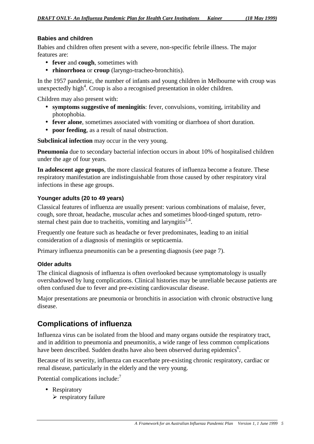## **Babies and children**

Babies and children often present with a severe, non-specific febrile illness. The major features are:

- **fever** and **cough**, sometimes with
- **rhinorrhoea** or **croup** (laryngo-tracheo-bronchitis).

In the 1957 pandemic, the number of infants and young children in Melbourne with croup was unexpectedly high<sup>4</sup>. Croup is also a recognised presentation in older children.

Children may also present with:

- **symptoms suggestive of meningitis**: fever, convulsions, vomiting, irritability and photophobia.
- **fever alone**, sometimes associated with vomiting or diarrhoea of short duration.
- **poor feeding**, as a result of nasal obstruction.

**Subclinical infection** may occur in the very young.

**Pneumonia** due to secondary bacterial infection occurs in about 10% of hospitalised children under the age of four years.

**In adolescent age groups**, the more classical features of influenza become a feature. These respiratory manifestation are indistinguishable from those caused by other respiratory viral infections in these age groups.

## **Younger adults (20 to 49 years)**

Classical features of influenza are usually present: various combinations of malaise, fever, cough, sore throat, headache, muscular aches and sometimes blood-tinged sputum, retrosternal chest pain due to tracheitis, vomiting and laryngitis<sup>2,4</sup>.

Frequently one feature such as headache or fever predominates, leading to an initial consideration of a diagnosis of meningitis or septicaemia.

Primary influenza pneumonitis can be a presenting diagnosis (see page 7).

## **Older adults**

The clinical diagnosis of influenza is often overlooked because symptomatology is usually overshadowed by lung complications. Clinical histories may be unreliable because patients are often confused due to fever and pre-existing cardiovascular disease.

Major presentations are pneumonia or bronchitis in association with chronic obstructive lung disease.

## **Complications of influenza**

Influenza virus can be isolated from the blood and many organs outside the respiratory tract, and in addition to pneumonia and pneumonitis, a wide range of less common complications have been described. Sudden deaths have also been observed during epidemics<sup>6</sup>.

Because of its severity, influenza can exacerbate pre-existing chronic respiratory, cardiac or renal disease, particularly in the elderly and the very young.

Potential complications include:<sup>7</sup>

- Respiratory
	- $\triangleright$  respiratory failure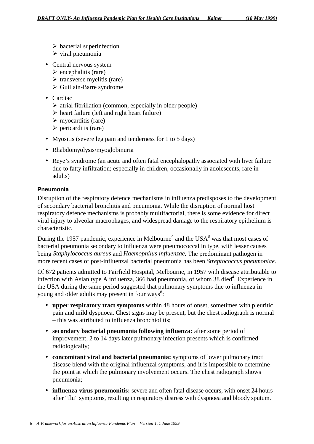- $\triangleright$  bacterial superinfection
- $\triangleright$  viral pneumonia
- Central nervous system
	- $\triangleright$  encephalitis (rare)
	- $\triangleright$  transverse myelitis (rare)
	- $\triangleright$  Guillain-Barre syndrome
- Cardiac
	- $\triangleright$  atrial fibrillation (common, especially in older people)
	- $\triangleright$  heart failure (left and right heart failure)
	- $\triangleright$  myocarditis (rare)
	- $\triangleright$  pericarditis (rare)
- Myositis (severe leg pain and tenderness for 1 to 5 days)
- Rhabdomyolysis/myoglobinuria
- Reye's syndrome (an acute and often fatal encephalopathy associated with liver failure due to fatty infiltration; especially in children, occasionally in adolescents, rare in adults)

## **Pneumonia**

Disruption of the respiratory defence mechanisms in influenza predisposes to the development of secondary bacterial bronchitis and pneumonia. While the disruption of normal host respiratory defence mechanisms is probably multifactorial, there is some evidence for direct viral injury to alveolar macrophages, and widespread damage to the respiratory epithelium is characteristic.

During the 1957 pandemic, experience in Melbourne<sup>4</sup> and the USA<sup>8</sup> was that most cases of bacterial pneumonia secondary to influenza were pneumococcal in type, with lesser causes being *Staphylococcus aureus* and *Haemophilus influenzae*. The predominant pathogen in more recent cases of post-influenzal bacterial pneumonia has been *Streptococcus pneumoniae*.

Of 672 patients admitted to Fairfield Hospital, Melbourne, in 1957 with disease attributable to infection with Asian type A influenza, 366 had pneumonia, of whom 38 died<sup>4</sup>. Experience in the USA during the same period suggested that pulmonary symptoms due to influenza in young and older adults may present in four ways<sup>8</sup>:

- **upper respiratory tract symptoms** within 48 hours of onset, sometimes with pleuritic pain and mild dyspnoea. Chest signs may be present, but the chest radiograph is normal – this was attributed to influenza bronchiolitis;
- **secondary bacterial pneumonia following influenza:** after some period of improvement, 2 to 14 days later pulmonary infection presents which is confirmed radiologically;
- **concomitant viral and bacterial pneumonia:** symptoms of lower pulmonary tract disease blend with the original influenzal symptoms, and it is impossible to determine the point at which the pulmonary involvement occurs. The chest radiograph shows pneumonia;
- **influenza virus pneumonitis:** severe and often fatal disease occurs, with onset 24 hours after "flu" symptoms, resulting in respiratory distress with dyspnoea and bloody sputum.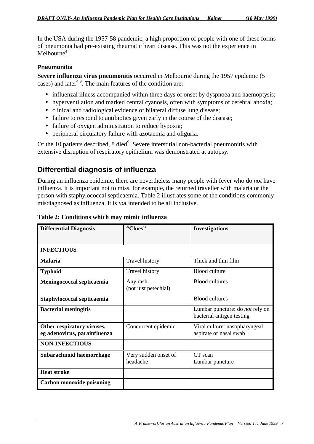In the USA during the 1957-58 pandemic, a high proportion of people with one of these forms of pneumonia had pre-existing rheumatic heart disease. This was not the experience in Melbourne<sup>4</sup>.

### **Pneumonitis**

**Severe influenza virus pneumonitis** occurred in Melbourne during the 1957 epidemic (5 cases) and later<sup>4,9</sup>. The main features of the condition are:

- influenzal illness accompanied within three days of onset by dyspnoea and haemoptysis;
- hyperventilation and marked central cyanosis, often with symptoms of cerebral anoxia;
- clinical and radiological evidence of bilateral diffuse lung disease;
- failure to respond to antibiotics given early in the course of the disease;
- failure of oxygen administration to reduce hypoxia;
- peripheral circulatory failure with azotaemia and oliguria.

Of the 10 patients described, 8 died<sup>9</sup>. Severe interstitial non-bacterial pneumonitis with extensive disruption of respiratory epithelium was demonstrated at autopsy.

## **Differential diagnosis of influenza**

During an influenza epidemic, there are nevertheless many people with fever who do *not* have influenza. It is important not to miss, for example, the returned traveller with malaria or the person with staphylococcal septicaemia. Table 2 illustrates some of the conditions commonly misdiagnosed as influenza. It is *not* intended to be all inclusive.

| <b>Differential Diagnosis</b>                              | "Clues"                          | <b>Investigations</b>                                               |  |
|------------------------------------------------------------|----------------------------------|---------------------------------------------------------------------|--|
|                                                            |                                  |                                                                     |  |
| <b>INFECTIOUS</b>                                          |                                  |                                                                     |  |
| <b>Malaria</b>                                             | <b>Travel history</b>            | Thick and thin film                                                 |  |
| <b>Typhoid</b>                                             | <b>Travel history</b>            | <b>Blood culture</b>                                                |  |
| Meningococcal septicaemia                                  | Any rash<br>(not just petechial) | <b>Blood</b> cultures                                               |  |
| Staphylococcal septicaemia                                 |                                  | <b>Blood cultures</b>                                               |  |
| <b>Bacterial meningitis</b>                                |                                  | Lumbar puncture: do <i>not</i> rely on<br>bacterial antigen testing |  |
| Other respiratory viruses,<br>eg adenovirus, parainfluenza | Concurrent epidemic              | Viral culture: nasopharyngeal<br>aspirate or nasal swab             |  |
| <b>NON-INFECTIOUS</b>                                      |                                  |                                                                     |  |
| Subarachnoid haemorrhage                                   | Very sudden onset of<br>headache | CT scan<br>Lumbar puncture                                          |  |
| <b>Heat stroke</b>                                         |                                  |                                                                     |  |
| Carbon monoxide poisoning                                  |                                  |                                                                     |  |

### **Table 2: Conditions which may mimic influenza**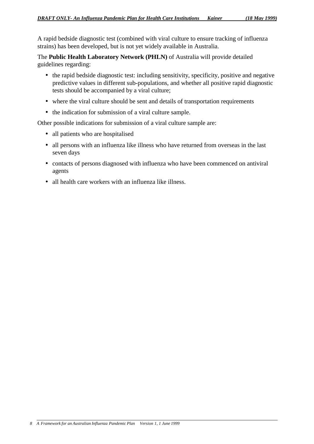A rapid bedside diagnostic test (combined with viral culture to ensure tracking of influenza strains) has been developed, but is not yet widely available in Australia.

The **Public Health Laboratory Network (PHLN)** of Australia will provide detailed guidelines regarding:

- the rapid bedside diagnostic test: including sensitivity, specificity, positive and negative predictive values in different sub-populations, and whether all positive rapid diagnostic tests should be accompanied by a viral culture;
- where the viral culture should be sent and details of transportation requirements
- the indication for submission of a viral culture sample.

Other possible indications for submission of a viral culture sample are:

- all patients who are hospitalised
- all persons with an influenza like illness who have returned from overseas in the last seven days
- contacts of persons diagnosed with influenza who have been commenced on antiviral agents
- all health care workers with an influenza like illness.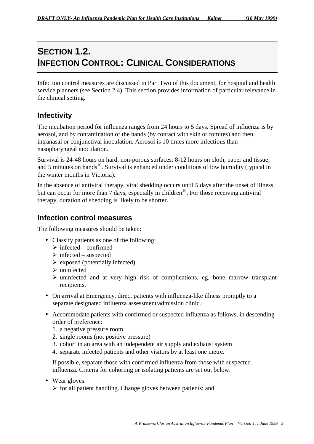# **SECTION 1.2. INFECTION CONTROL: CLINICAL CONSIDERATIONS**

Infection control measures are discussed in Part Two of this document, for hospital and health service planners (see Section 2.4). This section provides information of particular relevance in the clinical setting.

## **Infectivity**

The incubation period for influenza ranges from 24 hours to 5 days. Spread of influenza is by aerosol, and by contamination of the hands (by contact with skin or fomites) and then intranasal or conjunctival inoculation. Aerosol is 10 times more infectious than nasopharyngeal inoculation.

Survival is 24-48 hours on hard, non-porous surfaces; 8-12 hours on cloth, paper and tissue; and 5 minutes on hands<sup>10</sup>. Survival is enhanced under conditions of low humidity (typical in the winter months in Victoria).

In the absence of antiviral therapy, viral shedding occurs until 5 days after the onset of illness, but can occur for more than 7 days, especially in children<sup>10</sup>. For those receiving antiviral therapy, duration of shedding is likely to be shorter.

## **Infection control measures**

The following measures should be taken:

- Classify patients as one of the following:
	- $\triangleright$  infected confirmed
	- $\triangleright$  infected suspected
	- $\triangleright$  exposed (potentially infected)
	- $\triangleright$  uninfected
	- $\triangleright$  uninfected and at very high risk of complications, eg. bone marrow transplant recipients.
- On arrival at Emergency, direct patients with influenza-like illness promptly to a separate designated influenza assessment/admission clinic.
- Accommodate patients with confirmed or suspected influenza as follows, in descending order of preference:
	- 1. a negative pressure room
	- 2. single rooms (not positive pressure)
	- 3. cohort in an area with an independent air supply and exhaust system
	- 4. separate infected patients and other visitors by at least one metre.

If possible, separate those with confirmed influenza from those with suspected influenza. Criteria for cohorting or isolating patients are set out below.

- Wear gloves:
	- $\triangleright$  for all patient handling. Change gloves between patients; and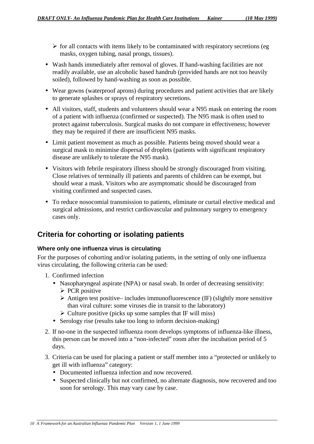- $\triangleright$  for all contacts with items likely to be contaminated with respiratory secretions (eg masks, oxygen tubing, nasal prongs, tissues).
- Wash hands immediately after removal of gloves. If hand-washing facilities are not readily available, use an alcoholic based handrub (provided hands are not too heavily soiled), followed by hand-washing as soon as possible.
- Wear gowns (waterproof aprons) during procedures and patient activities that are likely to generate splashes or sprays of respiratory secretions.
- All visitors, staff, students and volunteers should wear a N95 mask on entering the room of a patient with influenza (confirmed or suspected). The N95 mask is often used to protect against tuberculosis. Surgical masks do not compare in effectiveness; however they may be required if there are insufficient N95 masks.
- Limit patient movement as much as possible. Patients being moved should wear a surgical mask to minimise dispersal of droplets (patients with significant respiratory disease are unlikely to tolerate the N95 mask).
- Visitors with febrile respiratory illness should be strongly discouraged from visiting. Close relatives of terminally ill patients and parents of children can be exempt, but should wear a mask. Visitors who are asymptomatic should be discouraged from visiting confirmed and suspected cases.
- To reduce nosocomial transmission to patients, eliminate or curtail elective medical and surgical admissions, and restrict cardiovascular and pulmonary surgery to emergency cases only.

## **Criteria for cohorting or isolating patients**

## **Where only one influenza virus is circulating**

For the purposes of cohorting and/or isolating patients, in the setting of only one influenza virus circulating, the following criteria can be used:

- 1. Confirmed infection
	- Nasopharyngeal aspirate (NPA) or nasal swab. In order of decreasing sensitivity:  $\triangleright$  PCR positive
		- $\triangleright$  Antigen test positive– includes immunofluorescence (IF) (slightly more sensitive than viral culture: some viruses die in transit to the laboratory)
		- $\triangleright$  Culture positive (picks up some samples that IF will miss)
	- Serology rise (results take too long to inform decision-making)
- 2. If no-one in the suspected influenza room develops symptoms of influenza-like illness, this person can be moved into a "non-infected" room after the incubation period of 5 days.
- 3. Criteria can be used for placing a patient or staff member into a "protected or unlikely to get ill with influenza" category:
	- Documented influenza infection and now recovered.
	- Suspected clinically but not confirmed, no alternate diagnosis, now recovered and too soon for serology. This may vary case by case.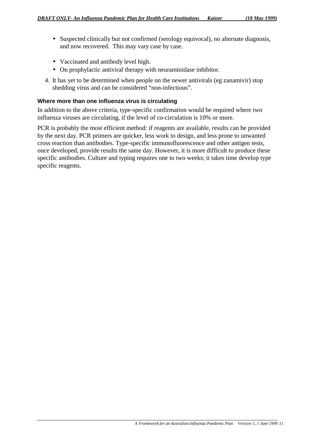- Suspected clinically but not confirmed (serology equivocal), no alternate diagnosis, and now recovered. This may vary case by case.
- Vaccinated and antibody level high.
- On prophylactic antiviral therapy with neuraminidase inhibitor.
- 4. It has yet to be determined when people on the newer antivirals (eg zanamivir) stop shedding virus and can be considered "non-infectious".

### **Where more than one influenza virus is circulating**

In addition to the above criteria, type-specific confirmation would be required where two influenza viruses are circulating, if the level of co-circulation is 10% or more.

PCR is probably the most efficient method: if reagents are available, results can be provided by the next day. PCR primers are quicker, less work to design, and less prone to unwanted cross reaction than antibodies. Type-specific immunofluorescence and other antigen tests, once developed, provide results the same day. However, it is more difficult to produce these specific antibodies. Culture and typing requires one to two weeks; it takes time develop type specific reagents.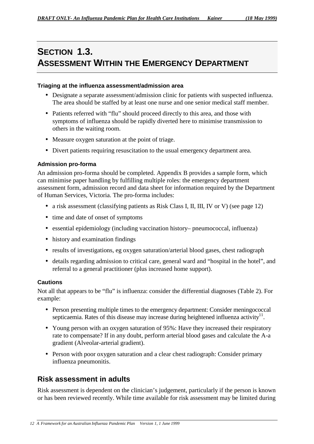# **SECTION 1.3. ASSESSMENT WITHIN THE EMERGENCY DEPARTMENT**

### **Triaging at the influenza assessment/admission area**

- Designate a separate assessment/admission clinic for patients with suspected influenza. The area should be staffed by at least one nurse and one senior medical staff member.
- Patients referred with "flu" should proceed directly to this area, and those with symptoms of influenza should be rapidly diverted here to minimise transmission to others in the waiting room.
- Measure oxygen saturation at the point of triage.
- Divert patients requiring resuscitation to the usual emergency department area.

### **Admission pro-forma**

An admission pro-forma should be completed. Appendix B provides a sample form, which can minimise paper handling by fulfilling multiple roles: the emergency department assessment form, admission record and data sheet for information required by the Department of Human Services, Victoria. The pro-forma includes:

- a risk assessment (classifying patients as Risk Class I, II, III, IV or V) (see page 12)
- time and date of onset of symptoms
- essential epidemiology (including vaccination history– pneumococcal, influenza)
- history and examination findings
- results of investigations, eg oxygen saturation/arterial blood gases, chest radiograph
- details regarding admission to critical care, general ward and "hospital in the hotel", and referral to a general practitioner (plus increased home support).

### **Cautions**

Not all that appears to be "flu" is influenza: consider the differential diagnoses (Table 2). For example:

- Person presenting multiple times to the emergency department: Consider meningococcal septicaemia. Rates of this disease may increase during heightened influenza activity $\mathbf{u}^{\mathrm{1}}$ .
- Young person with an oxygen saturation of 95%: Have they increased their respiratory rate to compensate? If in any doubt, perform arterial blood gases and calculate the A-a gradient (Alveolar-arterial gradient).
- Person with poor oxygen saturation and a clear chest radiograph: Consider primary influenza pneumonitis.

## **Risk assessment in adults**

Risk assessment is dependent on the clinician's judgement, particularly if the person is known or has been reviewed recently. While time available for risk assessment may be limited during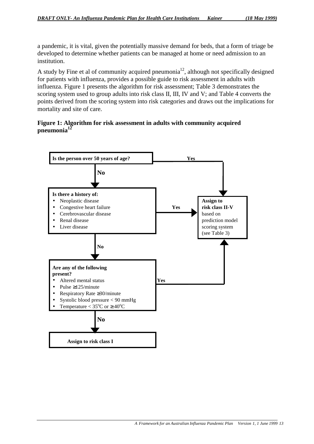a pandemic, it is vital, given the potentially massive demand for beds, that a form of triage be developed to determine whether patients can be managed at home or need admission to an institution.

A study by Fine et al of community acquired pneumonia<sup>12</sup>, although not specifically designed for patients with influenza, provides a possible guide to risk assessment in adults with influenza. Figure 1 presents the algorithm for risk assessment; Table 3 demonstrates the scoring system used to group adults into risk class II, III, IV and V; and Table 4 converts the points derived from the scoring system into risk categories and draws out the implications for mortality and site of care.

## **Figure 1: Algorithm for risk assessment in adults with community acquired pneumonia12**

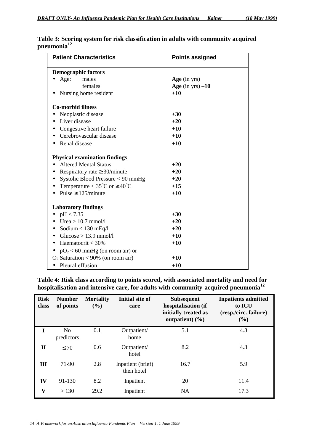| <b>Patient Characteristics</b>                      | <b>Points assigned</b> |
|-----------------------------------------------------|------------------------|
| <b>Demographic factors</b>                          |                        |
| Age:<br>males                                       | Age (in $yrs$ )        |
| females                                             | Age (in yrs) $-10$     |
| Nursing home resident                               | $+10$                  |
| <b>Co-morbid illness</b>                            |                        |
| Neoplastic disease                                  | $+30$                  |
| Liver disease                                       | $+20$                  |
| Congestive heart failure                            | $+10$                  |
| Cerebrovascular disease                             | $+10$                  |
| Renal disease                                       | $+10$                  |
| <b>Physical examination findings</b>                |                        |
| <b>Altered Mental Status</b>                        | $+20$                  |
| Respiratory rate $\geq$ 30/minute                   | $+20$                  |
| Systolic Blood Pressure < 90 mmHg                   | $+20$                  |
| Temperature < $35^{\circ}$ C or $\geq 40^{\circ}$ C | $+15$                  |
| Pulse $\geq$ 125/minute                             | $+10$                  |
| <b>Laboratory findings</b>                          |                        |
| pH < 7.35                                           | $+30$                  |
| Urea $> 10.7$ mmol/l                                | $+20$                  |
| Sodium $< 130$ mEq/l                                | $+20$                  |
| Glucose $> 13.9$ mmol/l<br>$\bullet$                | $+10$                  |
| Haematocrit < $30\%$<br>٠                           | $+10$                  |
| $pO2 < 60$ mmHg (on room air) or                    |                        |
| $O_2$ Saturation < 90% (on room air)                | $+10$                  |
| Pleural effusion<br>$\bullet$                       | $+10$                  |

**Table 3: Scoring system for risk classification in adults with community acquired pneumonia12**

#### **Table 4: Risk class according to points scored, with associated mortality and need for hospitalisation and intensive care, for adults with community-acquired pneumonia<sup>12</sup>**

| <b>Risk</b><br>class    | <b>Number</b><br>of points   | <b>Mortality</b><br>(9/0) | <b>Initial site of</b><br>care  | <b>Subsequent</b><br>hospitalisation (if<br>initially treated as<br>outpatient) $(\frac{6}{6})$ | <b>Inpatients admitted</b><br>to <b>ICU</b><br>(resp./circ. failure)<br>(%) |
|-------------------------|------------------------------|---------------------------|---------------------------------|-------------------------------------------------------------------------------------------------|-----------------------------------------------------------------------------|
| I                       | N <sub>0</sub><br>predictors | 0.1                       | Outpatient/<br>home             | 5.1                                                                                             | 4.3                                                                         |
| П                       | $\leq 70$                    | 0.6                       | Outpatient/<br>hotel            | 8.2                                                                                             | 4.3                                                                         |
| Ш                       | 71-90                        | 2.8                       | Inpatient (brief)<br>then hotel | 16.7                                                                                            | 5.9                                                                         |
| IV                      | 91-130                       | 8.2                       | Inpatient                       | 20                                                                                              | 11.4                                                                        |
| $\overline{\mathbf{V}}$ | > 130                        | 29.2                      | Inpatient                       | <b>NA</b>                                                                                       | 17.3                                                                        |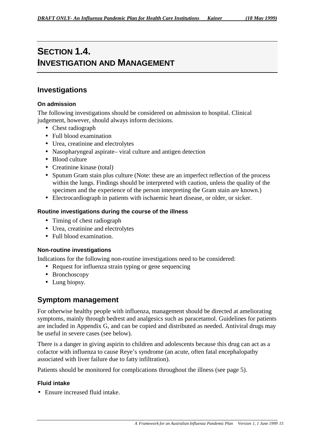# **SECTION 1.4. INVESTIGATION AND MANAGEMENT**

### **Investigations**

#### **On admission**

The following investigations should be considered on admission to hospital. Clinical judgement, however, should always inform decisions.

- Chest radiograph
- Full blood examination
- Urea, creatinine and electrolytes
- Nasopharyngeal aspirate– viral culture and antigen detection
- Blood culture
- Creatinine kinase (total)
- Sputum Gram stain plus culture (Note: these are an imperfect reflection of the process within the lungs. Findings should be interpreted with caution, unless the quality of the specimen and the experience of the person interpreting the Gram stain are known.)
- Electrocardiograph in patients with ischaemic heart disease, or older, or sicker.

#### **Routine investigations during the course of the illness**

- Timing of chest radiograph
- Urea, creatinine and electrolytes
- Full blood examination.

#### **Non-routine investigations**

Indications for the following non-routine investigations need to be considered:

- Request for influenza strain typing or gene sequencing
- Bronchoscopy
- Lung biopsy.

### **Symptom management**

For otherwise healthy people with influenza, management should be directed at ameliorating symptoms, mainly through bedrest and analgesics such as paracetamol. Guidelines for patients are included in Appendix G, and can be copied and distributed as needed. Antiviral drugs may be useful in severe cases (see below).

There is a danger in giving aspirin to children and adolescents because this drug can act as a cofactor with influenza to cause Reye's syndrome (an acute, often fatal encephalopathy associated with liver failure due to fatty infiltration).

Patients should be monitored for complications throughout the illness (see page 5).

#### **Fluid intake**

• Ensure increased fluid intake.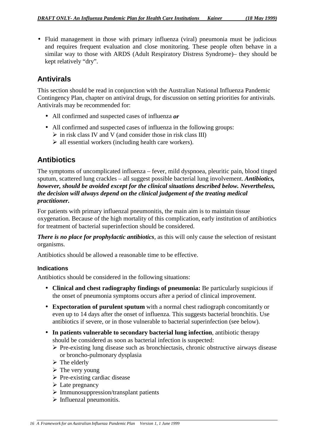• Fluid management in those with primary influenza (viral) pneumonia must be judicious and requires frequent evaluation and close monitoring. These people often behave in a similar way to those with ARDS (Adult Respiratory Distress Syndrome)– they should be kept relatively "dry".

## **Antivirals**

This section should be read in conjunction with the Australian National Influenza Pandemic Contingency Plan, chapter on antiviral drugs, for discussion on setting priorities for antivirals. Antivirals may be recommended for:

- All confirmed and suspected cases of influenza *or*
- All confirmed and suspected cases of influenza in the following groups:
	- $\triangleright$  in risk class IV and V (and consider those in risk class III)
	- $\triangleright$  all essential workers (including health care workers).

## **Antibiotics**

The symptoms of uncomplicated influenza – fever, mild dyspnoea, pleuritic pain, blood tinged sputum, scattered lung crackles – all suggest possible bacterial lung involvement. *Antibiotics, however, should be avoided except for the clinical situations described below. Nevertheless, the decision will always depend on the clinical judgement of the treating medical practitioner.*

For patients with primary influenzal pneumonitis, the main aim is to maintain tissue oxygenation. Because of the high mortality of this complication, early institution of antibiotics for treatment of bacterial superinfection should be considered.

*There is no place for prophylactic antibiotics*, as this will only cause the selection of resistant organisms.

Antibiotics should be allowed a reasonable time to be effective.

#### **Indications**

Antibiotics should be considered in the following situations:

- **Clinical and chest radiography findings of pneumonia:** Be particularly suspicious if the onset of pneumonia symptoms occurs after a period of clinical improvement.
- **Expectoration of purulent sputum** with a normal chest radiograph concomitantly or even up to 14 days after the onset of influenza. This suggests bacterial bronchitis. Use antibiotics if severe, or in those vulnerable to bacterial superinfection (see below).
- **In patients vulnerable to secondary bacterial lung infection**, antibiotic therapy should be considered as soon as bacterial infection is suspected:
	- $\triangleright$  Pre-existing lung disease such as bronchiectasis, chronic obstructive airways disease or broncho-pulmonary dysplasia
	- $\triangleright$  The elderly
	- $\triangleright$  The very young
	- $\triangleright$  Pre-existing cardiac disease
	- $\triangleright$  Late pregnancy
	- $\triangleright$  Immunosuppression/transplant patients
	- $\triangleright$  Influenzal pneumonitis.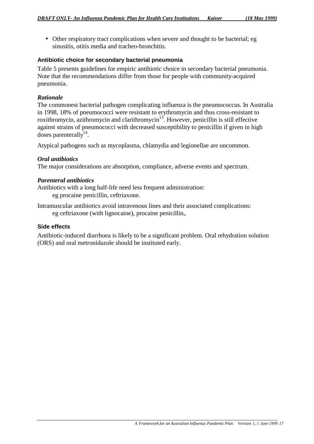• Other respiratory tract complications when severe and thought to be bacterial; eg sinusitis, otitis media and tracheo-bronchitis.

#### **Antibiotic choice for secondary bacterial pneumonia**

Table 5 presents guidelines for empiric antibiotic choice in secondary bacterial pneumonia. Note that the recommendations differ from those for people with community-acquired pneumonia.

#### *Rationale*

The commonest bacterial pathogen complicating influenza is the pneumococcus. In Australia in 1998, 18% of pneumococci were resistant to erythromycin and thus cross-resistant to roxithromycin, azithromycin and clarithromycin<sup>13</sup>. However, penicillin is still effective against strains of pneumococci with decreased susceptibility to penicillin if given in high doses parenterally<sup>14</sup>.

Atypical pathogens such as mycoplasma, chlamydia and legionellae are uncommon.

#### *Oral antibiotics*

The major considerations are absorption, compliance, adverse events and spectrum.

#### *Parenteral antibiotics*

Antibiotics with a long half-life need less frequent administration: eg procaine penicillin, ceftriaxone.

Intramuscular antibiotics avoid intravenous lines and their associated complications: eg ceftriaxone (with lignocaine), procaine penicillin,.

#### **Side effects**

Antibiotic-induced diarrhoea is likely to be a significant problem. Oral rehydration solution (ORS) and oral metronidazole should be instituted early.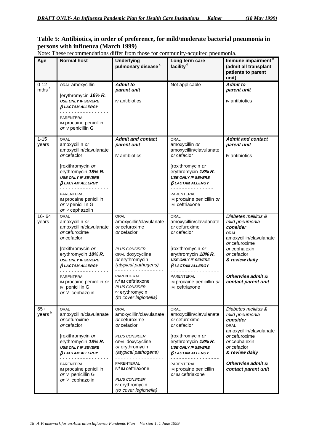#### **Table 5: Antibiotics, in order of preference, for mild/moderate bacterial pneumonia in persons with influenza (March 1999)**

| Note: These recommendations differ from those for community-acquired pneumonia. |  |
|---------------------------------------------------------------------------------|--|
|                                                                                 |  |

| Age                         | <b>Normal host</b>                                                                                          | <b>Underlying</b><br>pulmonary disease <sup>c</sup>                                                  | Long term care<br>facility <sup>d</sup>                                                                     | Immune impairment <sup>e</sup><br>(admit all transplant<br>patients to parent<br>unit)                       |  |
|-----------------------------|-------------------------------------------------------------------------------------------------------------|------------------------------------------------------------------------------------------------------|-------------------------------------------------------------------------------------------------------------|--------------------------------------------------------------------------------------------------------------|--|
| $0 - 12$                    | ORAL amoxycillin                                                                                            | <b>Admit to</b>                                                                                      | Not applicable                                                                                              | <b>Admit to</b>                                                                                              |  |
| mths <sup>a</sup>           | [erythromycin 18% R.<br><b>USE ONLY IF SEVERE</b><br>$\beta$ LACTAM ALLERGY                                 | parent unit<br>IV antibiotics                                                                        |                                                                                                             | parent unit<br>IV antibiotics                                                                                |  |
|                             | PARENTERAL<br>IM procaine penicillin<br>or IV penicillin G                                                  |                                                                                                      |                                                                                                             |                                                                                                              |  |
| $1 - 15$                    | ORAL                                                                                                        | <b>Admit and contact</b>                                                                             | ORAL                                                                                                        | <b>Admit and contact</b>                                                                                     |  |
| years                       | amoxycillin or                                                                                              | parent unit                                                                                          | amoxycillin or                                                                                              | parent unit                                                                                                  |  |
|                             | amoxycillin/clavulanate<br>or cefaclor                                                                      | IV antibiotics                                                                                       | amoxycillin/clavulanate<br>or cefaclor                                                                      | IV antibiotics                                                                                               |  |
|                             | [roxithromycin or<br>erythromycin 18% R.<br><b>USE ONLY IF SEVERE</b><br>$\beta$ LACTAM ALLERGY<br><u>.</u> |                                                                                                      | [roxithromycin or<br>erythromycin 18% R.<br><b>USE ONLY IF SEVERE</b><br>$\beta$ LACTAM ALLERGY<br><u>.</u> |                                                                                                              |  |
|                             | PARENTERAL<br>IM procaine penicillin<br>or IV penicillin G<br>or IV cephazolin                              |                                                                                                      | PARENTERAL<br>IM procaine penicillin or<br>IM ceftriaxone                                                   |                                                                                                              |  |
| $16 - 64$<br>years          | ORAL<br>amoxycillin or<br>amoxycillin/clavulanate<br>or cefuroxime<br>or cefaclor                           | ORAL<br>amoxycillin/clavulanate<br>or cefuroxime<br>or cefaclor                                      | ORAL<br>amoxycillin/clavulanate<br>or cefuroxime<br>or cefaclor                                             | Diabetes mellitus &<br>mild pneumonia<br>consider<br><b>ORAL</b><br>amoxycillin/clavulanate<br>or cefuroxime |  |
|                             | [roxithromycin or<br>erythromycin 18% R.<br><b>USE ONLY IF SEVERE</b><br>$\beta$ LACTAM ALLERGY             | <b>PLUS CONSIDER</b><br>ORAL doxycycline<br>or erythromycin<br>(atypical pathogens)                  | [roxithromycin or<br>erythromycin 18% R.<br><b>USE ONLY IF SEVERE</b><br><b>BLACTAM ALLERGY</b>             | or cephalexin<br>or cefaclor<br>& review daily                                                               |  |
|                             | PARENTERAL<br>IM procaine penicillin or<br>IV penicillin G<br>or IV cephazolin                              | PARENTERAL<br>IV/ IM ceftriaxone<br><b>PLUS CONSIDER</b><br>Ⅳ erythromycin<br>(to cover legionella)  | PARENTERAL<br>IM procaine penicillin or<br>IM ceftriaxone                                                   | Otherwise admit &<br>contact parent unit                                                                     |  |
| $65+$<br>years <sup>b</sup> | ORAL<br>amoxycillin/clavulanate<br>or cefuroxime<br>or cefaclor                                             | ORAL<br>amoxycillin/clavulanate<br>or cefuroxime<br>or cefaclor                                      | ORAL<br>amoxycillin/clavulanate<br>or cefuroxime<br>or cefaclor                                             | Diabetes mellitus &<br>mild pneumonia<br>consider<br>ORAL                                                    |  |
|                             | [roxithromycin or<br>erythromycin 18% R.<br><b>USE ONLY IF SEVERE</b><br>$\beta$ LACTAM ALLERGY             | <b>PLUS CONSIDER</b><br>ORAL doxycycline<br>or erythromycin<br>(atypical pathogens)                  | [roxithromycin or<br>erythromycin 18% R.<br><b>USE ONLY IF SEVERE</b><br>$\beta$ LACTAM ALLERGY             | amoxycillin/clavulanate<br>or cefuroxime<br>or cephalexin<br>or cefaclor<br>& review daily                   |  |
|                             | PARENTERAL<br>IM procaine penicillin<br>or IV penicillin G<br>or IV cephazolin                              | PARENTERAL<br>IV/ IM ceftriaxone<br><b>PLUS CONSIDER</b><br>IV erythromycin<br>(to cover legionella) | PARENTERAL<br>IM procaine penicillin<br>or IM ceftriaxone                                                   | Otherwise admit &<br>contact parent unit                                                                     |  |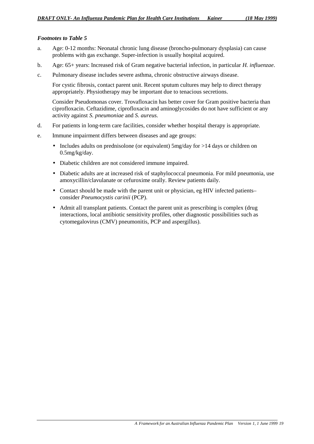#### *Footnotes to Table 5*

- a. Age: 0-12 months: Neonatal chronic lung disease (broncho-pulmonary dysplasia) can cause problems with gas exchange. Super-infection is usually hospital acquired.
- b. Age: 65+ years: Increased risk of Gram negative bacterial infection, in particular *H. influenzae*.
- c. Pulmonary disease includes severe asthma, chronic obstructive airways disease.

For cystic fibrosis, contact parent unit. Recent sputum cultures may help to direct therapy appropriately. Physiotherapy may be important due to tenacious secretions.

Consider Pseudomonas cover. Trovafloxacin has better cover for Gram positive bacteria than ciprofloxacin. Ceftazidime, ciprofloxacin and aminoglycosides do not have sufficient or any activity against *S. pneumoniae* and *S. aureus.*

- d. For patients in long-term care facilities, consider whether hospital therapy is appropriate.
- e. Immune impairment differs between diseases and age groups:
	- Includes adults on prednisolone (or equivalent) 5mg/day for >14 days or children on 0.5mg/kg/day.
	- Diabetic children are not considered immune impaired.
	- Diabetic adults are at increased risk of staphylococcal pneumonia. For mild pneumonia, use amoxycillin/clavulanate or cefuroxime orally. Review patients daily.
	- Contact should be made with the parent unit or physician, eg HIV infected patients– consider *Pneumocystis carinii* (PCP).
	- Admit all transplant patients. Contact the parent unit as prescribing is complex (drug interactions, local antibiotic sensitivity profiles, other diagnostic possibilities such as cytomegalovirus (CMV) pneumonitis, PCP and aspergillus).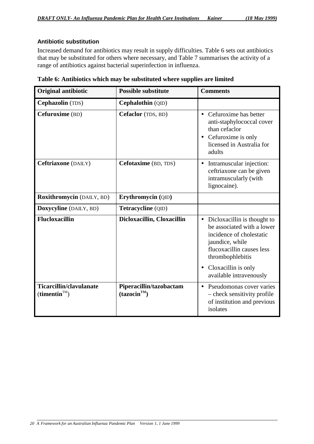#### **Antibiotic substitution**

Increased demand for antibiotics may result in supply difficulties. Table 6 sets out antibiotics that may be substituted for others where necessary, and Table 7 summarises the activity of a range of antibiotics against bacterial superinfection in influenza.

| <b>Original antibiotic</b>                                 | <b>Possible substitute</b>                          | <b>Comments</b>                                                                                                                                             |
|------------------------------------------------------------|-----------------------------------------------------|-------------------------------------------------------------------------------------------------------------------------------------------------------------|
| Cephazolin (TDS)                                           | Cephalothin (QID)                                   |                                                                                                                                                             |
| Cefuroxime (BD)                                            | Cefaclor (TDS, BD)                                  | • Cefuroxime has better<br>anti-staphylococcal cover<br>than cefaclor<br>• Cefuroxime is only<br>licensed in Australia for<br>adults                        |
| Ceftriaxone (DAILY)                                        | Cefotaxime (BD, TDS)                                | Intramuscular injection:<br>ceftriaxone can be given<br>intramuscularly (with<br>lignocaine).                                                               |
| Roxithromycin (DAILY, BD)                                  | Erythromycin (QID)                                  |                                                                                                                                                             |
| Doxycyline (DAILY, BD)                                     | Tetracycline (QID)                                  |                                                                                                                                                             |
| <b>Flucloxacillin</b>                                      | Dicloxacillin, Cloxacillin                          | • Dicloxacillin is thought to<br>be associated with a lower<br>incidence of cholestatic<br>jaundice, while<br>flucoxacillin causes less<br>thrombophlebitis |
|                                                            |                                                     | Cloxacillin is only<br>available intravenously                                                                                                              |
| Ticarcillin/clavulanate<br>$(\text{timentin}^{\text{TM}})$ | Piperacillin/tazobactam<br>(tazocin <sup>TM</sup> ) | Pseudomonas cover varies<br>- check sensitivity profile<br>of institution and previous<br>isolates                                                          |

**Table 6: Antibiotics which may be substituted where supplies are limited**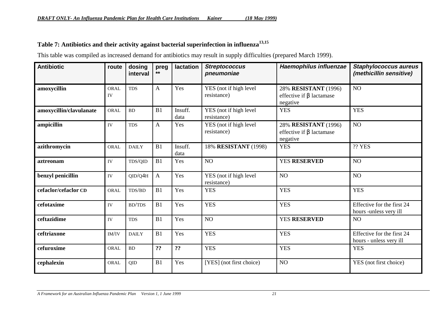## **Table 7: Antibiotics and their activity against bacterial superinfection in influenza13,15**

This table was compiled as increased demand for antibiotics may result in supply difficulties (prepared March 1999).

| <b>Antibiotic</b>       | route      | dosing<br>interval | preg<br>**   | lactation       | <b>Streptococcus</b><br>pneumoniae    | Haemophilus influenzae                                             | <b>Staphylococcus aureus</b><br>(methicillin sensitive) |
|-------------------------|------------|--------------------|--------------|-----------------|---------------------------------------|--------------------------------------------------------------------|---------------------------------------------------------|
| amoxycillin             | ORAL<br>IV | <b>TDS</b>         | $\mathbf{A}$ | Yes             | YES (not if high level<br>resistance) | 28% RESISTANT (1996)<br>effective if $\beta$ lactamase<br>negative | NO                                                      |
| amoxycillin/clavulanate | ORAL       | BD                 | B1           | Insuff.<br>data | YES (not if high level<br>resistance) | <b>YES</b>                                                         | <b>YES</b>                                              |
| ampicillin              | IV         | <b>TDS</b>         | A            | Yes             | YES (not if high level<br>resistance) | 28% RESISTANT (1996)<br>effective if $\beta$ lactamase<br>negative | NO                                                      |
| azithromycin            | ORAL       | <b>DAILY</b>       | B1           | Insuff.<br>data | 18% RESISTANT (1998)                  | <b>YES</b>                                                         | <b>?? YES</b>                                           |
| aztreonam               | IV         | TDS/QID            | B1           | Yes             | N <sub>O</sub>                        | <b>YES RESERVED</b>                                                | NO                                                      |
| benzyl penicillin       | IV         | QID/Q4H            | A            | Yes             | YES (not if high level<br>resistance) | NO                                                                 | NO                                                      |
| cefaclor/cefaclor CD    | ORAL       | TDS/BD             | B1           | Yes             | <b>YES</b>                            | <b>YES</b>                                                         | <b>YES</b>                                              |
| cefotaxime              | IV         | <b>BD/TDS</b>      | B1           | Yes             | <b>YES</b>                            | <b>YES</b>                                                         | Effective for the first 24<br>hours -unless very ill    |
| ceftazidime             | IV         | <b>TDS</b>         | B1           | Yes             | NO <sub>1</sub>                       | <b>YES RESERVED</b>                                                | NO                                                      |
| ceftriaxone             | IM/IV      | <b>DAILY</b>       | B1           | Yes             | <b>YES</b>                            | <b>YES</b>                                                         | Effective for the first 24<br>hours - unless very ill   |
| cefuroxime              | ORAL       | <b>BD</b>          | ??           | ??              | <b>YES</b>                            | <b>YES</b>                                                         | <b>YES</b>                                              |
| cephalexin              | ORAL       | QID                | B1           | Yes             | [YES] (not first choice)              | NO                                                                 | YES (not first choice)                                  |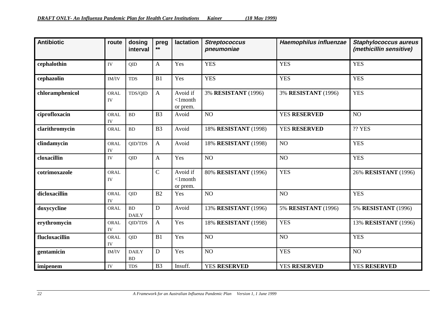| <b>Antibiotic</b> | route                    | dosing<br>interval        | preg<br>**     | lactation                             | <b>Streptococcus</b><br>pneumoniae | Haemophilus influenzae | <b>Staphylococcus aureus</b><br>(methicillin sensitive) |
|-------------------|--------------------------|---------------------------|----------------|---------------------------------------|------------------------------------|------------------------|---------------------------------------------------------|
| cephalothin       | IV                       | QID                       | $\mathbf{A}$   | Yes                                   | <b>YES</b>                         | <b>YES</b>             | <b>YES</b>                                              |
| cephazolin        | IM/IV                    | <b>TDS</b>                | B1             | Yes                                   | <b>YES</b>                         | <b>YES</b>             | <b>YES</b>                                              |
| chloramphenicol   | ORAL<br>IV               | TDS/QID                   | $\mathbf{A}$   | Avoid if<br>$<$ 1 $month$<br>or prem. | 3% RESISTANT (1996)                | 3% RESISTANT (1996)    | <b>YES</b>                                              |
| ciprofloxacin     | ORAL<br>IV               | BD                        | B <sub>3</sub> | Avoid                                 | NO                                 | <b>YES RESERVED</b>    | NO                                                      |
| clarithromycin    | <b>ORAL</b>              | BD                        | B <sub>3</sub> | Avoid                                 | 18% RESISTANT (1998)               | <b>YES RESERVED</b>    | <b>?? YES</b>                                           |
| clindamycin       | <b>ORAL</b><br>IV        | QID/TDS                   | $\mathbf{A}$   | Avoid                                 | 18% RESISTANT (1998)               | NO                     | <b>YES</b>                                              |
| cloxacillin       | IV                       | QID                       | $\mathbf{A}$   | Yes                                   | NO <sub>1</sub>                    | NO                     | <b>YES</b>                                              |
| cotrimoxazole     | <b>ORAL</b><br><b>IV</b> |                           | $\overline{C}$ | Avoid if<br>$<$ 1 $month$<br>or prem. | 80% RESISTANT (1996)               | <b>YES</b>             | 26% RESISTANT (1996)                                    |
| dicloxacillin     | ORAL<br>IV               | QID                       | B2             | Yes                                   | NO <sub>1</sub>                    | NO                     | <b>YES</b>                                              |
| doxycycline       | ORAL                     | <b>BD</b><br><b>DAILY</b> | D              | Avoid                                 | 13% RESISTANT (1996)               | 5% RESISTANT (1996)    | 5% RESISTANT (1996)                                     |
| erythromycin      | ORAL<br>IV               | QID/TDS                   | $\mathbf{A}$   | Yes                                   | 18% RESISTANT (1998)               | <b>YES</b>             | 13% RESISTANT (1996)                                    |
| flucloxacillin    | ORAL<br><b>IV</b>        | QID                       | B1             | Yes                                   | NO <sub>1</sub>                    | NO                     | <b>YES</b>                                              |
| gentamicin        | IM/IV                    | <b>DAILY</b><br><b>BD</b> | D              | Yes                                   | N <sub>O</sub>                     | <b>YES</b>             | NO <sub>1</sub>                                         |
| imipenem          | IV                       | <b>TDS</b>                | B <sub>3</sub> | Insuff.                               | <b>YES RESERVED</b>                | <b>YES RESERVED</b>    | <b>YES RESERVED</b>                                     |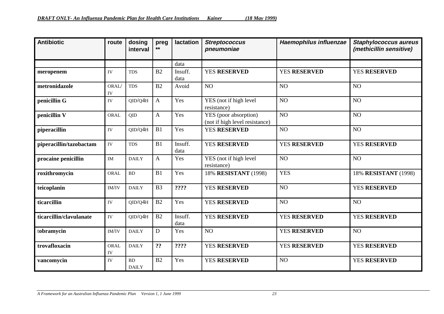| <b>Antibiotic</b>       | route                      | dosing<br>interval        | preg<br>**     | lactation       | <b>Streptococcus</b><br>pneumoniae                      | Haemophilus influenzae | <b>Staphylococcus aureus</b><br>(methicillin sensitive) |
|-------------------------|----------------------------|---------------------------|----------------|-----------------|---------------------------------------------------------|------------------------|---------------------------------------------------------|
|                         |                            |                           |                | data            |                                                         |                        |                                                         |
| meropenem               | IV                         | <b>TDS</b>                | B2             | Insuff.<br>data | <b>YES RESERVED</b>                                     | <b>YES RESERVED</b>    | <b>YES RESERVED</b>                                     |
| metronidazole           | ORAL/<br>IV                | <b>TDS</b>                | B2             | Avoid           | NO                                                      | NO                     | NO <sub>1</sub>                                         |
| penicillin G            | IV                         | QID/Q4H                   | A              | Yes             | YES (not if high level<br>resistance)                   | N <sub>O</sub>         | N <sub>O</sub>                                          |
| penicillin V            | ORAL                       | QID                       | A              | Yes             | YES (poor absorption)<br>(not if high level resistance) | NO <sub>1</sub>        | NO <sub>1</sub>                                         |
| piperacillin            | ${\rm IV}$                 | QID/Q4H                   | B1             | Yes             | <b>YES RESERVED</b>                                     | NO <sub>1</sub>        | NO                                                      |
| piperacillin/tazobactam | IV                         | <b>TDS</b>                | B1             | Insuff.<br>data | <b>YES RESERVED</b>                                     | <b>YES RESERVED</b>    | <b>YES RESERVED</b>                                     |
| procaine penicillin     | $\mathop{\rm IM}\nolimits$ | <b>DAILY</b>              | A              | Yes             | YES (not if high level<br>resistance)                   | NO                     | NO                                                      |
| roxithromycin           | ORAL                       | BD                        | B1             | Yes             | 18% RESISTANT (1998)                                    | <b>YES</b>             | 18% RESISTANT (1998)                                    |
| teicoplanin             | IM/IV                      | <b>DAILY</b>              | B <sub>3</sub> | ????            | <b>YES RESERVED</b>                                     | NO                     | <b>YES RESERVED</b>                                     |
| ticarcillin             | IV                         | QID/Q4H                   | B2             | Yes             | <b>YES RESERVED</b>                                     | NO                     | NO                                                      |
| ticarcillin/clavulanate | IV                         | QID/Q4H                   | B2             | Insuff.<br>data | <b>YES RESERVED</b>                                     | <b>YES RESERVED</b>    | <b>YES RESERVED</b>                                     |
| tobramycin              | IM/IV                      | <b>DAILY</b>              | D              | Yes             | NO <sub>1</sub>                                         | <b>YES RESERVED</b>    | NO                                                      |
| trovafloxacin           | ORAL<br>IV                 | <b>DAILY</b>              | ??             | ????            | <b>YES RESERVED</b>                                     | <b>YES RESERVED</b>    | <b>YES RESERVED</b>                                     |
| vancomycin              | IV                         | <b>BD</b><br><b>DAILY</b> | B2             | Yes             | <b>YES RESERVED</b>                                     | NO                     | <b>YES RESERVED</b>                                     |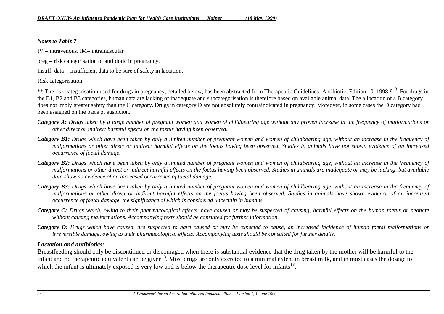#### *Notes to Table 7*

 $IV =$  intravenous.  $IM =$  intramuscular

preg = risk categorisation of antibiotic in pregnancy.

Insuff. data = Insufficient data to be sure of safety in lactation.

Risk categorisation:

\*\* The risk categorisation used for drugs in pregnancy, detailed below, has been abstracted from Therapeutic Guidelines- Antibiotic, Edition 10, 1998-9<sup>13</sup>. For drugs in the B1, B2 and B3 categories, human data are lacking or inadequate and subcategorisation is therefore based on available animal data. The allocation of a B category does not imply greater safety than the C category. Drugs in category D are not absolutely contraindicated in pregnancy. Moreover, in some cases the D category had been assigned on the basis of suspicion.

- *Category A: Drugs taken by a large number of pregnant women and women of childbearing age without any proven increase in the frequency of malformations or other direct or indirect harmful effects on the foetus having been observed.*
- *Category B1: Drugs which have been taken by only a limited number of pregnant women and women of childbearing age, without an increase in the frequency of malformations or other direct or indirect harmful effects on the foetus having been observed. Studies in animals have not shown evidence of an increased occurrence of foetal damage.*
- *Category B2: Drugs which have been taken by only a limited number of pregnant women and women of childbearing age, without an increase in the frequency of malformations or other direct or indirect harmful effects on the foetus having been observed. Studies in animals are inadequate or may be lacking, but available data show no evidence of an increased occurrence of foetal damage.*
- *Category B3: Drugs which have been taken by only a limited number of pregnant women and women of childbearing age, without an increase in the frequency of malformations or other direct or indirect harmful effects on the foetus having been observed. Studies in animals have shown evidence of an increased occurrence of foetal damage, the significance of which is considered uncertain in humans.*
- *Category C: Drugs which, owing to their pharmacological effects, have caused or may be suspected of causing, harmful effects on the human foetus or neonate without causing malformations. Accompanying texts should be consulted for further information.*
- *Category D: Drugs which have caused, are suspected to have caused or may be expected to cause, an increased incidence of human foetal malformations or irreversible damage, owing to their pharmacological effects. Accompanying texts should be consulted for further details.*

#### *Lactation and antibiotics:*

Breastfeeding should only be discontinued or discouraged when there is substantial evidence that the drug taken by the mother will be harmful to the infant and no therapeutic equivalent can be given<sup>13</sup>. Most drugs are only excreted to a minimal extent in breast milk, and in most cases the dosage to which the infant is ultimately exposed is very low and is below the therapeutic dose level for infants<sup>13</sup>.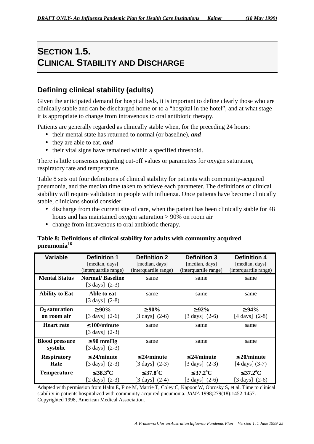# **SECTION 1.5. CLINICAL STABILITY AND DISCHARGE**

## **Defining clinical stability (adults)**

Given the anticipated demand for hospital beds, it is important to define clearly those who are clinically stable and can be discharged home or to a "hospital in the hotel", and at what stage it is appropriate to change from intravenous to oral antibiotic therapy.

Patients are generally regarded as clinically stable when, for the preceding 24 hours:

- their mental state has returned to normal (or baseline), *and*
- they are able to eat, *and*
- their vital signs have remained within a specified threshold.

There is little consensus regarding cut-off values or parameters for oxygen saturation, respiratory rate and temperature.

Table 8 sets out four definitions of clinical stability for patients with community-acquired pneumonia, and the median time taken to achieve each parameter. The definitions of clinical stability will require validation in people with influenza. Once patients have become clinically stable, clinicians should consider:

- discharge from the current site of care, when the patient has been clinically stable for 48 hours and has maintained oxygen saturation > 90% on room air
- change from intravenous to oral antibiotic therapy.

#### **Table 8: Definitions of clinical stability for adults with community acquired pneumonia16**

| <b>Variable</b>                   | <b>Definition 1</b>                                  | <b>Definition 2</b>                     | <b>Definition 3</b>                     | <b>Definition 4</b>                     |
|-----------------------------------|------------------------------------------------------|-----------------------------------------|-----------------------------------------|-----------------------------------------|
|                                   | [median, days]<br>(interquartile range)              | [median, days]<br>(interquartile range) | [median, days]<br>(interquartile range) | [median, days]<br>(interquartile range) |
| <b>Mental Status</b>              | <b>Normal/Baseline</b><br>$[3 \text{ days}]$ $(2-3)$ | same                                    | same                                    | same                                    |
| <b>Ability to Eat</b>             | Able to eat<br>$[3 \text{ days}]$ $(2-8)$            | same                                    | same                                    | same                                    |
| $\mathbf{O}_2$ saturation         | $\geq 90\%$                                          | $\geq 90\%$                             | $\geq 92\%$                             | $\geq 94\%$                             |
| on room air                       | $[3 \text{ days}]$ $(2-6)$                           | $[3 \text{ days}]$ $(2-6)$              | $[3 \text{ days}]$ $(2-6)$              | $[4 \text{ days}]$ $(2-8)$              |
| <b>Heart rate</b>                 | $\leq 100$ /minute<br>$[3 \text{ days}]$ $(2-3)$     | same                                    | same                                    | same                                    |
| <b>Blood pressure</b><br>systolic | $\geq 90$ mmHg<br>$[3 \text{ days}]$ $(2-3)$         | same                                    | same                                    | same                                    |
| <b>Respiratory</b>                | $\leq$ 24/minute                                     | $\leq$ 24/minute                        | $\leq$ 24/minute                        | $\leq$ 20/minute                        |
| Rate                              | $[3 \text{ days}]$ $(2-3)$                           | $[3 \text{ days}]$ $(2-3)$              | $[3 \text{ days}]$ $(2-3)$              | $[4 \text{ days}]$ (3-7)                |
| <b>Temperature</b>                | $\leq$ 38.3 $^{\circ}$ C                             | $\leq 37.8$ °C                          | $\leq 37.2$ <sup>o</sup> C              | $\leq 37.2$ <sup>o</sup> C              |
|                                   | $[2 \text{ days}]$ $(2-3)$                           | [3 days] $(2-4)$                        | $[3 \text{ days}]$ $(2-6)$              | $[3 \text{ days}]$ $(2-6)$              |

Adapted with permission from Halm E, Fine M, Marrie T, Coley C, Kapoor W, Obrosky S, et al. Time to clinical stability in patients hospitalized with community-acquired pneumonia. *JAMA* 1998;279(18):1452-1457. Copyrighted 1998, American Medical Association.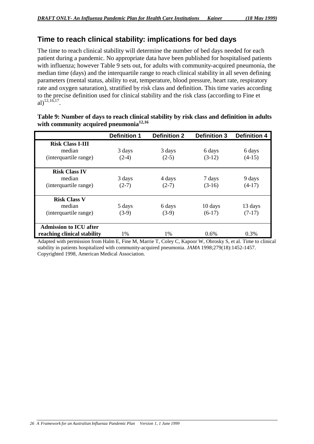### **Time to reach clinical stability: implications for bed days**

The time to reach clinical stability will determine the number of bed days needed for each patient during a pandemic. No appropriate data have been published for hospitalised patients with influenza; however Table 9 sets out, for adults with community-acquired pneumonia, the median time (days) and the interquartile range to reach clinical stability in all seven defining parameters (mental status, ability to eat, temperature, blood pressure, heart rate, respiratory rate and oxygen saturation), stratified by risk class and definition. This time varies according to the precise definition used for clinical stability and the risk class (according to Fine et al)<sup>12,16,17</sup>.

|                               | <b>Definition 1</b> | <b>Definition 2</b> | <b>Definition 3</b> | <b>Definition 4</b> |
|-------------------------------|---------------------|---------------------|---------------------|---------------------|
| <b>Risk Class I-III</b>       |                     |                     |                     |                     |
| median                        | 3 days              | 3 days              | 6 days              | 6 days              |
| (interquartile range)         | $(2-4)$             | $(2-5)$             | $(3-12)$            | $(4-15)$            |
| <b>Risk Class IV</b>          |                     |                     |                     |                     |
| median                        | 3 days              | 4 days              | 7 days              | 9 days              |
| (interquartile range)         | $(2-7)$             | $(2-7)$             | $(3-16)$            | $(4-17)$            |
| <b>Risk Class V</b>           |                     |                     |                     |                     |
| median                        | 5 days              | 6 days              | 10 days             | 13 days             |
| (interquartile range)         | $(3-9)$             | $(3-9)$             | $(6-17)$            | $(7-17)$            |
| <b>Admission to ICU after</b> |                     |                     |                     |                     |
| reaching clinical stability   | 1%                  | $1\%$               | $0.6\%$             | 0.3%                |

#### **Table 9: Number of days to reach clinical stability by risk class and definition in adults with community acquired pneumonia12,16**

Adapted with permission from Halm E, Fine M, Marrie T, Coley C, Kapoor W, Obrosky S, et al. Time to clinical stability in patients hospitalized with community-acquired pneumonia. *JAMA* 1998;279(18):1452-1457. Copyrighted 1998, American Medical Association.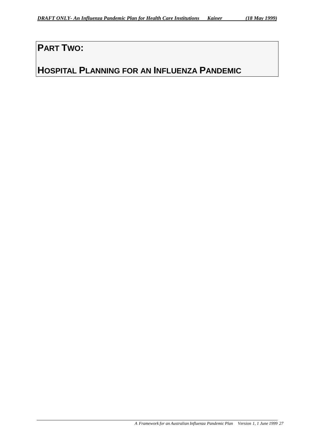# **PART TWO:**

# **HOSPITAL PLANNING FOR AN INFLUENZA PANDEMIC**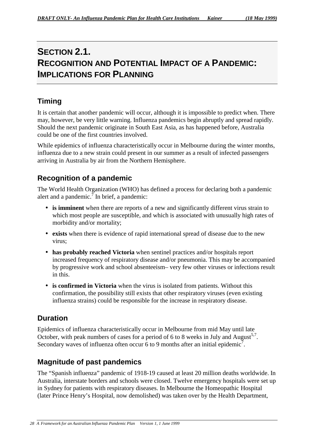# **SECTION 2.1. RECOGNITION AND POTENTIAL IMPACT OF A PANDEMIC: IMPLICATIONS FOR PLANNING**

## **Timing**

It is certain that another pandemic will occur, although it is impossible to predict when. There may, however, be very little warning. Influenza pandemics begin abruptly and spread rapidly. Should the next pandemic originate in South East Asia, as has happened before, Australia could be one of the first countries involved.

While epidemics of influenza characteristically occur in Melbourne during the winter months, influenza due to a new strain could present in our summer as a result of infected passengers arriving in Australia by air from the Northern Hemisphere.

## **Recognition of a pandemic**

The World Health Organization (WHO) has defined a process for declaring both a pandemic alert and a pandemic.<sup> $7$ </sup> In brief, a pandemic:

- **is imminent** when there are reports of a new and significantly different virus strain to which most people are susceptible, and which is associated with unusually high rates of morbidity and/or mortality;
- **exists** when there is evidence of rapid international spread of disease due to the new virus;
- **has probably reached Victoria** when sentinel practices and/or hospitals report increased frequency of respiratory disease and/or pneumonia. This may be accompanied by progressive work and school absenteeism– very few other viruses or infections result in this.
- **is confirmed in Victoria** when the virus is isolated from patients. Without this confirmation, the possibility still exists that other respiratory viruses (even existing influenza strains) could be responsible for the increase in respiratory disease.

## **Duration**

Epidemics of influenza characteristically occur in Melbourne from mid May until late October, with peak numbers of cases for a period of 6 to 8 weeks in July and August<sup>5,7</sup>. Secondary waves of influenza often occur 6 to 9 months after an initial epidemic<sup>7</sup>.

### **Magnitude of past pandemics**

The "Spanish influenza" pandemic of 1918-19 caused at least 20 million deaths worldwide. In Australia, interstate borders and schools were closed. Twelve emergency hospitals were set up in Sydney for patients with respiratory diseases. In Melbourne the Homeopathic Hospital (later Prince Henry's Hospital, now demolished) was taken over by the Health Department,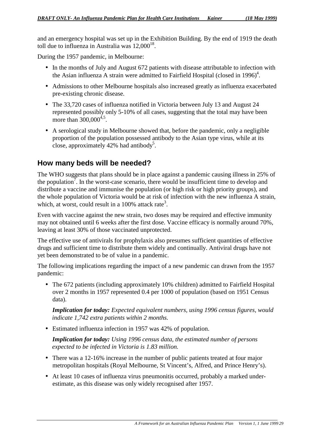and an emergency hospital was set up in the Exhibition Building. By the end of 1919 the death toll due to influenza in Australia was  $12,000^{18}$ .

During the 1957 pandemic, in Melbourne:

- In the months of July and August 672 patients with disease attributable to infection with the Asian influenza A strain were admitted to Fairfield Hospital (closed in 1996)<sup>4</sup>.
- Admissions to other Melbourne hospitals also increased greatly as influenza exacerbated pre-existing chronic disease.
- The 33,720 cases of influenza notified in Victoria between July 13 and August 24 represented possibly only 5-10% of all cases, suggesting that the total may have been more than  $300,000^{4,5}$ .
- A serological study in Melbourne showed that, before the pandemic, only a negligible proportion of the population possessed antibody to the Asian type virus, while at its close, approximately  $42\%$  had antibody<sup>5</sup>.

### **How many beds will be needed?**

The WHO suggests that plans should be in place against a pandemic causing illness in 25% of the population<sup>7</sup>. In the worst-case scenario, there would be insufficient time to develop and distribute a vaccine and immunise the population (or high risk or high priority groups), and the whole population of Victoria would be at risk of infection with the new influenza A strain, which, at worst, could result in a 100% attack rate<sup>3</sup>.

Even with vaccine against the new strain, two doses may be required and effective immunity may not obtained until 6 weeks after the first dose. Vaccine efficacy is normally around 70%, leaving at least 30% of those vaccinated unprotected.

The effective use of antivirals for prophylaxis also presumes sufficient quantities of effective drugs and sufficient time to distribute them widely and continually. Antiviral drugs have not yet been demonstrated to be of value in a pandemic.

The following implications regarding the impact of a new pandemic can drawn from the 1957 pandemic:

• The 672 patients (including approximately 10% children) admitted to Fairfield Hospital over 2 months in 1957 represented 0.4 per 1000 of population (based on 1951 Census data).

*Implication for today: Expected equivalent numbers, using 1996 census figures, would indicate 1,742 extra patients within 2 months.*

• Estimated influenza infection in 1957 was 42% of population.

*Implication for today: Using 1996 census data, the estimated number of persons expected to be infected in Victoria is 1.83 million.*

- There was a 12-16% increase in the number of public patients treated at four major metropolitan hospitals (Royal Melbourne, St Vincent's, Alfred, and Prince Henry's).
- At least 10 cases of influenza virus pneumonitis occurred, probably a marked underestimate, as this disease was only widely recognised after 1957.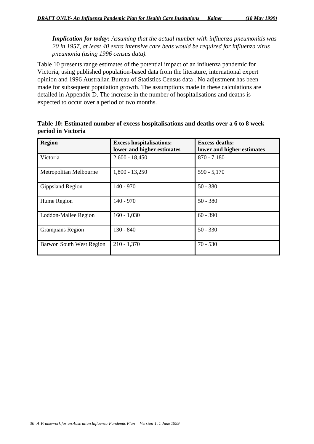*Implication for today: Assuming that the actual number with influenza pneumonitis was 20 in 1957, at least 40 extra intensive care beds would be required for influenza virus pneumonia (using 1996 census data).*

Table 10 presents range estimates of the potential impact of an influenza pandemic for Victoria, using published population-based data from the literature, international expert opinion and 1996 Australian Bureau of Statistics Census data . No adjustment has been made for subsequent population growth. The assumptions made in these calculations are detailed in Appendix D. The increase in the number of hospitalisations and deaths is expected to occur over a period of two months.

| <b>Region</b>            | <b>Excess hospitalisations:</b><br>lower and higher estimates | <b>Excess deaths:</b><br>lower and higher estimates |
|--------------------------|---------------------------------------------------------------|-----------------------------------------------------|
| Victoria                 | $2,600 - 18,450$                                              | $870 - 7,180$                                       |
| Metropolitan Melbourne   | $1,800 - 13,250$                                              | $590 - 5,170$                                       |
| Gippsland Region         | $140 - 970$                                                   | $50 - 380$                                          |
| Hume Region              | $140 - 970$                                                   | $50 - 380$                                          |
| Loddon-Mallee Region     | $160 - 1,030$                                                 | $60 - 390$                                          |
| <b>Grampians Region</b>  | $130 - 840$                                                   | $50 - 330$                                          |
| Barwon South West Region | $210 - 1,370$                                                 | $70 - 530$                                          |

**Table 10: Estimated number of excess hospitalisations and deaths over a 6 to 8 week period in Victoria**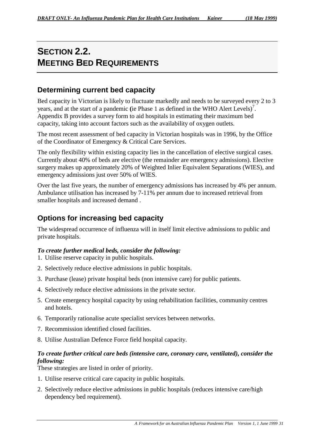# **SECTION 2.2. MEETING BED REQUIREMENTS**

## **Determining current bed capacity**

Bed capacity in Victorian is likely to fluctuate markedly and needs to be surveyed every 2 to 3 years, and at the start of a pandemic (ie Phase 1 as defined in the WHO Alert Levels)<sup>7</sup>. Appendix B provides a survey form to aid hospitals in estimating their maximum bed capacity, taking into account factors such as the availability of oxygen outlets.

The most recent assessment of bed capacity in Victorian hospitals was in 1996, by the Office of the Coordinator of Emergency & Critical Care Services.

The only flexibility within existing capacity lies in the cancellation of elective surgical cases. Currently about 40% of beds are elective (the remainder are emergency admissions). Elective surgery makes up approximately 20% of Weighted Inlier Equivalent Separations (WIES), and emergency admissions just over 50% of WIES.

Over the last five years, the number of emergency admissions has increased by 4% per annum. Ambulance utilisation has increased by 7-11% per annum due to increased retrieval from smaller hospitals and increased demand .

## **Options for increasing bed capacity**

The widespread occurrence of influenza will in itself limit elective admissions to public and private hospitals.

#### *To create further medical beds, consider the following:*

- 1. Utilise reserve capacity in public hospitals.
- 2. Selectively reduce elective admissions in public hospitals.
- 3. Purchase (lease) private hospital beds (non intensive care) for public patients.
- 4. Selectively reduce elective admissions in the private sector.
- 5. Create emergency hospital capacity by using rehabilitation facilities, community centres and hotels.
- 6. Temporarily rationalise acute specialist services between networks.
- 7. Recommission identified closed facilities.
- 8. Utilise Australian Defence Force field hospital capacity.

#### *To create further critical care beds (intensive care, coronary care, ventilated), consider the following:*

These strategies are listed in order of priority.

- 1. Utilise reserve critical care capacity in public hospitals.
- 2. Selectively reduce elective admissions in public hospitals (reduces intensive care/high dependency bed requirement).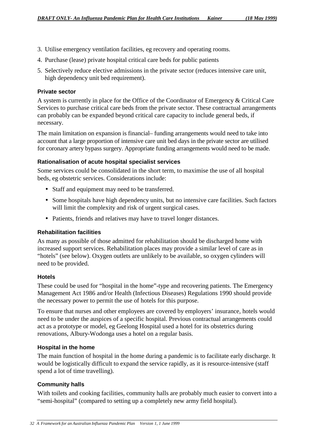- 3. Utilise emergency ventilation facilities, eg recovery and operating rooms.
- 4. Purchase (lease) private hospital critical care beds for public patients
- 5. Selectively reduce elective admissions in the private sector (reduces intensive care unit, high dependency unit bed requirement).

#### **Private sector**

A system is currently in place for the Office of the Coordinator of Emergency & Critical Care Services to purchase critical care beds from the private sector. These contractual arrangements can probably can be expanded beyond critical care capacity to include general beds, if necessary.

The main limitation on expansion is financial– funding arrangements would need to take into account that a large proportion of intensive care unit bed days in the private sector are utilised for coronary artery bypass surgery. Appropriate funding arrangements would need to be made.

#### **Rationalisation of acute hospital specialist services**

Some services could be consolidated in the short term, to maximise the use of all hospital beds, eg obstetric services. Considerations include:

- Staff and equipment may need to be transferred.
- Some hospitals have high dependency units, but no intensive care facilities. Such factors will limit the complexity and risk of urgent surgical cases.
- Patients, friends and relatives may have to travel longer distances.

#### **Rehabilitation facilities**

As many as possible of those admitted for rehabilitation should be discharged home with increased support services. Rehabilitation places may provide a similar level of care as in "hotels" (see below). Oxygen outlets are unlikely to be available, so oxygen cylinders will need to be provided.

#### **Hotels**

These could be used for "hospital in the home"-type and recovering patients. The Emergency Management Act 1986 and/or Health (Infectious Diseases) Regulations 1990 should provide the necessary power to permit the use of hotels for this purpose.

To ensure that nurses and other employees are covered by employers' insurance, hotels would need to be under the auspices of a specific hospital. Previous contractual arrangements could act as a prototype or model, eg Geelong Hospital used a hotel for its obstetrics during renovations, Albury-Wodonga uses a hotel on a regular basis.

#### **Hospital in the home**

The main function of hospital in the home during a pandemic is to facilitate early discharge. It would be logistically difficult to expand the service rapidly, as it is resource-intensive (staff spend a lot of time travelling).

#### **Community halls**

With toilets and cooking facilities, community halls are probably much easier to convert into a "semi-hospital" (compared to setting up a completely new army field hospital).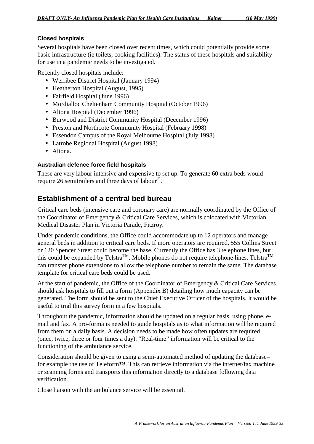#### **Closed hospitals**

Several hospitals have been closed over recent times, which could potentially provide some basic infrastructure (ie toilets, cooking facilities). The status of these hospitals and suitability for use in a pandemic needs to be investigated.

Recently closed hospitals include:

- Werribee District Hospital (January 1994)
- Heatherton Hospital (August, 1995)
- Fairfield Hospital (June 1996)
- Mordialloc Cheltenham Community Hospital (October 1996)
- Altona Hospital (December 1996)
- Burwood and District Community Hospital (December 1996)
- Preston and Northcote Community Hospital (February 1998)
- Essendon Campus of the Royal Melbourne Hospital (July 1998)
- Latrobe Regional Hospital (August 1998)
- Altona.

#### **Australian defence force field hospitals**

These are very labour intensive and expensive to set up. To generate 60 extra beds would require 26 semitrailers and three days of labour $^{21}$ .

### **Establishment of a central bed bureau**

Critical care beds (intensive care and coronary care) are normally coordinated by the Office of the Coordinator of Emergency & Critical Care Services, which is colocated with Victorian Medical Disaster Plan in Victoria Parade, Fitzroy.

Under pandemic conditions, the Office could accommodate up to 12 operators and manage general beds in addition to critical care beds. If more operators are required, 555 Collins Street or 120 Spencer Street could become the base. Currently the Office has 3 telephone lines, but this could be expanded by Telstra<sup>TM</sup>. Mobile phones do not require telephone lines. Telstra<sup>TM</sup> can transfer phone extensions to allow the telephone number to remain the same. The database template for critical care beds could be used.

At the start of pandemic, the Office of the Coordinator of Emergency & Critical Care Services should ask hospitals to fill out a form (Appendix B) detailing how much capacity can be generated. The form should be sent to the Chief Executive Officer of the hospitals. It would be useful to trial this survey form in a few hospitals.

Throughout the pandemic, information should be updated on a regular basis, using phone, email and fax. A pro-forma is needed to guide hospitals as to what information will be required from them on a daily basis. A decision needs to be made how often updates are required (once, twice, three or four times a day). "Real-time" information will be critical to the functioning of the ambulance service.

Consideration should be given to using a semi-automated method of updating the database– for example the use of Teleform™. This can retrieve information via the internet/fax machine or scanning forms and transports this information directly to a database following data verification.

Close liaison with the ambulance service will be essential.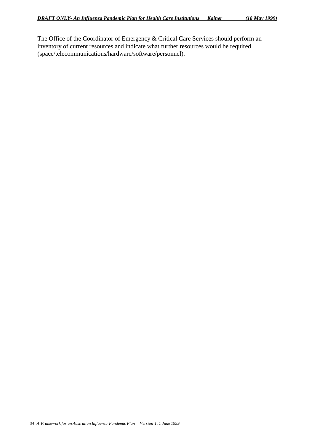The Office of the Coordinator of Emergency & Critical Care Services should perform an inventory of current resources and indicate what further resources would be required (space/telecommunications/hardware/software/personnel).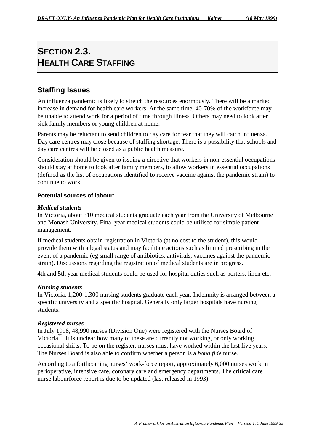# **SECTION 2.3. HEALTH CARE STAFFING**

## **Staffing Issues**

An influenza pandemic is likely to stretch the resources enormously. There will be a marked increase in demand for health care workers. At the same time, 40-70% of the workforce may be unable to attend work for a period of time through illness. Others may need to look after sick family members or young children at home.

Parents may be reluctant to send children to day care for fear that they will catch influenza. Day care centres may close because of staffing shortage. There is a possibility that schools and day care centres will be closed as a public health measure.

Consideration should be given to issuing a directive that workers in non-essential occupations should stay at home to look after family members, to allow workers in essential occupations (defined as the list of occupations identified to receive vaccine against the pandemic strain) to continue to work.

#### **Potential sources of labour:**

#### *Medical students*

In Victoria, about 310 medical students graduate each year from the University of Melbourne and Monash University. Final year medical students could be utilised for simple patient management.

If medical students obtain registration in Victoria (at no cost to the student), this would provide them with a legal status and may facilitate actions such as limited prescribing in the event of a pandemic (eg small range of antibiotics, antivirals, vaccines against the pandemic strain). Discussions regarding the registration of medical students are in progress.

4th and 5th year medical students could be used for hospital duties such as porters, linen etc.

#### *Nursing students*

In Victoria, 1,200-1,300 nursing students graduate each year. Indemnity is arranged between a specific university and a specific hospital. Generally only larger hospitals have nursing students.

#### *Registered nurses*

In July 1998, 48,990 nurses (Division One) were registered with the Nurses Board of Victoria<sup>22</sup>. It is unclear how many of these are currently not working, or only working occasional shifts. To be on the register, nurses must have worked within the last five years. The Nurses Board is also able to confirm whether a person is a *bona fide* nurse.

According to a forthcoming nurses' work-force report, approximately 6,000 nurses work in perioperative, intensive care, coronary care and emergency departments. The critical care nurse labourforce report is due to be updated (last released in 1993).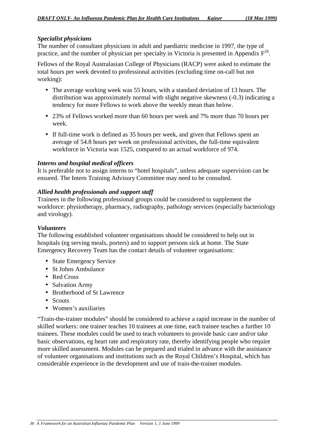#### *Specialist physicians*

The number of consultant physicians in adult and paediatric medicine in 1997, the type of practice, and the number of physician per specialty in Victoria is presented in Appendix  $F^{26}$ .

Fellows of the Royal Australasian College of Physicians (RACP) were asked to estimate the total hours per week devoted to professional activities (excluding time on-call but not working):

- The average working week was 55 hours, with a standard deviation of 13 hours. The distribution was approximately normal with slight negative skewness (-0.3) indicating a tendency for more Fellows to work above the weekly mean than below.
- 23% of Fellows worked more than 60 hours per week and 7% more than 70 hours per week.
- If full-time work is defined as 35 hours per week, and given that Fellows spent an average of 54.8 hours per week on professional activities, the full-time equivalent workforce in Victoria was 1525, compared to an actual workforce of 974.

#### *Interns and hospital medical officers*

It is preferable not to assign interns to "hotel hospitals", unless adequate supervision can be ensured. The Intern Training Advisory Committee may need to be consulted.

#### *Allied health professionals and support staff*

Trainees in the following professional groups could be considered to supplement the workforce: physiotherapy, pharmacy, radiography, pathology services (especially bacteriology and virology).

#### *Volunteers*

The following established volunteer organisations should be considered to help out in hospitals (eg serving meals, porters) and to support persons sick at home. The State Emergency Recovery Team has the contact details of volunteer organisations:

- State Emergency Service
- St Johns Ambulance
- Red Cross
- Salvation Army
- Brotherhood of St Lawrence
- Scouts
- Women's auxiliaries

"Train-the-trainer modules" should be considered to achieve a rapid increase in the number of skilled workers: one trainer teaches 10 trainees at one time, each trainee teaches a further 10 trainees. These modules could be used to teach volunteers to provide basic care and/or take basic observations, eg heart rate and respiratory rate, thereby identifying people who require more skilled assessment. Modules can be prepared and trialed in advance with the assistance of volunteer organisations and institutions such as the Royal Children's Hospital, which has considerable experience in the development and use of train-the-trainer modules.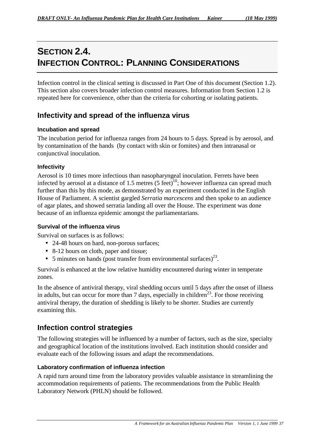# **SECTION 2.4. INFECTION CONTROL: PLANNING CONSIDERATIONS**

Infection control in the clinical setting is discussed in Part One of this document (Section 1.2). This section also covers broader infection control measures. Information from Section 1.2 is repeated here for convenience, other than the criteria for cohorting or isolating patients.

### **Infectivity and spread of the influenza virus**

#### **Incubation and spread**

The incubation period for influenza ranges from 24 hours to 5 days. Spread is by aerosol, and by contamination of the hands (by contact with skin or fomites) and then intranasal or conjunctival inoculation.

#### **Infectivity**

Aerosol is 10 times more infectious than nasopharyngeal inoculation. Ferrets have been infected by aerosol at a distance of 1.5 metres  $(5 \text{ feet})^{10}$ ; however influenza can spread much further than this by this mode, as demonstrated by an experiment conducted in the English House of Parliament. A scientist gargled *Serratia marcescens* and then spoke to an audience of agar plates, and showed serratia landing all over the House. The experiment was done because of an influenza epidemic amongst the parliamentarians.

#### **Survival of the influenza virus**

Survival on surfaces is as follows:

- 24-48 hours on hard, non-porous surfaces;
- 8-12 hours on cloth, paper and tissue;
- 5 minutes on hands (post transfer from environmental surfaces)<sup>23</sup>.

Survival is enhanced at the low relative humidity encountered during winter in temperate zones.

In the absence of antiviral therapy, viral shedding occurs until 5 days after the onset of illness in adults, but can occur for more than 7 days, especially in children<sup>23</sup>. For those receiving antiviral therapy, the duration of shedding is likely to be shorter. Studies are currently examining this.

### **Infection control strategies**

The following strategies will be influenced by a number of factors, such as the size, specialty and geographical location of the institutions involved. Each institution should consider and evaluate each of the following issues and adapt the recommendations.

#### **Laboratory confirmation of influenza infection**

A rapid turn around time from the laboratory provides valuable assistance in streamlining the accommodation requirements of patients. The recommendations from the Public Health Laboratory Network (PHLN) should be followed.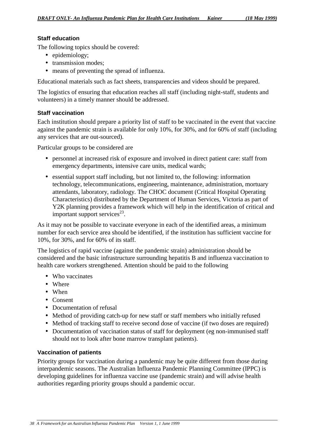#### **Staff education**

The following topics should be covered:

- epidemiology;
- transmission modes;
- means of preventing the spread of influenza.

Educational materials such as fact sheets, transparencies and videos should be prepared.

The logistics of ensuring that education reaches all staff (including night-staff, students and volunteers) in a timely manner should be addressed.

#### **Staff vaccination**

Each institution should prepare a priority list of staff to be vaccinated in the event that vaccine against the pandemic strain is available for only 10%, for 30%, and for 60% of staff (including any services that are out-sourced).

Particular groups to be considered are

- personnel at increased risk of exposure and involved in direct patient care: staff from emergency departments, intensive care units, medical wards;
- essential support staff including, but not limited to, the following: information technology, telecommunications, engineering, maintenance, administration, mortuary attendants, laboratory, radiology. The CHOC document (Critical Hospital Operating Characteristics) distributed by the Department of Human Services, Victoria as part of Y2K planning provides a framework which will help in the identification of critical and important support services<sup>23</sup>.

As it may not be possible to vaccinate everyone in each of the identified areas, a minimum number for each service area should be identified, if the institution has sufficient vaccine for 10%, for 30%, and for 60% of its staff.

The logistics of rapid vaccine (against the pandemic strain) administration should be considered and the basic infrastructure surrounding hepatitis B and influenza vaccination to health care workers strengthened. Attention should be paid to the following

- Who vaccinates
- Where
- When
- Consent
- Documentation of refusal
- Method of providing catch-up for new staff or staff members who initially refused
- Method of tracking staff to receive second dose of vaccine (if two doses are required)
- Documentation of vaccination status of staff for deployment (eg non-immunised staff should not to look after bone marrow transplant patients).

#### **Vaccination of patients**

Priority groups for vaccination during a pandemic may be quite different from those during interpandemic seasons. The Australian Influenza Pandemic Planning Committee (IPPC) is developing guidelines for influenza vaccine use (pandemic strain) and will advise health authorities regarding priority groups should a pandemic occur.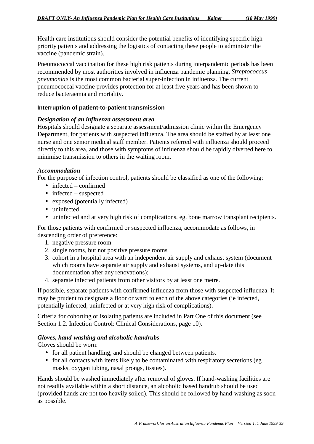Health care institutions should consider the potential benefits of identifying specific high priority patients and addressing the logistics of contacting these people to administer the vaccine (pandemic strain).

Pneumococcal vaccination for these high risk patients during interpandemic periods has been recommended by most authorities involved in influenza pandemic planning. *Streptococcus pneumoniae* is the most common bacterial super-infection in influenza. The current pneumococcal vaccine provides protection for at least five years and has been shown to reduce bacteraemia and mortality.

#### **Interruption of patient-to-patient transmission**

#### *Designation of an influenza assessment area*

Hospitals should designate a separate assessment/admission clinic within the Emergency Department, for patients with suspected influenza. The area should be staffed by at least one nurse and one senior medical staff member. Patients referred with influenza should proceed directly to this area, and those with symptoms of influenza should be rapidly diverted here to minimise transmission to others in the waiting room.

#### *Accommodation*

For the purpose of infection control, patients should be classified as one of the following:

- infected confirmed
- $\bullet$  infected suspected
- exposed (potentially infected)
- uninfected
- uninfected and at very high risk of complications, eg. bone marrow transplant recipients.

For those patients with confirmed or suspected influenza, accommodate as follows, in descending order of preference:

- 1. negative pressure room
- 2. single rooms, but not positive pressure rooms
- 3. cohort in a hospital area with an independent air supply and exhaust system (document which rooms have separate air supply and exhaust systems, and up-date this documentation after any renovations);
- 4. separate infected patients from other visitors by at least one metre.

If possible, separate patients with confirmed influenza from those with suspected influenza. It may be prudent to designate a floor or ward to each of the above categories (ie infected, potentially infected, uninfected or at very high risk of complications).

Criteria for cohorting or isolating patients are included in Part One of this document (see Section 1.2. Infection Control: Clinical Considerations, page 10).

#### *Gloves, hand-washing and alcoholic handrubs*

Gloves should be worn:

- for all patient handling, and should be changed between patients.
- for all contacts with items likely to be contaminated with respiratory secretions (eg masks, oxygen tubing, nasal prongs, tissues).

Hands should be washed immediately after removal of gloves. If hand-washing facilities are not readily available within a short distance, an alcoholic based handrub should be used (provided hands are not too heavily soiled). This should be followed by hand-washing as soon as possible.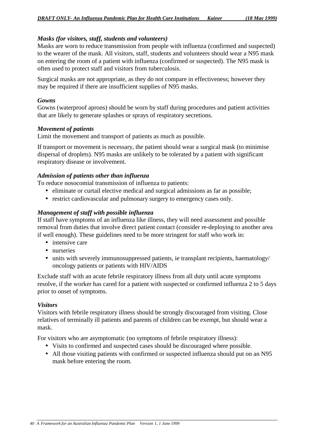#### *Masks (for visitors, staff, students and volunteers)*

Masks are worn to reduce transmission from people with influenza (confirmed and suspected) to the wearer of the mask. All visitors, staff, students and volunteers should wear a N95 mask on entering the room of a patient with influenza (confirmed or suspected). The N95 mask is often used to protect staff and visitors from tuberculosis.

Surgical masks are not appropriate, as they do not compare in effectiveness; however they may be required if there are insufficient supplies of N95 masks.

#### *Gowns*

Gowns (waterproof aprons) should be worn by staff during procedures and patient activities that are likely to generate splashes or sprays of respiratory secretions.

#### *Movement of patients*

Limit the movement and transport of patients as much as possible.

If transport or movement is necessary, the patient should wear a surgical mask (to minimise dispersal of droplets). N95 masks are unlikely to be tolerated by a patient with significant respiratory disease or involvement.

#### *Admission of patients other than influenza*

To reduce nosocomial transmission of influenza to patients:

- eliminate or curtail elective medical and surgical admissions as far as possible;
- restrict cardiovascular and pulmonary surgery to emergency cases only.

#### *Management of staff with possible influenza*

If staff have symptoms of an influenza like illness, they will need assessment and possible removal from duties that involve direct patient contact (consider re-deploying to another area if well enough). These guidelines need to be more stringent for staff who work in:

- intensive care
- nurseries
- units with severely immunosuppressed patients, ie transplant recipients, haematology/ oncology patients or patients with HIV/AIDS

Exclude staff with an acute febrile respiratory illness from all duty until acute symptoms resolve, if the worker has cared for a patient with suspected or confirmed influenza 2 to 5 days prior to onset of symptoms.

#### *Visitors*

Visitors with febrile respiratory illness should be strongly discouraged from visiting. Close relatives of terminally ill patients and parents of children can be exempt, but should wear a mask.

For visitors who are asymptomatic (no symptoms of febrile respiratory illness):

- Visits to confirmed and suspected cases should be discouraged where possible.
- All those visiting patients with confirmed or suspected influenza should put on an N95 mask before entering the room.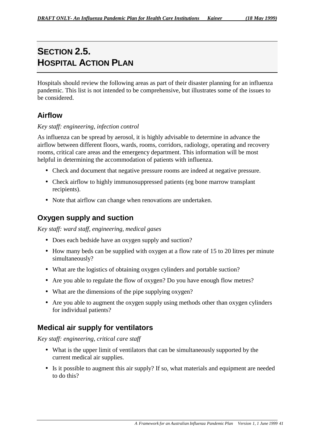# **SECTION 2.5. HOSPITAL ACTION PLAN**

Hospitals should review the following areas as part of their disaster planning for an influenza pandemic. This list is not intended to be comprehensive, but illustrates some of the issues to be considered.

## **Airflow**

#### *Key staff: engineering, infection control*

As influenza can be spread by aerosol, it is highly advisable to determine in advance the airflow between different floors, wards, rooms, corridors, radiology, operating and recovery rooms, critical care areas and the emergency department. This information will be most helpful in determining the accommodation of patients with influenza.

- Check and document that negative pressure rooms are indeed at negative pressure.
- Check airflow to highly immunosuppressed patients (eg bone marrow transplant) recipients).
- Note that airflow can change when renovations are undertaken.

### **Oxygen supply and suction**

*Key staff: ward staff, engineering, medical gases*

- Does each bedside have an oxygen supply and suction?
- How many beds can be supplied with oxygen at a flow rate of 15 to 20 litres per minute simultaneously?
- What are the logistics of obtaining oxygen cylinders and portable suction?
- Are you able to regulate the flow of oxygen? Do you have enough flow metres?
- What are the dimensions of the pipe supplying oxygen?
- Are you able to augment the oxygen supply using methods other than oxygen cylinders for individual patients?

### **Medical air supply for ventilators**

*Key staff: engineering, critical care staff*

- What is the upper limit of ventilators that can be simultaneously supported by the current medical air supplies.
- Is it possible to augment this air supply? If so, what materials and equipment are needed to do this?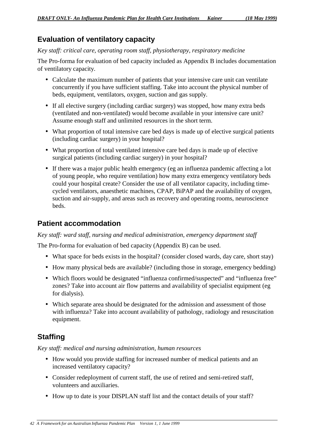### **Evaluation of ventilatory capacity**

#### *Key staff: critical care, operating room staff, physiotherapy, respiratory medicine*

The Pro-forma for evaluation of bed capacity included as Appendix B includes documentation of ventilatory capacity.

- Calculate the maximum number of patients that your intensive care unit can ventilate concurrently if you have sufficient staffing. Take into account the physical number of beds, equipment, ventilators, oxygen, suction and gas supply.
- If all elective surgery (including cardiac surgery) was stopped, how many extra beds (ventilated and non-ventilated) would become available in your intensive care unit? Assume enough staff and unlimited resources in the short term.
- What proportion of total intensive care bed days is made up of elective surgical patients (including cardiac surgery) in your hospital?
- What proportion of total ventilated intensive care bed days is made up of elective surgical patients (including cardiac surgery) in your hospital?
- If there was a major public health emergency (eg an influenza pandemic affecting a lot of young people, who require ventilation) how many extra emergency ventilatory beds could your hospital create? Consider the use of all ventilator capacity, including timecycled ventilators, anaesthetic machines, CPAP, BiPAP and the availability of oxygen, suction and air-supply, and areas such as recovery and operating rooms, neuroscience beds.

### **Patient accommodation**

#### *Key staff: ward staff, nursing and medical administration, emergency department staff*

The Pro-forma for evaluation of bed capacity (Appendix B) can be used.

- What space for beds exists in the hospital? (consider closed wards, day care, short stay)
- How many physical beds are available? (including those in storage, emergency bedding)
- Which floors would be designated "influenza confirmed/suspected" and "influenza free" zones? Take into account air flow patterns and availability of specialist equipment (eg) for dialysis).
- Which separate area should be designated for the admission and assessment of those with influenza? Take into account availability of pathology, radiology and resuscitation equipment.

## **Staffing**

*Key staff: medical and nursing administration, human resources*

- How would you provide staffing for increased number of medical patients and an increased ventilatory capacity?
- Consider redeployment of current staff, the use of retired and semi-retired staff, volunteers and auxiliaries.
- How up to date is your DISPLAN staff list and the contact details of your staff?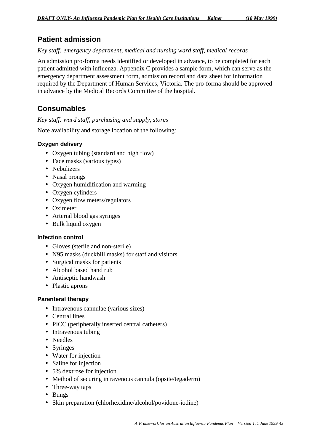## **Patient admission**

#### *Key staff: emergency department, medical and nursing ward staff, medical records*

An admission pro-forma needs identified or developed in advance, to be completed for each patient admitted with influenza. Appendix C provides a sample form, which can serve as the emergency department assessment form, admission record and data sheet for information required by the Department of Human Services, Victoria. The pro-forma should be approved in advance by the Medical Records Committee of the hospital.

## **Consumables**

#### *Key staff: ward staff, purchasing and supply, stores*

Note availability and storage location of the following:

#### **Oxygen delivery**

- Oxygen tubing (standard and high flow)
- Face masks (various types)
- Nebulizers
- Nasal prongs
- Oxygen humidification and warming
- Oxygen cylinders
- Oxygen flow meters/regulators
- Oximeter
- Arterial blood gas syringes
- Bulk liquid oxygen

#### **Infection control**

- Gloves (sterile and non-sterile)
- N95 masks (duckbill masks) for staff and visitors
- Surgical masks for patients
- Alcohol based hand rub
- Antiseptic handwash
- Plastic aprons

#### **Parenteral therapy**

- Intravenous cannulae (various sizes)
- Central lines
- PICC (peripherally inserted central catheters)
- Intravenous tubing
- Needles
- Syringes
- Water for injection
- Saline for injection
- 5% dextrose for injection
- Method of securing intravenous cannula (opsite/tegaderm)
- Three-way taps
- Bungs
- Skin preparation (chlorhexidine/alcohol/povidone-iodine)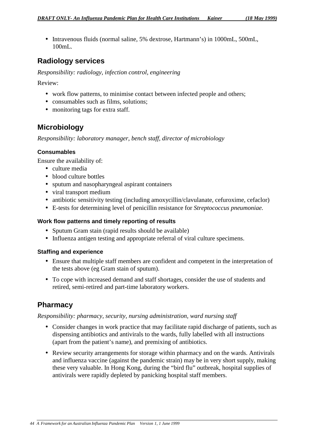• Intravenous fluids (normal saline, 5% dextrose, Hartmann's) in 1000mL, 500mL, 100mL.

### **Radiology services**

*Responsibility: radiology, infection control, engineering*

Review:

- work flow patterns, to minimise contact between infected people and others;
- consumables such as films, solutions;
- monitoring tags for extra staff.

### **Microbiology**

*Responsibility: laboratory manager, bench staff, director of microbiology*

#### **Consumables**

Ensure the availability of:

- culture media
- blood culture bottles
- sputum and nasopharyngeal aspirant containers
- viral transport medium
- antibiotic sensitivity testing (including amoxycillin/clavulanate, cefuroxime, cefaclor)
- E-tests for determining level of penicillin resistance for *Streptococcus pneumoniae.*

#### **Work flow patterns and timely reporting of results**

- Sputum Gram stain (rapid results should be available)
- Influenza antigen testing and appropriate referral of viral culture specimens.

#### **Staffing and experience**

- Ensure that multiple staff members are confident and competent in the interpretation of the tests above (eg Gram stain of sputum).
- To cope with increased demand and staff shortages, consider the use of students and retired, semi-retired and part-time laboratory workers.

### **Pharmacy**

#### *Responsibility: pharmacy, security, nursing administration, ward nursing staff*

- Consider changes in work practice that may facilitate rapid discharge of patients, such as dispensing antibiotics and antivirals to the wards, fully labelled with all instructions (apart from the patient's name), and premixing of antibiotics.
- Review security arrangements for storage within pharmacy and on the wards. Antivirals and influenza vaccine (against the pandemic strain) may be in very short supply, making these very valuable. In Hong Kong, during the "bird flu" outbreak, hospital supplies of antivirals were rapidly depleted by panicking hospital staff members.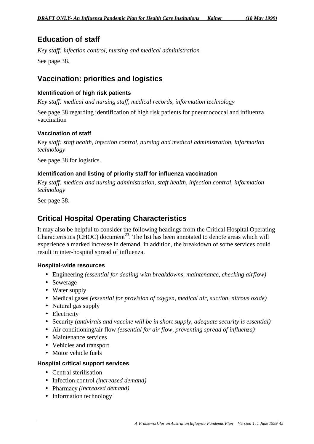## **Education of staff**

*Key staff: infection control, nursing and medical administration* See page 38.

## **Vaccination: priorities and logistics**

#### **Identification of high risk patients**

*Key staff: medical and nursing staff, medical records, information technology*

See page 38 regarding identification of high risk patients for pneumococcal and influenza vaccination

#### **Vaccination of staff**

*Key staff: staff health, infection control, nursing and medical administration, information technology*

See page 38 for logistics.

#### **Identification and listing of priority staff for influenza vaccination**

*Key staff: medical and nursing administration, staff health, infection control, information technology*

See page 38.

## **Critical Hospital Operating Characteristics**

It may also be helpful to consider the following headings from the Critical Hospital Operating Characteristics (CHOC) document<sup>23</sup>. The list has been annotated to denote areas which will experience a marked increase in demand. In addition, the breakdown of some services could result in inter-hospital spread of influenza.

#### **Hospital-wide resources**

- Engineering *(essential for dealing with breakdowns, maintenance, checking airflow)*
- Sewerage
- Water supply
- Medical gases *(essential for provision of oxygen, medical air, suction, nitrous oxide)*
- Natural gas supply
- Electricity
- Security *(antivirals and vaccine will be in short supply, adequate security is essential)*
- Air conditioning/air flow *(essential for air flow, preventing spread of influenza)*
- Maintenance services
- Vehicles and transport
- Motor vehicle fuels

#### **Hospital critical support services**

- Central sterilisation
- Infection control *(increased demand)*
- Pharmacy *(increased demand)*
- Information technology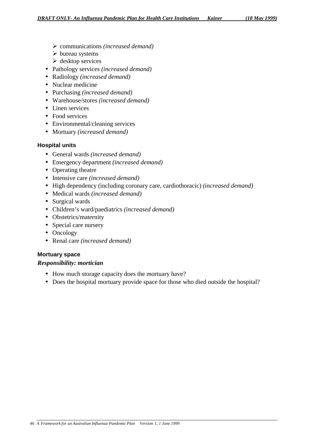- ¾ communications *(increased demand)*
- $\triangleright$  bureau systems
- $\triangleright$  desktop services
- Pathology services *(increased demand)*
- Radiology *(increased demand)*
- Nuclear medicine
- Purchasing *(increased demand)*
- Warehouse/stores *(increased demand)*
- Linen services
- Food services
- Environmental/cleaning services
- Mortuary *(increased demand)*

#### **Hospital units**

- General wards *(increased demand)*
- Emergency department *(increased demand)*
- Operating theatre
- Intensive care *(increased demand)*
- High dependency (including coronary care, cardiothoracic) *(increased demand)*
- Medical wards *(increased demand)*
- Surgical wards
- Children's ward/paediatrics *(increased demand)*
- Obstetrics/maternity
- Special care nursery
- Oncology
- Renal care *(increased demand)*

#### **Mortuary space**

#### *Responsibility: mortician*

- How much storage capacity does the mortuary have?
- Does the hospital mortuary provide space for those who died outside the hospital?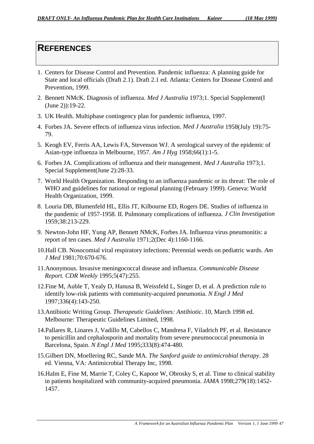## **REFERENCES**

- 1. Centers for Disease Control and Prevention. Pandemic influenza: A planning guide for State and local officials (Draft 2.1). Draft 2.1 ed. Atlanta: Centers for Disease Control and Prevention, 1999.
- 2. Bennett NMcK. Diagnosis of influenza. *Med J Australia* 1973;1. Special Supplement(I (June 2)):19-22.
- 3. UK Health. Multiphase contingency plan for pandemic influenza, 1997.
- 4. Forbes JA. Severe effects of influenza virus infection. *Med J Australia* 1958(July 19):75- 79.
- 5. Keogh EV, Ferris AA, Lewis FA, Stevenson WJ. A serological survey of the epidemic of Asian-type influenza in Melbourne, 1957. *Am J Hyg* 1958;66(1):1-5.
- 6. Forbes JA. Complications of influenza and their management. *Med J Australia* 1973;1. Special Supplement(June 2):28-33.
- 7. World Health Organization. Responding to an influenza pandemic or its threat: The role of WHO and guidelines for national or regional planning (February 1999). Geneva: World Health Organization, 1999.
- 8. Louria DB, Blumenfeld HL, Ellis JT, Kilbourne ED, Rogers DE. Studies of influenza in the pandemic of 1957-1958. II. Pulmonary complications of influenza. *J Clin Investigation* 1959;38:213-229.
- 9. Newton-John HF, Yung AP, Bennett NMcK, Forbes JA. Influenza virus pneumonitis: a report of ten cases. *Med J Australia* 1971;2(Dec 4):1160-1166.
- 10.Hall CB. Nosocomial viral respiratory infections: Perennial weeds on pediatric wards. *Am J Med* 1981;70:670-676.
- 11.Anonymous. Invasive meningococcal disease and influenza. *Communicable Disease Report. CDR Weekly* 1995;5(47):255.
- 12.Fine M, Auble T, Yealy D, Hanusa B, Weissfeld L, Singer D, et al. A prediction rule to identify low-risk patients with community-acquired pneumonia. *N Engl J Med* 1997;336(4):143-250.
- 13.Antibiotic Writing Group. *Therapeutic Guidelines: Antibiotic*. 10, March 1998 ed. Melbourne: Therapeutic Guidelines Limited, 1998.
- 14.Pallares R, Linares J, Vadillo M, Cabellos C, Mandresa F, Viladrich PF, et al. Resistance to penicillin and cephalosporin and mortality from severe pneumococcal pneumonia in Barcelona, Spain. *N Engl J Med* 1995;333(8):474-480.
- 15.Gilbert DN, Moellering RC, Sande MA. *The Sanford guide to antimicrobial therapy*. 28 ed. Vienna, VA: Antimicrobial Therapy Inc, 1998.
- 16.Halm E, Fine M, Marrie T, Coley C, Kapoor W, Obrosky S, et al. Time to clinical stability in patients hospitalized with community-acquired pneumonia. *JAMA* 1998;279(18):1452- 1457.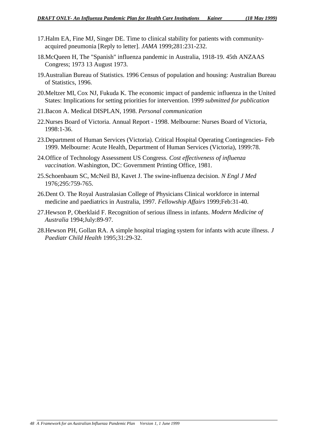- 17.Halm EA, Fine MJ, Singer DE. Time to clinical stability for patients with communityacquired pneumonia [Reply to letter]. *JAMA* 1999;281:231-232.
- 18.McQueen H, The "Spanish" influenza pandemic in Australia, 1918-19. 45th ANZAAS Congress; 1973 13 August 1973.
- 19.Australian Bureau of Statistics. 1996 Census of population and housing: Australian Bureau of Statistics, 1996.
- 20.Meltzer MI, Cox NJ, Fukuda K. The economic impact of pandemic influenza in the United States: Implications for setting priorities for intervention. 1999 *submitted for publication*
- 21.Bacon A. Medical DISPLAN, 1998. *Personal communication*
- 22.Nurses Board of Victoria. Annual Report 1998. Melbourne: Nurses Board of Victoria, 1998:1-36.
- 23.Department of Human Services (Victoria). Critical Hospital Operating Contingencies- Feb 1999. Melbourne: Acute Health, Department of Human Services (Victoria), 1999:78.
- 24.Office of Technology Assessment US Congress. *Cost effectiveness of influenza vaccination*. Washington, DC: Government Printing Office, 1981.
- 25.Schoenbaum SC, McNeil BJ, Kavet J. The swine-influenza decision. *N Engl J Med* 1976;295:759-765.
- 26.Dent O. The Royal Australasian College of Physicians Clinical workforce in internal medicine and paediatrics in Australia, 1997. *Fellowship Affairs* 1999;Feb:31-40.
- 27.Hewson P, Oberklaid F. Recognition of serious illness in infants. *Modern Medicine of Australia* 1994;July:89-97.
- 28.Hewson PH, Gollan RA. A simple hospital triaging system for infants with acute illness. *J Paediatr Child Health* 1995;31:29-32.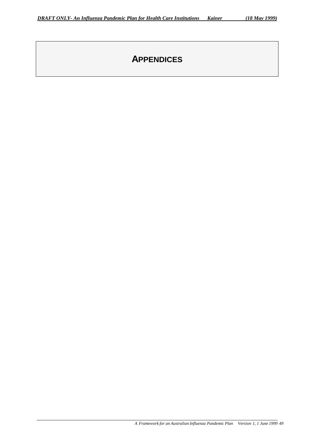# **APPENDICES**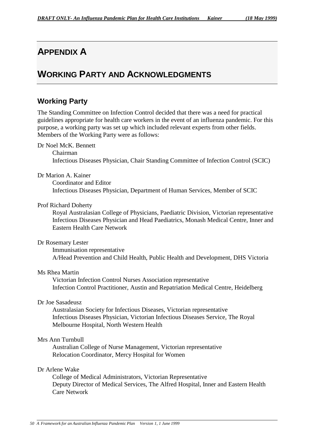# **APPENDIX A**

# **WORKING PARTY AND ACKNOWLEDGMENTS**

# **Working Party**

The Standing Committee on Infection Control decided that there was a need for practical guidelines appropriate for health care workers in the event of an influenza pandemic. For this purpose, a working party was set up which included relevant experts from other fields. Members of the Working Party were as follows:

Dr Noel McK. Bennett

Chairman Infectious Diseases Physician, Chair Standing Committee of Infection Control (SCIC)

Dr Marion A. Kainer

Coordinator and Editor Infectious Diseases Physician, Department of Human Services, Member of SCIC

#### Prof Richard Doherty

Royal Australasian College of Physicians, Paediatric Division, Victorian representative Infectious Diseases Physician and Head Paediatrics, Monash Medical Centre, Inner and Eastern Health Care Network

#### Dr Rosemary Lester

Immunisation representative A/Head Prevention and Child Health, Public Health and Development, DHS Victoria

#### Ms Rhea Martin

Victorian Infection Control Nurses Association representative Infection Control Practitioner, Austin and Repatriation Medical Centre, Heidelberg

#### Dr Joe Sasadeusz

Australasian Society for Infectious Diseases, Victorian representative Infectious Diseases Physician, Victorian Infectious Diseases Service, The Royal Melbourne Hospital, North Western Health

#### Mrs Ann Turnbull

Australian College of Nurse Management, Victorian representative Relocation Coordinator, Mercy Hospital for Women

## Dr Arlene Wake

College of Medical Administrators, Victorian Representative Deputy Director of Medical Services, The Alfred Hospital, Inner and Eastern Health Care Network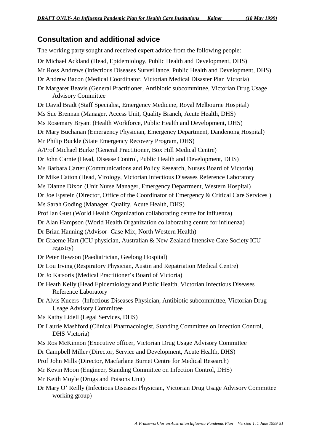# **Consultation and additional advice**

The working party sought and received expert advice from the following people: Dr Michael Ackland (Head, Epidemiology, Public Health and Development, DHS) Mr Ross Andrews (Infectious Diseases Surveillance, Public Health and Development, DHS) Dr Andrew Bacon (Medical Coordinator, Victorian Medical Disaster Plan Victoria) Dr Margaret Beavis (General Practitioner, Antibiotic subcommittee, Victorian Drug Usage Advisory Committee Dr David Bradt (Staff Specialist, Emergency Medicine, Royal Melbourne Hospital) Ms Sue Brennan (Manager, Access Unit, Quality Branch, Acute Health, DHS) Ms Rosemary Bryant (Health Workforce, Public Health and Development, DHS) Dr Mary Buchanan (Emergency Physician, Emergency Department, Dandenong Hospital) Mr Philip Buckle (State Emergency Recovery Program, DHS) A/Prof Michael Burke (General Practitioner, Box Hill Medical Centre) Dr John Carnie (Head, Disease Control, Public Health and Development, DHS) Ms Barbara Carter (Communications and Policy Research, Nurses Board of Victoria) Dr Mike Catton (Head, Virology, Victorian Infectious Diseases Reference Laboratory Ms Dianne Dixon (Unit Nurse Manager, Emergency Department, Western Hospital) Dr Joe Epstein (Director, Office of the Coordinator of Emergency & Critical Care Services ) Ms Sarah Goding (Manager, Quality, Acute Health, DHS) Prof Ian Gust (World Health Organization collaborating centre for influenza) Dr Alan Hampson (World Health Organization collaborating centre for influenza) Dr Brian Hanning (Advisor- Case Mix, North Western Health) Dr Graeme Hart (ICU physician, Australian & New Zealand Intensive Care Society ICU registry) Dr Peter Hewson (Paediatrician, Geelong Hospital) Dr Lou Irving (Respiratory Physician, Austin and Repatriation Medical Centre) Dr Jo Katsoris (Medical Practitioner's Board of Victoria) Dr Heath Kelly (Head Epidemiology and Public Health, Victorian Infectious Diseases Reference Laboratory Dr Alvis Kucers (Infectious Diseases Physician, Antibiotic subcommittee, Victorian Drug Usage Advisory Committee Ms Kathy Lidell (Legal Services, DHS) Dr Laurie Mashford (Clinical Pharmacologist, Standing Committee on Infection Control, DHS Victoria) Ms Ros McKinnon (Executive officer, Victorian Drug Usage Advisory Committee Dr Campbell Miller (Director, Service and Development, Acute Health, DHS) Prof John Mills (Director, Macfarlane Burnet Centre for Medical Research) Mr Kevin Moon (Engineer, Standing Committee on Infection Control, DHS) Mr Keith Moyle (Drugs and Poisons Unit) Dr Mary O' Reilly (Infectious Diseases Physician, Victorian Drug Usage Advisory Committee working group)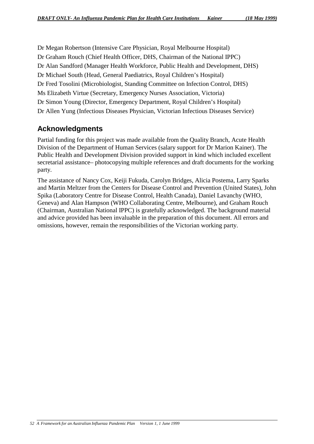Dr Megan Robertson (Intensive Care Physician, Royal Melbourne Hospital) Dr Graham Rouch (Chief Health Officer, DHS, Chairman of the National IPPC) Dr Alan Sandford (Manager Health Workforce, Public Health and Development, DHS) Dr Michael South (Head, General Paediatrics, Royal Children's Hospital) Dr Fred Tosolini (Microbiologist, Standing Committee on Infection Control, DHS) Ms Elizabeth Virtue (Secretary, Emergency Nurses Association, Victoria) Dr Simon Young (Director, Emergency Department, Royal Children's Hospital) Dr Allen Yung (Infectious Diseases Physician, Victorian Infectious Diseases Service)

# **Acknowledgments**

Partial funding for this project was made available from the Quality Branch, Acute Health Division of the Department of Human Services (salary support for Dr Marion Kainer). The Public Health and Development Division provided support in kind which included excellent secretarial assistance– photocopying multiple references and draft documents for the working party.

The assistance of Nancy Cox, Keiji Fukuda, Carolyn Bridges, Alicia Postema, Larry Sparks and Martin Meltzer from the Centers for Disease Control and Prevention (United States), John Spika (Laboratory Centre for Disease Control, Health Canada), Daniel Lavanchy (WHO, Geneva) and Alan Hampson (WHO Collaborating Centre, Melbourne), and Graham Rouch (Chairman, Australian National IPPC) is gratefully acknowledged. The background material and advice provided has been invaluable in the preparation of this document. All errors and omissions, however, remain the responsibilities of the Victorian working party.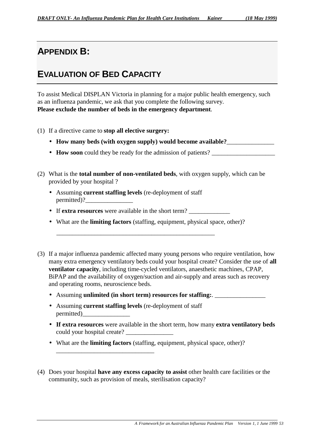# **APPENDIX B:**

# **EVALUATION OF BED CAPACITY**

To assist Medical DISPLAN Victoria in planning for a major public health emergency, such as an influenza pandemic, we ask that you complete the following survey. **Please exclude the number of beds in the emergency department**.

- (1) If a directive came to **stop all elective surgery:**
	- How many beds (with oxygen supply) would become available?
	- **How soon** could they be ready for the admission of patients?
- (2) What is the **total number of non-ventilated beds**, with oxygen supply, which can be provided by your hospital ?
	- Assuming **current staffing levels** (re-deployment of staff permitted)?
	- If **extra resources** were available in the short term?
	- What are the **limiting factors** (staffing, equipment, physical space, other)?

\_\_\_\_\_\_\_\_\_\_\_\_\_\_\_\_\_\_\_\_\_\_\_\_\_\_\_\_\_\_\_\_\_\_\_\_\_\_\_\_\_\_\_\_\_\_\_\_\_\_

- (3) If a major influenza pandemic affected many young persons who require ventilation, how many extra emergency ventilatory beds could your hospital create? Consider the use of **all ventilator capacity**, including time-cycled ventilators, anaesthetic machines, CPAP, BiPAP and the availability of oxygen/suction and air-supply and areas such as recovery and operating rooms, neuroscience beds.
	- Assuming **unlimited (in short term) resources for staffing:**.
	- Assuming **current staffing levels** (re-deployment of staff permitted)\_\_\_\_\_\_\_\_\_\_\_\_\_\_\_

\_\_\_\_\_\_\_\_\_\_\_\_\_\_\_\_\_\_\_\_\_\_\_\_\_\_\_\_\_\_\_

- **If extra resources** were available in the short term, how many **extra ventilatory beds** could your hospital create? \_\_\_\_\_\_\_\_\_\_\_\_\_\_\_
- What are the **limiting factors** (staffing, equipment, physical space, other)?
- (4) Does your hospital **have any excess capacity to assist** other health care facilities or the community, such as provision of meals, sterilisation capacity?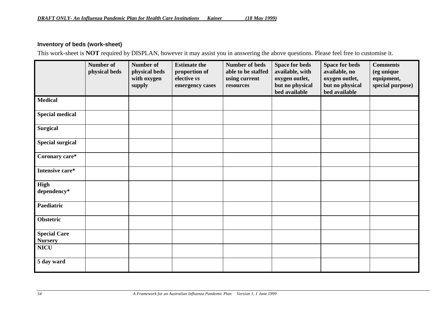## **Inventory of beds (work-sheet)**

This work-sheet is **NOT** required by DISPLAN, however it may assist you in answering the above questions. Please feel free to customise it.

|                                                      | Number of<br>physical beds | <b>Number of</b><br>physical beds<br>with oxygen<br>supply | <b>Estimate the</b><br>proportion of<br>elective vs<br>emergency cases | <b>Number of beds</b><br>able to be staffed<br>using current<br>resources | <b>Space for beds</b><br>available, with<br>oxygen outlet,<br>but no physical<br>bed available | <b>Space for beds</b><br>available, no<br>oxygen outlet,<br>but no physical<br>bed available | <b>Comments</b><br>(eg unique<br>equipment,<br>special purpose) |
|------------------------------------------------------|----------------------------|------------------------------------------------------------|------------------------------------------------------------------------|---------------------------------------------------------------------------|------------------------------------------------------------------------------------------------|----------------------------------------------------------------------------------------------|-----------------------------------------------------------------|
| <b>Medical</b>                                       |                            |                                                            |                                                                        |                                                                           |                                                                                                |                                                                                              |                                                                 |
| <b>Special medical</b>                               |                            |                                                            |                                                                        |                                                                           |                                                                                                |                                                                                              |                                                                 |
| <b>Surgical</b>                                      |                            |                                                            |                                                                        |                                                                           |                                                                                                |                                                                                              |                                                                 |
| <b>Special surgical</b>                              |                            |                                                            |                                                                        |                                                                           |                                                                                                |                                                                                              |                                                                 |
| Coronary care*                                       |                            |                                                            |                                                                        |                                                                           |                                                                                                |                                                                                              |                                                                 |
| Intensive care*                                      |                            |                                                            |                                                                        |                                                                           |                                                                                                |                                                                                              |                                                                 |
| High<br>dependency*                                  |                            |                                                            |                                                                        |                                                                           |                                                                                                |                                                                                              |                                                                 |
| Paediatric                                           |                            |                                                            |                                                                        |                                                                           |                                                                                                |                                                                                              |                                                                 |
| <b>Obstetric</b>                                     |                            |                                                            |                                                                        |                                                                           |                                                                                                |                                                                                              |                                                                 |
| <b>Special Care</b><br><b>Nursery</b><br><b>NICU</b> |                            |                                                            |                                                                        |                                                                           |                                                                                                |                                                                                              |                                                                 |
| 5 day ward                                           |                            |                                                            |                                                                        |                                                                           |                                                                                                |                                                                                              |                                                                 |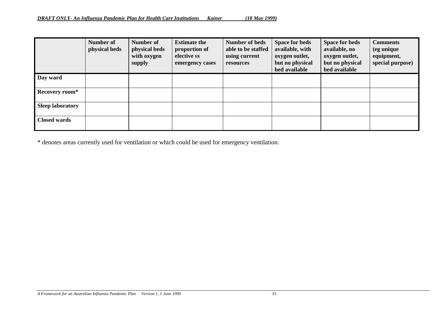|                         | Number of<br>physical beds | Number of<br>physical beds<br>with oxygen<br>supply | <b>Estimate the</b><br>proportion of<br>elective vs<br>emergency cases | <b>Number of beds</b><br>able to be staffed<br>using current<br>resources | <b>Space for beds</b><br>available, with<br>oxygen outlet,<br>but no physical<br>bed available | Space for beds<br>available, no<br>oxygen outlet,<br>but no physical<br>bed available | <b>Comments</b><br>(eg unique<br>equipment,<br>special purpose) |
|-------------------------|----------------------------|-----------------------------------------------------|------------------------------------------------------------------------|---------------------------------------------------------------------------|------------------------------------------------------------------------------------------------|---------------------------------------------------------------------------------------|-----------------------------------------------------------------|
| Day ward                |                            |                                                     |                                                                        |                                                                           |                                                                                                |                                                                                       |                                                                 |
| Recovery room*          |                            |                                                     |                                                                        |                                                                           |                                                                                                |                                                                                       |                                                                 |
| <b>Sleep laboratory</b> |                            |                                                     |                                                                        |                                                                           |                                                                                                |                                                                                       |                                                                 |
| <b>Closed wards</b>     |                            |                                                     |                                                                        |                                                                           |                                                                                                |                                                                                       |                                                                 |

\* denotes areas currently used for ventilation or which could be used for emergency ventilation.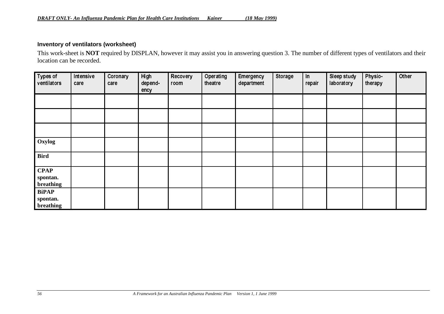## **Inventory of ventilators (worksheet)**

This work-sheet is **NOT** required by DISPLAN, however it may assist you in answering question 3. The number of different types of ventilators and their location can be recorded.

| Types of<br>ventilators               | Intensive<br>care | Coronary<br>care | High<br>depend-<br>ency | Recovery<br>room | Operating<br>theatre | Emergency<br>department | Storage | $\ln$<br>repair | Sleep study<br>laboratory | <b>Physio-</b><br>therapy | Other |
|---------------------------------------|-------------------|------------------|-------------------------|------------------|----------------------|-------------------------|---------|-----------------|---------------------------|---------------------------|-------|
|                                       |                   |                  |                         |                  |                      |                         |         |                 |                           |                           |       |
|                                       |                   |                  |                         |                  |                      |                         |         |                 |                           |                           |       |
|                                       |                   |                  |                         |                  |                      |                         |         |                 |                           |                           |       |
| Oxylog                                |                   |                  |                         |                  |                      |                         |         |                 |                           |                           |       |
| <b>Bird</b>                           |                   |                  |                         |                  |                      |                         |         |                 |                           |                           |       |
| <b>CPAP</b><br>spontan.<br>breathing  |                   |                  |                         |                  |                      |                         |         |                 |                           |                           |       |
| <b>BiPAP</b><br>spontan.<br>breathing |                   |                  |                         |                  |                      |                         |         |                 |                           |                           |       |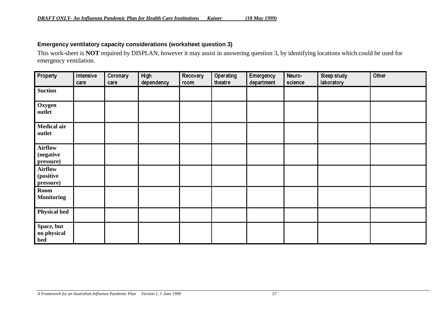## **Emergency ventilatory capacity considerations (worksheet question 3)**

This work-sheet is **NOT** required by DISPLAN, however it may assist in answering question 3, by identifying locations which could be used for emergency ventilation.

| Property                                 | Intensive<br>care | Coronary<br>care | High<br>dependency | Recovery<br>room | Operating<br>theatre | Emergency<br>department | Neuro-<br>science | <b>Sleep study</b><br>laboratory | Other |
|------------------------------------------|-------------------|------------------|--------------------|------------------|----------------------|-------------------------|-------------------|----------------------------------|-------|
| <b>Suction</b>                           |                   |                  |                    |                  |                      |                         |                   |                                  |       |
| Oxygen<br>outlet                         |                   |                  |                    |                  |                      |                         |                   |                                  |       |
| <b>Medical air</b><br>outlet             |                   |                  |                    |                  |                      |                         |                   |                                  |       |
| <b>Airflow</b><br>(negative<br>pressure) |                   |                  |                    |                  |                      |                         |                   |                                  |       |
| <b>Airflow</b><br>(positive<br>pressure) |                   |                  |                    |                  |                      |                         |                   |                                  |       |
| Room<br><b>Monitoring</b>                |                   |                  |                    |                  |                      |                         |                   |                                  |       |
| <b>Physical bed</b>                      |                   |                  |                    |                  |                      |                         |                   |                                  |       |
| Space, but<br>no physical<br>bed         |                   |                  |                    |                  |                      |                         |                   |                                  |       |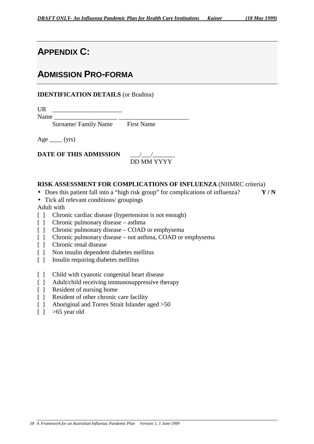# **APPENDIX C:**

# **ADMISSION PRO-FORMA**

## **IDENTIFICATION DETAILS** (or Bradma)

UR \_\_\_\_\_\_\_\_\_\_\_\_\_\_\_\_\_\_\_\_\_\_

Name

Surname/ Family Name First Name

Age  $_{\_}$  (yrs)

**DATE OF THIS ADMISSION** \_\_\_/\_\_\_/\_\_\_\_\_\_\_

# DD MM YYYY

## **RISK ASSESSMENT FOR COMPLICATIONS OF INFLUENZA** (NHMRC criteria)

- Does this patient fall into a "high risk group" for complications of influenza? **Y / N**
- Tick all relevant conditions/ groupings

Adult with

- [ ] Chronic cardiac disease (hypertension is not enough)
- [ ] Chronic pulmonary disease asthma
- [ ] Chronic pulmonary disease COAD or emphysema
- [ ] Chronic pulmonary disease not asthma, COAD or emphysema
- [ ] Chronic renal disease
- [ ] Non insulin dependent diabetes mellitus
- [ ] Insulin requiring diabetes mellitus
- [ ] Child with cyanotic congenital heart disease
- [ ] Adult/child receiving immunosuppressive therapy
- [ ] Resident of nursing home
- [ ] Resident of other chronic care facility
- [ ] Aboriginal and Torres Strait Islander aged > 50
- $\lceil$   $\rceil$  >65 year old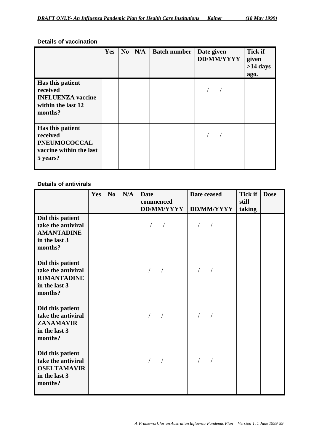## **Details of vaccination**

|                                                                                            | Yes | N <sub>0</sub> | N/A | <b>Batch number</b> | Date given<br><b>DD/MM/YYYY</b> | <b>Tick if</b><br>given<br>$>14$ days<br>ago. |
|--------------------------------------------------------------------------------------------|-----|----------------|-----|---------------------|---------------------------------|-----------------------------------------------|
| Has this patient<br>received<br><b>INFLUENZA</b> vaccine<br>within the last 12<br>months?  |     |                |     |                     |                                 |                                               |
| Has this patient<br>received<br><b>PNEUMOCOCCAL</b><br>vaccine within the last<br>5 years? |     |                |     |                     |                                 |                                               |

## **Details of antivirals**

|                                                                                          | Yes | N <sub>o</sub> | N/A | <b>Date</b><br>commenced<br>DD/MM/YYYY | Date ceased<br><b>DD/MM/YYYY</b> | <b>Tick if</b><br>still<br>taking | <b>Dose</b> |
|------------------------------------------------------------------------------------------|-----|----------------|-----|----------------------------------------|----------------------------------|-----------------------------------|-------------|
| Did this patient<br>take the antiviral<br><b>AMANTADINE</b><br>in the last 3<br>months?  |     |                |     |                                        |                                  |                                   |             |
| Did this patient<br>take the antiviral<br><b>RIMANTADINE</b><br>in the last 3<br>months? |     |                |     |                                        |                                  |                                   |             |
| Did this patient<br>take the antiviral<br><b>ZANAMAVIR</b><br>in the last 3<br>months?   |     |                |     |                                        |                                  |                                   |             |
| Did this patient<br>take the antiviral<br><b>OSELTAMAVIR</b><br>in the last 3<br>months? |     |                |     |                                        |                                  |                                   |             |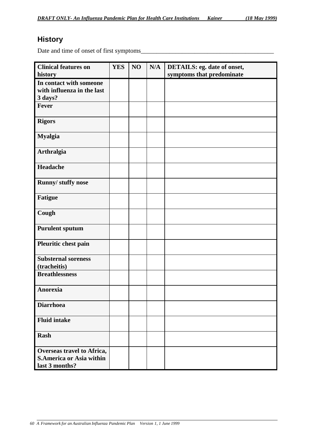# **History**

Date and time of onset of first symptoms\_\_\_\_\_\_\_\_\_\_\_\_\_\_\_\_\_\_\_\_\_\_\_\_\_\_\_\_\_\_\_\_\_\_\_\_\_\_\_\_\_\_

| <b>Clinical features on</b><br>history                                          | <b>YES</b> | NO | N/A | <b>DETAILS: eg. date of onset,</b><br>symptoms that predominate |
|---------------------------------------------------------------------------------|------------|----|-----|-----------------------------------------------------------------|
| In contact with someone<br>with influenza in the last<br>3 days?                |            |    |     |                                                                 |
| <b>Fever</b>                                                                    |            |    |     |                                                                 |
| <b>Rigors</b>                                                                   |            |    |     |                                                                 |
| <b>Myalgia</b>                                                                  |            |    |     |                                                                 |
| <b>Arthralgia</b>                                                               |            |    |     |                                                                 |
| Headache                                                                        |            |    |     |                                                                 |
| Runny/ stuffy nose                                                              |            |    |     |                                                                 |
| <b>Fatigue</b>                                                                  |            |    |     |                                                                 |
| Cough                                                                           |            |    |     |                                                                 |
| <b>Purulent sputum</b>                                                          |            |    |     |                                                                 |
| Pleuritic chest pain                                                            |            |    |     |                                                                 |
| <b>Substernal soreness</b><br>(tracheitis)                                      |            |    |     |                                                                 |
| <b>Breathlessness</b>                                                           |            |    |     |                                                                 |
| <b>Anorexia</b>                                                                 |            |    |     |                                                                 |
| <b>Diarrhoea</b>                                                                |            |    |     |                                                                 |
| <b>Fluid intake</b>                                                             |            |    |     |                                                                 |
| <b>Rash</b>                                                                     |            |    |     |                                                                 |
| Overseas travel to Africa,<br><b>S.America or Asia within</b><br>last 3 months? |            |    |     |                                                                 |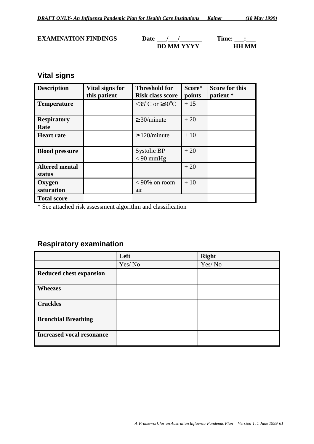## **EXAMINATION FINDINGS** Date  $\frac{1}{\sqrt{2}}$  Time:  $\frac{1}{\sqrt{2}}$ **DD MM YYYY HH MM**

# **Vital signs**

| <b>Description</b>              | Vital signs for<br>this patient | <b>Threshold for</b><br><b>Risk class score</b> | Score*<br>points | <b>Score for this</b><br>patient * |
|---------------------------------|---------------------------------|-------------------------------------------------|------------------|------------------------------------|
| <b>Temperature</b>              |                                 | $\leq 35^{\circ}$ C or $\geq 40^{\circ}$ C      | $+15$            |                                    |
| <b>Respiratory</b><br>Rate      |                                 | $\geq$ 30/minute                                | $+20$            |                                    |
| <b>Heart rate</b>               |                                 | $\geq$ 120/minute                               | $+10$            |                                    |
| <b>Blood pressure</b>           |                                 | Systolic BP<br>$< 90$ mmHg                      | $+20$            |                                    |
| <b>Altered mental</b><br>status |                                 |                                                 | $+20$            |                                    |
| Oxygen<br>saturation            |                                 | $< 90\%$ on room<br>air                         | $+10$            |                                    |
| <b>Total score</b>              |                                 |                                                 |                  |                                    |

\* See attached risk assessment algorithm and classification

# **Respiratory examination**

|                                  | Left   | <b>Right</b> |
|----------------------------------|--------|--------------|
|                                  | Yes/No | Yes/No       |
| <b>Reduced chest expansion</b>   |        |              |
| <b>Wheezes</b>                   |        |              |
| <b>Crackles</b>                  |        |              |
| <b>Bronchial Breathing</b>       |        |              |
| <b>Increased vocal resonance</b> |        |              |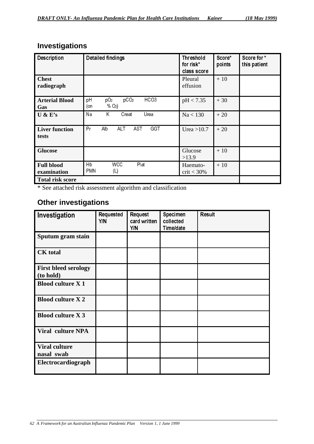# **Investigations**

| <b>Description</b>               | <b>Detailed findings</b>                                                         | <b>Threshold</b><br>for risk*<br>class score | Score*<br>points | Score for *<br>this patient |
|----------------------------------|----------------------------------------------------------------------------------|----------------------------------------------|------------------|-----------------------------|
| <b>Chest</b><br>radiograph       |                                                                                  | Pleural<br>effusion                          | $+10$            |                             |
| <b>Arterial Blood</b><br>Gas     | pCO <sub>2</sub><br>HCO <sub>3</sub><br>pH<br>pO <sub>2</sub><br>$% O2$ )<br>(on | pH < 7.35                                    | $+30$            |                             |
| U & E's                          | Na<br>K.<br>Creat<br>Urea                                                        | Na < 130                                     | $+20$            |                             |
| <b>Liver function</b><br>tests   | Pr<br>Alb<br><b>ALT</b><br><b>AST</b><br><b>GGT</b>                              | Urea $>10.7$                                 | $+20$            |                             |
| <b>Glucose</b>                   |                                                                                  | Glucose<br>>13.9                             | $+10$            |                             |
| <b>Full blood</b><br>examination | Plat<br>Hb<br><b>WCC</b><br><b>PMN</b><br>(L)                                    | Haemato-<br>$crit < 30\%$                    | $+10$            |                             |
| <b>Total risk score</b>          |                                                                                  |                                              |                  |                             |

\* See attached risk assessment algorithm and classification

# **Other investigations**

| Investigation                            | Requested<br>Y/N | <b>Request</b><br>card written<br>Y/N | Specimen<br>collected<br>Time/date | <b>Result</b> |
|------------------------------------------|------------------|---------------------------------------|------------------------------------|---------------|
| Sputum gram stain                        |                  |                                       |                                    |               |
| <b>CK</b> total                          |                  |                                       |                                    |               |
| <b>First bleed serology</b><br>(to hold) |                  |                                       |                                    |               |
| <b>Blood culture X 1</b>                 |                  |                                       |                                    |               |
| <b>Blood culture X2</b>                  |                  |                                       |                                    |               |
| <b>Blood culture X 3</b>                 |                  |                                       |                                    |               |
| <b>Viral culture NPA</b>                 |                  |                                       |                                    |               |
| <b>Viral culture</b><br>nasal swab       |                  |                                       |                                    |               |
| Electrocardiograph                       |                  |                                       |                                    |               |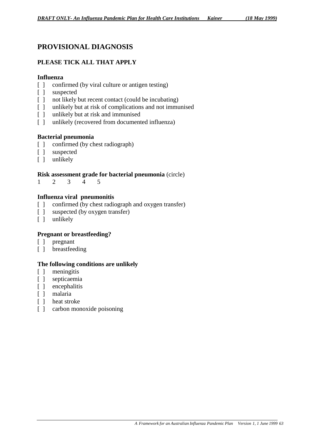# **PROVISIONAL DIAGNOSIS**

## **PLEASE TICK ALL THAT APPLY**

#### **Influenza**

- [ ] confirmed (by viral culture or antigen testing)
- [ ] suspected
- [ ] not likely but recent contact (could be incubating)
- [ ] unlikely but at risk of complications and not immunised
- [ ] unlikely but at risk and immunised
- [ ] unlikely (recovered from documented influenza)

## **Bacterial pneumonia**

- [ ] confirmed (by chest radiograph)
- [ ] suspected
- [ ] unlikely

## **Risk assessment grade for bacterial pneumonia** (circle)

12345

## **Influenza viral pneumonitis**

- [ ] confirmed (by chest radiograph and oxygen transfer)
- [ ] suspected (by oxygen transfer)
- [ ] unlikely

## **Pregnant or breastfeeding?**

- [ ] pregnant
- [ ] breastfeeding

#### **The following conditions are unlikely**

- [ ] meningitis
- [ ] septicaemia
- [ ] encephalitis
- [ ] malaria
- [ ] heat stroke
- [] carbon monoxide poisoning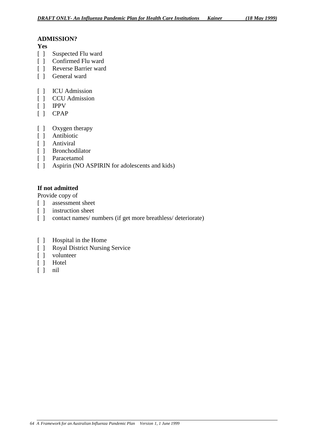## **ADMISSION?**

#### **Yes**

- [ ] Suspected Flu ward
- [ ] Confirmed Flu ward
- [ ] Reverse Barrier ward
- [ ] General ward
- [ ] ICU Admission
- [ ] CCU Admission
- [ ] IPPV
- [ ] CPAP
- [ ] Oxygen therapy
- [ ] Antibiotic
- [ ] Antiviral
- [ ] Bronchodilator
- [ ] Paracetamol
- [ ] Aspirin (NO ASPIRIN for adolescents and kids)

## **If not admitted**

Provide copy of

- [ ] assessment sheet
- [ ] instruction sheet
- [ ] contact names/ numbers (if get more breathless/ deteriorate)
- [ ] Hospital in the Home
- [ ] Royal District Nursing Service
- [ ] volunteer
- [ ] Hotel
- $[ ]$  nil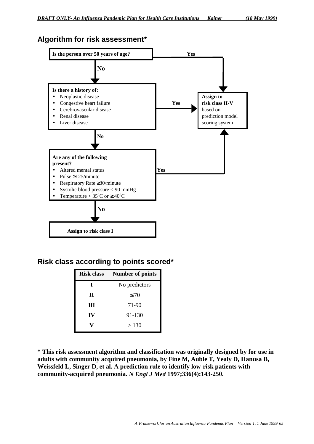# **Algorithm for risk assessment\***



# **Risk class according to points scored\***

| <b>Risk class</b> | <b>Number of points</b> |
|-------------------|-------------------------|
| I                 | No predictors           |
| П                 | $\leq 70$               |
| Ш                 | 71-90                   |
| IV                | 91-130                  |
|                   | > 130                   |

**\* This risk assessment algorithm and classification was originally designed by for use in adults with community acquired pneumonia, by Fine M, Auble T, Yealy D, Hanusa B, Weissfeld L, Singer D, et al. A prediction rule to identify low-risk patients with community-acquired pneumonia.** *N Engl J Med* **1997;336(4):143-250.**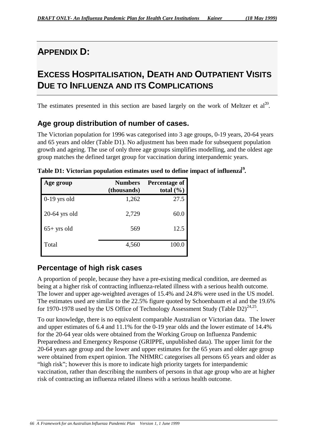# **APPENDIX D:**

# **EXCESS HOSPITALISATION, DEATH AND OUTPATIENT VISITS DUE TO INFLUENZA AND ITS COMPLICATIONS**

The estimates presented in this section are based largely on the work of Meltzer et  $al^{20}$ .

# **Age group distribution of number of cases.**

The Victorian population for 1996 was categorised into 3 age groups, 0-19 years, 20-64 years and 65 years and older (Table D1). No adjustment has been made for subsequent population growth and ageing. The use of only three age groups simplifies modelling, and the oldest age group matches the defined target group for vaccination during interpandemic years.

| Age group      | <b>Numbers</b><br>(thousands) | Percentage of<br>total $(\% )$ |
|----------------|-------------------------------|--------------------------------|
| $0-19$ yrs old | 1,262                         | 27.5                           |
| 20-64 yrs old  | 2,729                         | 60.0                           |
| $65+$ yrs old  | 569                           | 12.5                           |
| Total          | 4,560                         | 100.0                          |

**Table D1: Victorian population estimates used to define impact of influenza 19***.*

# **Percentage of high risk cases**

A proportion of people, because they have a pre-existing medical condition, are deemed as being at a higher risk of contracting influenza-related illness with a serious health outcome. The lower and upper age-weighted averages of 15.4% and 24.8% were used in the US model. The estimates used are similar to the 22.5% figure quoted by Schoenbaum et al and the 19.6% for 1970-1978 used by the US Office of Technology Assessment Study (Table  $D2)^{24,25}$ .

To our knowledge, there is no equivalent comparable Australian or Victorian data. The lower and upper estimates of 6.4 and 11.1% for the 0-19 year olds and the lower estimate of 14.4% for the 20-64 year olds were obtained from the Working Group on Influenza Pandemic Preparedness and Emergency Response (GRIPPE, unpublished data). The upper limit for the 20-64 years age group and the lower and upper estimates for the 65 years and older age group were obtained from expert opinion. The NHMRC categorises all persons 65 years and older as "high risk"; however this is more to indicate high priority targets for interpandemic vaccination, rather than describing the numbers of persons in that age group who are at higher risk of contracting an influenza related illness with a serious health outcome.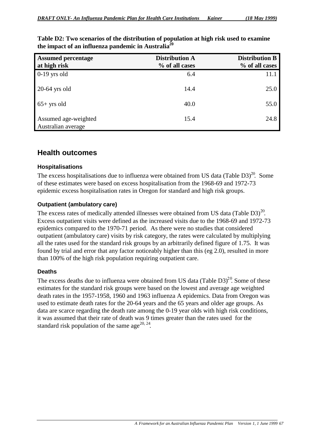| <b>Assumed percentage</b><br>at high risk  | <b>Distribution A</b><br>% of all cases | <b>Distribution B</b><br>% of all cases |
|--------------------------------------------|-----------------------------------------|-----------------------------------------|
| $0-19$ yrs old                             | 6.4                                     | 11.1                                    |
| $20-64$ yrs old                            | 14.4                                    | 25.0                                    |
| $65+$ yrs old                              | 40.0                                    | 55.0                                    |
| Assumed age-weighted<br>Australian average | 15.4                                    | 24.8                                    |

**Table D2: Two scenarios of the distribution of population at high risk used to examine the impact of an influenza pandemic in Australia20**

# **Health outcomes**

## **Hospitalisations**

The excess hospitalisations due to influenza were obtained from US data (Table D3)<sup>20</sup>. Some of these estimates were based on excess hospitalisation from the 1968-69 and 1972-73 epidemic excess hospitalisation rates in Oregon for standard and high risk groups.

## **Outpatient (ambulatory care)**

The excess rates of medically attended illnesses were obtained from US data (Table D3) $^{20}$ . Excess outpatient visits were defined as the increased visits due to the 1968-69 and 1972-73 epidemics compared to the 1970-71 period. As there were no studies that considered outpatient (ambulatory care) visits by risk category, the rates were calculated by multiplying all the rates used for the standard risk groups by an arbitrarily defined figure of 1.75. It was found by trial and error that any factor noticeably higher than this (eg 2.0), resulted in more than 100% of the high risk population requiring outpatient care.

## **Deaths**

The excess deaths due to influenza were obtained from US data (Table  $D3)^{20}$ . Some of these estimates for the standard risk groups were based on the lowest and average age weighted death rates in the 1957-1958, 1960 and 1963 influenza A epidemics. Data from Oregon was used to estimate death rates for the 20-64 years and the 65 years and older age groups. As data are scarce regarding the death rate among the 0-19 year olds with high risk conditions, it was assumed that their rate of death was 9 times greater than the rates used for the standard risk population of the same age<sup>20, 24</sup>.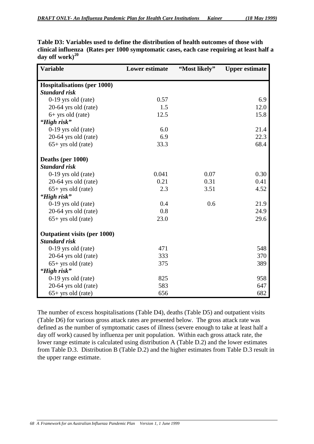| <b>Variable</b>                     | <b>Lower estimate</b> | "Most likely" | <b>Upper estimate</b> |
|-------------------------------------|-----------------------|---------------|-----------------------|
| <b>Hospitalisations (per 1000)</b>  |                       |               |                       |
| <b>Standard risk</b>                |                       |               |                       |
| 0-19 yrs old (rate)                 | 0.57                  |               | 6.9                   |
| 20-64 yrs old (rate)                | 1.5                   |               | 12.0                  |
| $6+$ yrs old (rate)                 | 12.5                  |               | 15.8                  |
| "High risk"                         |                       |               |                       |
| $0-19$ yrs old (rate)               | 6.0                   |               | 21.4                  |
| 20-64 yrs old (rate)                | 6.9                   |               | 22.3                  |
| $65+$ yrs old (rate)                | 33.3                  |               | 68.4                  |
| Deaths (per 1000)                   |                       |               |                       |
| <b>Standard risk</b>                |                       |               |                       |
| 0-19 yrs old (rate)                 | 0.041                 | 0.07          | 0.30                  |
| 20-64 yrs old (rate)                | 0.21                  | 0.31          | 0.41                  |
| $65+$ yrs old (rate)                | 2.3                   | 3.51          | 4.52                  |
| "High risk"                         |                       |               |                       |
| $0-19$ yrs old (rate)               | 0.4                   | 0.6           | 21.9                  |
| 20-64 yrs old (rate)                | 0.8                   |               | 24.9                  |
| $65+$ yrs old (rate)                | 23.0                  |               | 29.6                  |
| <b>Outpatient visits (per 1000)</b> |                       |               |                       |
| <b>Standard risk</b>                |                       |               |                       |
| 0-19 yrs old (rate)                 | 471                   |               | 548                   |
| 20-64 yrs old (rate)                | 333                   |               | 370                   |
| $65+$ yrs old (rate)                | 375                   |               | 389                   |
| "High risk"                         |                       |               |                       |
| $0-19$ yrs old (rate)               | 825                   |               | 958                   |
| 20-64 yrs old (rate)                | 583                   |               | 647                   |
| $65+$ yrs old (rate)                | 656                   |               | 682                   |

**Table D3: Variables used to define the distribution of health outcomes of those with clinical influenza (Rates per 1000 symptomatic cases, each case requiring at least half a day off work)<sup>20</sup>**

The number of excess hospitalisations (Table D4), deaths (Table D5) and outpatient visits (Table D6) for various gross attack rates are presented below. The gross attack rate was defined as the number of symptomatic cases of illness (severe enough to take at least half a day off work) caused by influenza per unit population. Within each gross attack rate, the lower range estimate is calculated using distribution A (Table D.2) and the lower estimates from Table D.3. Distribution B (Table D.2) and the higher estimates from Table D.3 result in the upper range estimate.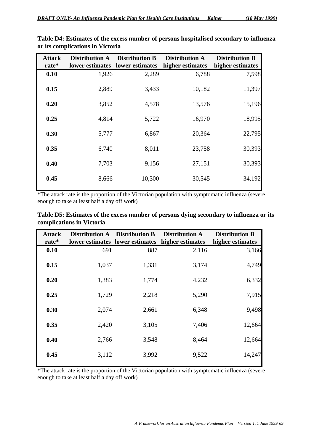| <b>Attack</b><br>rate* | <b>Distribution A</b><br>lower estimates | <b>Distribution B</b><br>lower estimates | <b>Distribution A</b><br>higher estimates | <b>Distribution B</b><br>higher estimates |
|------------------------|------------------------------------------|------------------------------------------|-------------------------------------------|-------------------------------------------|
| 0.10                   | 1,926                                    | 2,289                                    | 6,788                                     | 7,598                                     |
| 0.15                   | 2,889                                    | 3,433                                    | 10,182                                    | 11,397                                    |
| 0.20                   | 3,852                                    | 4,578                                    | 13,576                                    | 15,196                                    |
| 0.25                   | 4,814                                    | 5,722                                    | 16,970                                    | 18,995                                    |
| 0.30                   | 5,777                                    | 6,867                                    | 20,364                                    | 22,795                                    |
| 0.35                   | 6,740                                    | 8,011                                    | 23,758                                    | 30,393                                    |
| 0.40                   | 7,703                                    | 9,156                                    | 27,151                                    | 30,393                                    |
| 0.45                   | 8,666                                    | 10,300                                   | 30,545                                    | 34,192                                    |

**Table D4: Estimates of the excess number of persons hospitalised secondary to influenza or its complications in Victoria**

\*The attack rate is the proportion of the Victorian population with symptomatic influenza (severe enough to take at least half a day off work)

| <b>Attack</b> |       | Distribution A Distribution B   | <b>Distribution A</b> | <b>Distribution B</b> |
|---------------|-------|---------------------------------|-----------------------|-----------------------|
| rate*         |       | lower estimates lower estimates | higher estimates      | higher estimates      |
| 0.10          | 691   | 887                             | 2,116                 | 3,166                 |
| 0.15          | 1,037 | 1,331                           | 3,174                 | 4,749                 |
| 0.20          | 1,383 | 1,774                           | 4,232                 | 6,332                 |
| 0.25          | 1,729 | 2,218                           | 5,290                 | 7,915                 |
| 0.30          | 2,074 | 2,661                           | 6,348                 | 9,498                 |
| 0.35          | 2,420 | 3,105                           | 7,406                 | 12,664                |
| 0.40          | 2,766 | 3,548                           | 8,464                 | 12,664                |
| 0.45          | 3,112 | 3,992                           | 9,522                 | 14,247                |

**Table D5: Estimates of the excess number of persons dying secondary to influenza or its complications in Victoria**

\*The attack rate is the proportion of the Victorian population with symptomatic influenza (severe enough to take at least half a day off work)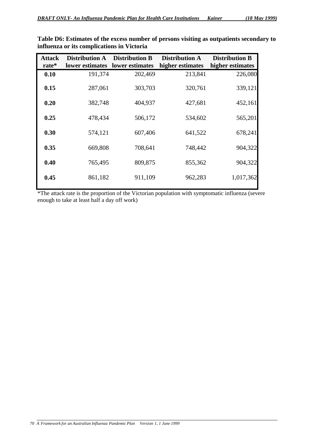| <b>Attack</b> | <b>Distribution A</b> | <b>Distribution B</b> | <b>Distribution A</b> | <b>Distribution B</b> |
|---------------|-----------------------|-----------------------|-----------------------|-----------------------|
| rate*         | lower estimates       | lower estimates       | higher estimates      | higher estimates      |
| 0.10          | 191,374               | 202,469               | 213,841               | 226,080               |
| 0.15          | 287,061               | 303,703               | 320,761               | 339,121               |
| 0.20          | 382,748               | 404,937               | 427,681               | 452,161               |
| 0.25          | 478,434               | 506,172               | 534,602               | 565,201               |
| 0.30          | 574,121               | 607,406               | 641,522               | 678,241               |
| 0.35          | 669,808               | 708,641               | 748,442               | 904,322               |
| 0.40          | 765,495               | 809,875               | 855,362               | 904,322               |
| 0.45          | 861,182               | 911,109               | 962,283               | 1,017,362             |

**Table D6: Estimates of the excess number of persons visiting as outpatients secondary to influenza or its complications in Victoria**

\*The attack rate is the proportion of the Victorian population with symptomatic influenza (severe enough to take at least half a day off work)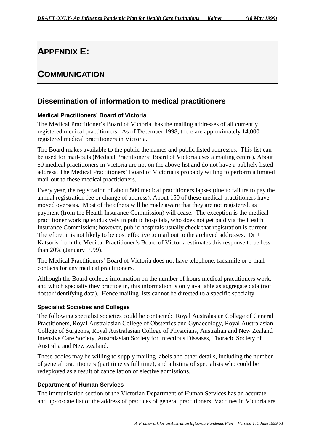# **APPENDIX E:**

# **COMMUNICATION**

# **Dissemination of information to medical practitioners**

## **Medical Practitioners' Board of Victoria**

The Medical Practitioner's Board of Victoria has the mailing addresses of all currently registered medical practitioners. As of December 1998, there are approximately 14,000 registered medical practitioners in Victoria.

The Board makes available to the public the names and public listed addresses. This list can be used for mail-outs (Medical Practitioners' Board of Victoria uses a mailing centre). About 50 medical practitioners in Victoria are not on the above list and do not have a publicly listed address. The Medical Practitioners' Board of Victoria is probably willing to perform a limited mail-out to these medical practitioners.

Every year, the registration of about 500 medical practitioners lapses (due to failure to pay the annual registration fee or change of address). About 150 of these medical practitioners have moved overseas. Most of the others will be made aware that they are not registered, as payment (from the Health Insurance Commission) will cease. The exception is the medical practitioner working exclusively in public hospitals, who does not get paid via the Health Insurance Commission; however, public hospitals usually check that registration is current. Therefore, it is not likely to be cost effective to mail out to the archived addresses. Dr J Katsoris from the Medical Practitioner's Board of Victoria estimates this response to be less than 20% (January 1999).

The Medical Practitioners' Board of Victoria does not have telephone, facsimile or e-mail contacts for any medical practitioners.

Although the Board collects information on the number of hours medical practitioners work, and which specialty they practice in, this information is only available as aggregate data (not doctor identifying data). Hence mailing lists cannot be directed to a specific specialty.

## **Specialist Societies and Colleges**

The following specialist societies could be contacted: Royal Australasian College of General Practitioners, Royal Australasian College of Obstetrics and Gynaecology, Royal Australasian College of Surgeons, Royal Australasian College of Physicians, Australian and New Zealand Intensive Care Society, Australasian Society for Infectious Diseases, Thoracic Society of Australia and New Zealand.

These bodies may be willing to supply mailing labels and other details, including the number of general practitioners (part time *vs* full time), and a listing of specialists who could be redeployed as a result of cancellation of elective admissions.

## **Department of Human Services**

The immunisation section of the Victorian Department of Human Services has an accurate and up-to-date list of the address of practices of general practitioners. Vaccines in Victoria are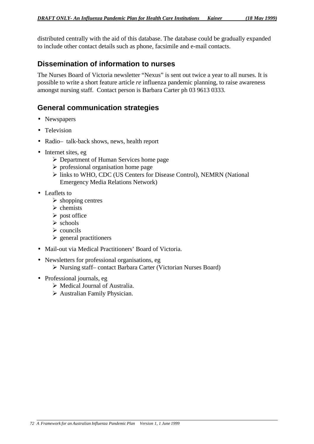distributed centrally with the aid of this database. The database could be gradually expanded to include other contact details such as phone, facsimile and e-mail contacts.

# **Dissemination of information to nurses**

The Nurses Board of Victoria newsletter "Nexus" is sent out twice a year to all nurses. It is possible to write a short feature article *re* influenza pandemic planning, to raise awareness amongst nursing staff. Contact person is Barbara Carter ph 03 9613 0333.

# **General communication strategies**

- Newspapers
- Television
- Radio- talk-back shows, news, health report
- Internet sites, eg
	- $\triangleright$  Department of Human Services home page
	- $\triangleright$  professional organisation home page
	- ¾ links to WHO, CDC (US Centers for Disease Control), NEMRN (National Emergency Media Relations Network)
- Leaflets to
	- $\triangleright$  shopping centres
	- $\triangleright$  chemists
	- $\triangleright$  post office
	- $\triangleright$  schools
	- $\triangleright$  councils
	- $\triangleright$  general practitioners
- Mail-out via Medical Practitioners' Board of Victoria.
- Newsletters for professional organisations, eg
	- ¾ Nursing staff– contact Barbara Carter (Victorian Nurses Board)
- Professional journals, eg
	- $\triangleright$  Medical Journal of Australia.
	- $\triangleright$  Australian Family Physician.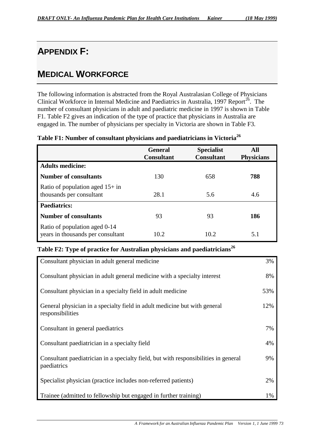# **APPENDIX F:**

# **MEDICAL WORKFORCE**

The following information is abstracted from the Royal Australasian College of Physicians Clinical Workforce in Internal Medicine and Paediatrics in Australia, 1997 Report<sup>26</sup>. The number of consultant physicians in adult and paediatric medicine in 1997 is shown in Table F1. Table F2 gives an indication of the type of practice that physicians in Australia are engaged in. The number of physicians per specialty in Victoria are shown in Table F3.

|                                                                    | <b>General</b><br><b>Consultant</b> | <b>Specialist</b><br><b>Consultant</b> | All<br><b>Physicians</b> |
|--------------------------------------------------------------------|-------------------------------------|----------------------------------------|--------------------------|
| <b>Adults medicine:</b>                                            |                                     |                                        |                          |
| <b>Number of consultants</b>                                       | 130                                 | 658                                    | 788                      |
| Ratio of population aged $15+$ in<br>thousands per consultant      | 28.1                                | 5.6                                    | 4.6                      |
| <b>Paediatrics:</b>                                                |                                     |                                        |                          |
| <b>Number of consultants</b>                                       | 93                                  | 93                                     | 186                      |
| Ratio of population aged 0-14<br>years in thousands per consultant | 10.2                                | 10.2                                   | 5.1                      |

## **Table F1: Number of consultant physicians and paediatricians in Victoria<sup>26</sup>**

# **Table F2: Type of practice for Australian physicians and paediatricians<sup>26</sup>**

| Consultant physician in adult general medicine                                                     | 3%  |
|----------------------------------------------------------------------------------------------------|-----|
| Consultant physician in adult general medicine with a specialty interest                           | 8%  |
| Consultant physician in a specialty field in adult medicine                                        | 53% |
| General physician in a specialty field in adult medicine but with general<br>responsibilities      | 12% |
| Consultant in general paediatrics                                                                  | 7%  |
| Consultant paediatrician in a specialty field                                                      | 4%  |
| Consultant paediatrician in a specialty field, but with responsibilities in general<br>paediatrics | 9%  |
| Specialist physician (practice includes non-referred patients)                                     | 2%  |
| Trainee (admitted to fellowship but engaged in further training)                                   | 1%  |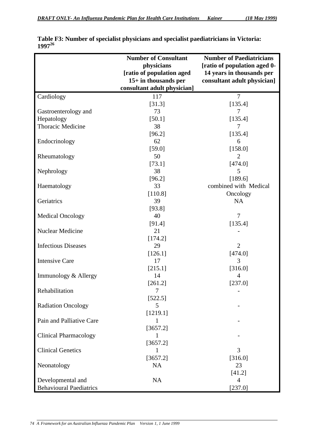|                                | <b>Number of Consultant</b> | <b>Number of Paediatricians</b> |
|--------------------------------|-----------------------------|---------------------------------|
|                                | physicians                  | [ratio of population aged 0-    |
|                                | [ratio of population aged   | 14 years in thousands per       |
|                                | 15+ in thousands per        | consultant adult physician]     |
|                                | consultant adult physician] |                                 |
| Cardiology                     | 117                         | $\overline{7}$                  |
|                                | [31.3]                      | [135.4]                         |
| Gastroenterology and           | 73                          | 7                               |
| Hepatology                     | [50.1]                      | [135.4]                         |
| Thoracic Medicine              | 38                          | 7                               |
|                                | [96.2]                      | [135.4]                         |
| Endocrinology                  | 62                          | 6                               |
|                                | [59.0]                      | [158.0]                         |
| Rheumatology                   | 50                          | $\overline{2}$                  |
|                                | [73.1]                      | [474.0]                         |
| Nephrology                     | 38                          | 5                               |
|                                | [96.2]                      | [189.6]                         |
| Haematology                    | 33                          | combined with Medical           |
|                                | [110.8]                     | Oncology                        |
| Geriatrics                     | 39                          | NA                              |
|                                | [93.8]                      |                                 |
| <b>Medical Oncology</b>        | 40                          | 7                               |
|                                | [91.4]                      | [135.4]                         |
| Nuclear Medicine               | 21                          |                                 |
|                                | [174.2]                     |                                 |
| <b>Infectious Diseases</b>     | 29                          | $\overline{2}$                  |
|                                | [126.1]                     | [474.0]                         |
| <b>Intensive Care</b>          | 17                          | 3                               |
|                                | [215.1]                     | [316.0]                         |
| Immunology & Allergy           | 14                          | $\overline{4}$                  |
|                                | [261.2]                     | [237.0]                         |
| Rehabilitation                 | $\overline{7}$              |                                 |
|                                | [522.5]                     |                                 |
| <b>Radiation Oncology</b>      | 5                           |                                 |
|                                | [1219.1]                    |                                 |
| Pain and Palliative Care       |                             |                                 |
|                                | [3657.2]                    |                                 |
| <b>Clinical Pharmacology</b>   | 1                           |                                 |
|                                | [3657.2]                    |                                 |
| <b>Clinical Genetics</b>       | 1                           | 3                               |
|                                | [3657.2]                    | [316.0]                         |
| Neonatology                    | <b>NA</b>                   | 23                              |
|                                |                             | [41.2]                          |
| Developmental and              | <b>NA</b>                   | 4                               |
| <b>Behavioural Paediatrics</b> |                             | [237.0]                         |

| Table F3: Number of specialist physicians and specialist paediatricians in Victoria: |  |
|--------------------------------------------------------------------------------------|--|
| $1997^{26}$                                                                          |  |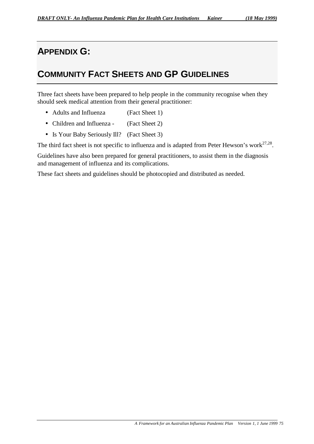# **APPENDIX G:**

# **COMMUNITY FACT SHEETS AND GP GUIDELINES**

Three fact sheets have been prepared to help people in the community recognise when they should seek medical attention from their general practitioner:

- Adults and Influenza (Fact Sheet 1)
- Children and Influenza (Fact Sheet 2)
- Is Your Baby Seriously Ill? (Fact Sheet 3)

The third fact sheet is not specific to influenza and is adapted from Peter Hewson's work $^{27,28}$ .

Guidelines have also been prepared for general practitioners, to assist them in the diagnosis and management of influenza and its complications.

These fact sheets and guidelines should be photocopied and distributed as needed.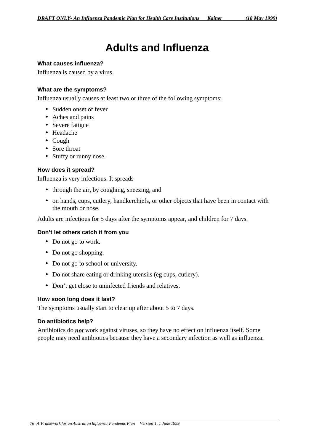# **Adults and Influenza**

#### **What causes influenza?**

Influenza is caused by a virus.

#### **What are the symptoms?**

Influenza usually causes at least two or three of the following symptoms:

- Sudden onset of fever
- Aches and pains
- Severe fatigue
- Headache
- Cough
- Sore throat
- Stuffy or runny nose.

#### **How does it spread?**

Influenza is very infectious. It spreads

- through the air, by coughing, sneezing, and
- on hands, cups, cutlery, handkerchiefs, or other objects that have been in contact with the mouth or nose.

Adults are infectious for 5 days after the symptoms appear, and children for 7 days.

#### **Don't let others catch it from you**

- Do not go to work.
- Do not go shopping.
- Do not go to school or university.
- Do not share eating or drinking utensils (eg cups, cutlery).
- Don't get close to uninfected friends and relatives.

#### **How soon long does it last?**

The symptoms usually start to clear up after about 5 to 7 days.

#### **Do antibiotics help?**

Antibiotics do *not* work against viruses, so they have no effect on influenza itself. Some people may need antibiotics because they have a secondary infection as well as influenza.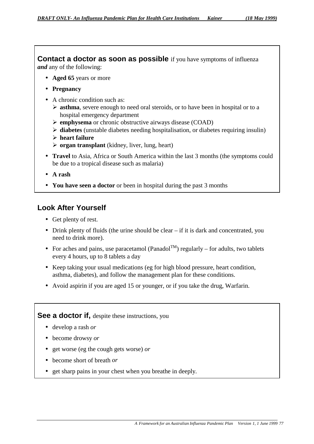**Contact a doctor as soon as possible** if you have symptoms of influenza *and* any of the following:

- **Aged 65** years or more
- **Pregnancy**
- A chronic condition such as:
	- ¾ **asthma**, severe enough to need oral steroids, or to have been in hospital or to a hospital emergency department
	- ¾ **emphysema** or chronic obstructive airways disease (COAD)
	- ¾ **diabetes** (unstable diabetes needing hospitalisation, or diabetes requiring insulin)
	- ¾ **heart failure**
	- ¾ **organ transplant** (kidney, liver, lung, heart)
- **Travel** to Asia, Africa or South America within the last 3 months (the symptoms could be due to a tropical disease such as malaria)
- **A rash**
- **You have seen a doctor** or been in hospital during the past 3 months

# **Look After Yourself**

- Get plenty of rest.
- Drink plenty of fluids (the urine should be clear if it is dark and concentrated, you need to drink more).
- For aches and pains, use paracetamol (Panadol<sup>TM</sup>) regularly for adults, two tablets every 4 hours, up to 8 tablets a day
- Keep taking your usual medications (eg for high blood pressure, heart condition, asthma, diabetes), and follow the management plan for these conditions.
- Avoid aspirin if you are aged 15 or younger, or if you take the drug, Warfarin.

## **See a doctor if,** despite these instructions, you

- develop a rash *or*
- become drowsy *or*
- get worse (eg the cough gets worse) *or*
- become short of breath *or*
- get sharp pains in your chest when you breathe in deeply.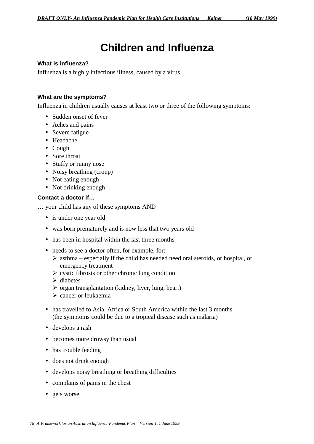# **Children and Influenza**

#### **What is influenza?**

Influenza is a highly infectious illness, caused by a virus.

#### **What are the symptoms?**

Influenza in children usually causes at least two or three of the following symptoms:

- Sudden onset of fever
- Aches and pains
- Severe fatigue
- Headache
- Cough
- Sore throat
- Stuffy or runny nose
- Noisy breathing (croup)
- Not eating enough
- Not drinking enough

## **Contact a doctor if…**

… your child has any of these symptoms AND

- is under one year old
- was born prematurely and is now less that two years old
- has been in hospital within the last three months
- needs to see a doctor often, for example, for:
	- $\triangleright$  asthma especially if the child has needed need oral steroids, or hospital, or emergency treatment
	- $\triangleright$  cystic fibrosis or other chronic lung condition
	- $\triangleright$  diabetes
	- $\triangleright$  organ transplantation (kidney, liver, lung, heart)
	- $\triangleright$  cancer or leukaemia
- has travelled to Asia, Africa or South America within the last 3 months (the symptoms could be due to a tropical disease such as malaria)
- develops a rash
- becomes more drowsy than usual
- has trouble feeding
- does not drink enough
- develops noisy breathing or breathing difficulties
- complains of pains in the chest
- gets worse.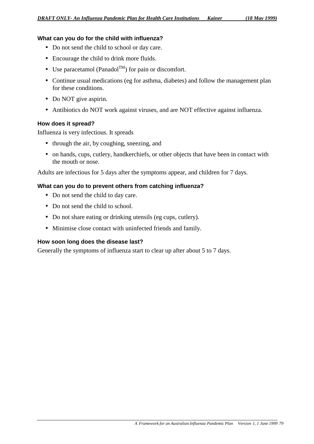## **What can you do for the child with influenza?**

- Do not send the child to school or day care.
- Encourage the child to drink more fluids.
- Use paracetamol (Panadol<sup>TM</sup>) for pain or discomfort.
- Continue usual medications (eg for asthma, diabetes) and follow the management plan for these conditions.
- Do NOT give aspirin.
- Antibiotics do NOT work against viruses, and are NOT effective against influenza.

#### **How does it spread?**

Influenza is very infectious. It spreads

- through the air, by coughing, sneezing, and
- on hands, cups, cutlery, handkerchiefs, or other objects that have been in contact with the mouth or nose.

Adults are infectious for 5 days after the symptoms appear, and children for 7 days.

## **What can you do to prevent others from catching influenza?**

- Do not send the child to day care.
- Do not send the child to school.
- Do not share eating or drinking utensils (eg cups, cutlery).
- Minimise close contact with uninfected friends and family.

#### **How soon long does the disease last?**

Generally the symptoms of influenza start to clear up after about 5 to 7 days.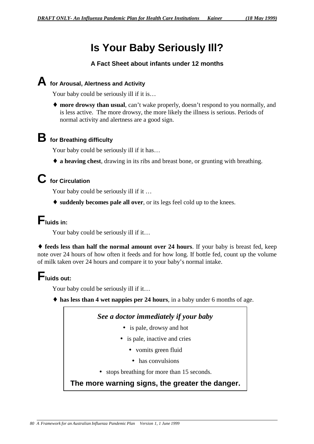# **Is Your Baby Seriously Ill?**

## **A Fact Sheet about infants under 12 months**

# **A for Arousal, Alertness and Activity**

Your baby could be seriously ill if it is...

♦ **more drowsy than usual**, can't wake properly, doesn't respond to you normally, and is less active. The more drowsy, the more likely the illness is serious. Periods of normal activity and alertness are a good sign.

# **B for Breathing difficulty**

Your baby could be seriously ill if it has...

♦ **a heaving chest**, drawing in its ribs and breast bone, or grunting with breathing.

# **C for Circulation**

Your baby could be seriously ill if it ...

♦ **suddenly becomes pale all over**, or its legs feel cold up to the knees.

# **Fluids in:**

Your baby could be seriously ill if it...

♦ **feeds less than half the normal amount over 24 hours**. If your baby is breast fed, keep note over 24 hours of how often it feeds and for how long. If bottle fed, count up the volume of milk taken over 24 hours and compare it to your baby's normal intake.

# **Fluids out:**

Your baby could be seriously ill if it...

♦ **has less than 4 wet nappies per 24 hours**, in a baby under 6 months of age.

## *See a doctor immediately if your baby*

- is pale, drowsy and hot
- is pale, inactive and cries
	- vomits green fluid
	- has convulsions
- stops breathing for more than 15 seconds.

# **The more warning signs, the greater the danger.**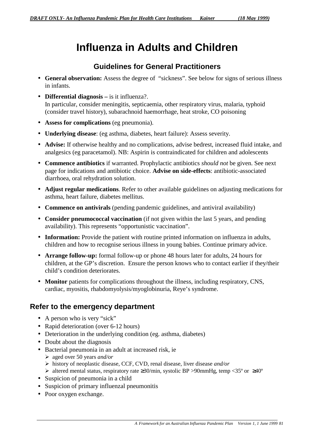# **Influenza in Adults and Children**

# **Guidelines for General Practitioners**

- **General observation:** Assess the degree of "sickness". See below for signs of serious illness in infants.
- **Differential diagnosis** is it influenza?. In particular, consider meningitis, septicaemia, other respiratory virus, malaria, typhoid (consider travel history), subarachnoid haemorrhage, heat stroke, CO poisoning
- **Assess for complications** (eg pneumonia).
- **Underlying disease**: (eg asthma, diabetes, heart failure): Assess severity.
- **Advise:** If otherwise healthy and no complications, advise bedrest, increased fluid intake, and analgesics (eg paracetamol). NB: Aspirin is contraindicated for children and adolescents
- **Commence antibiotics** if warranted. Prophylactic antibiotics *should not* be given. See next page for indications and antibiotic choice. **Advise on side-effects**: antibiotic-associated diarrhoea, oral rehydration solution.
- **Adjust regular medications**. Refer to other available guidelines on adjusting medications for asthma, heart failure, diabetes mellitus.
- **Commence on antivirals** (pending pandemic guidelines, and antiviral availability)
- **Consider pneumococcal vaccination** (if not given within the last 5 years, and pending availability). This represents "opportunistic vaccination".
- **Information:** Provide the patient with routine printed information on influenza in adults, children and how to recognise serious illness in young babies. Continue primary advice.
- **Arrange follow-up:** formal follow-up or phone 48 hours later for adults, 24 hours for children, at the GP's discretion. Ensure the person knows who to contact earlier if they/their child's condition deteriorates.
- **Monitor** patients for complications throughout the illness, including respiratory, CNS, cardiac, myositis, rhabdomyolysis/myoglobinuria, Reye's syndrome.

# **Refer to the emergency department**

- A person who is very "sick"
- Rapid deterioration (over 6-12 hours)
- Deterioration in the underlying condition (eg. asthma, diabetes)
- Doubt about the diagnosis
- Bacterial pneumonia in an adult at increased risk, ie
	- ¾ aged over 50 years *and/or*
		- ¾ history of neoplastic disease, CCF, CVD, renal disease, liver disease *and/or*
		- $\blacktriangleright$  altered mental status, respiratory rate ≥30/min, systolic BP >90mmHg, temp <35° or ≥40°
- Suspicion of pneumonia in a child
- Suspicion of primary influenzal pneumonitis
- Poor oxygen exchange.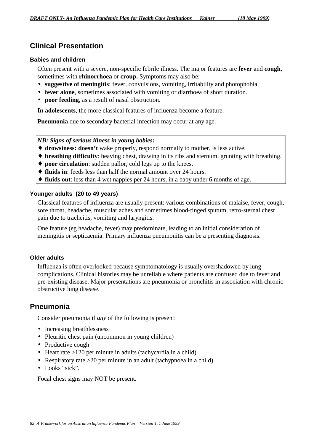# **Clinical Presentation**

#### **Babies and children**

Often present with a severe, non-specific febrile illness. The major features are **fever** and **cough**, sometimes with **rhinorrhoea** or **croup.** Symptoms may also be:

- **suggestive of meningitis**: fever, convulsions, vomiting, irritability and photophobia.
- **fever alone**, sometimes associated with vomiting or diarrhoea of short duration.
- **poor feeding**, as a result of nasal obstruction.

**In adolescents**, the more classical features of influenza become a feature.

**Pneumonia** due to secondary bacterial infection may occur at any age.

## *NB: Signs of serious illness in young babies:*

- ♦ **drowsiness: doesn't** wake properly, respond normally to mother, is less active.
- ♦ **breathing difficulty**: heaving chest, drawing in its ribs and sternum, grunting with breathing.
- ♦ **poor circulation**: sudden pallor, cold legs up to the knees.
- ♦ **fluids in**: feeds less than half the normal amount over 24 hours.
- ♦ **fluids out**: less than 4 wet nappies per 24 hours, in a baby under 6 months of age.

## **Younger adults (20 to 49 years)**

Classical features of influenza are usually present: various combinations of malaise, fever, cough, sore throat, headache, muscular aches and sometimes blood-tinged sputum, retro-sternal chest pain due to tracheitis, vomiting and laryngitis.

One feature (eg headache, fever) may predominate, leading to an initial consideration of meningitis or septicaemia. Primary influenza pneumonitis can be a presenting diagnosis.

#### **Older adults**

Influenza is often overlooked because symptomatology is usually overshadowed by lung complications. Clinical histories may be unreliable where patients are confused due to fever and pre-existing disease. Major presentations are pneumonia or bronchitis in association with chronic obstructive lung disease.

# **Pneumonia**

Consider pneumonia if *any* of the following is present:

- Increasing breathlessness
- Pleuritic chest pain (uncommon in young children)
- Productive cough
- Heart rate >120 per minute in adults (tachycardia in a child)
- Respiratory rate  $>20$  per minute in an adult (tachypnoea in a child)
- Looks "sick".

Focal chest signs may NOT be present.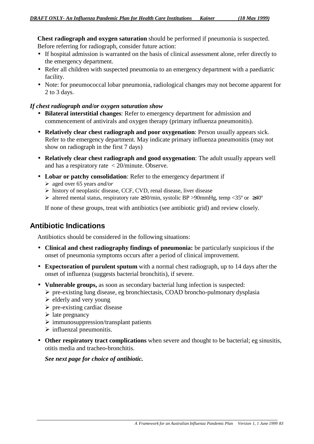**Chest radiograph and oxygen saturation** should be performed if pneumonia is suspected. Before referring for radiograph, consider future action:

- If hospital admission is warranted on the basis of clinical assessment alone, refer directly to the emergency department.
- Refer all children with suspected pneumonia to an emergency department with a paediatric facility.
- Note: for pneumococcal lobar pneumonia, radiological changes may not become apparent for 2 to 3 days.

## *If chest radiograph and/or oxygen saturation show*

- **Bilateral interstitial changes**: Refer to emergency department for admission and commencement of antivirals and oxygen therapy (primary influenza pneumonitis).
- **Relatively clear chest radiograph and poor oxygenation**: Person usually appears sick. Refer to the emergency department. May indicate primary influenza pneumonitis (may not show on radiograph in the first 7 days)
- **Relatively clear chest radiograph and good oxygenation**: The adult usually appears well and has a respiratory rate < 20/minute. Observe.
- **Lobar or patchy consolidation**: Refer to the emergency department if
	- ¾ aged over 65 years *and/or*
	- ¾ history of neoplastic disease, CCF, CVD, renal disease, liver disease
	- $\triangleright$  altered mental status, respiratory rate ≥30/min, systolic BP >90mmHg, temp <35° or ≥40°

If none of these groups, treat with antibiotics (see antibiotic grid) and review closely.

# **Antibiotic Indications**

Antibiotics should be considered in the following situations:

- **Clinical and chest radiography findings of pneumonia:** be particularly suspicious if the onset of pneumonia symptoms occurs after a period of clinical improvement.
- **Expectoration of purulent sputum** with a normal chest radiograph, up to 14 days after the onset of influenza (suggests bacterial bronchitis), if severe.
- **Vulnerable groups,** as soon as secondary bacterial lung infection is suspected:
	- ¾ pre-existing lung disease, eg bronchiectasis, COAD broncho-pulmonary dysplasia
		- $\blacktriangleright$  elderly and very young
	- $\triangleright$  pre-existing cardiac disease
	- $\triangleright$  late pregnancy
	- $\triangleright$  immunosuppression/transplant patients
	- $\triangleright$  influenzal pneumonitis.
- **Other respiratory tract complications** when severe and thought to be bacterial; eg sinusitis, otitis media and tracheo-bronchitis.

*See next page for choice of antibiotic.*